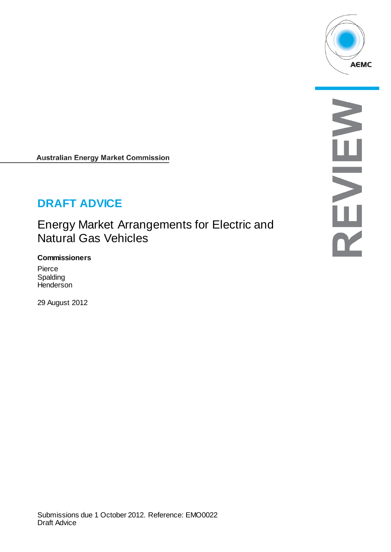

**Australian Energy Market Commission** 

# **DRAFT ADVICE**

Energy Market Arrangements for Electric and Natural Gas Vehicles

#### **Commissioners**

Pierce Spalding **Henderson** 

29 August 2012

S NEVIE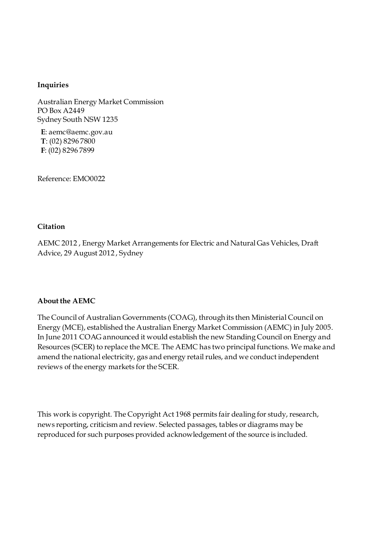#### **Inquiries**

Australian Energy Market Commission PO Box A2449 Sydney South NSW 1235

**E**: aemc@aemc.gov.au **T**: (02) 8296 7800 **F**: (02) 8296 7899

Reference: EMO0022

#### **Citation**

AEMC 2012 , Energy Market Arrangements for Electric and Natural Gas Vehicles, Draft Advice, 29 August 2012 , Sydney

#### **About the AEMC**

The Council of Australian Governments (COAG), through its then Ministerial Council on Energy (MCE), established the Australian Energy Market Commission (AEMC) in July 2005. In June 2011 COAG announced it would establish the new Standing Council on Energy and Resources (SCER) to replace the MCE. The AEMC has two principal functions. We make and amend the national electricity, gas and energy retail rules, and we conduct independent reviews of the energy markets for the SCER.

This work is copyright. The Copyright Act 1968 permits fair dealing for study, research, news reporting, criticism and review. Selected passages, tables or diagrams may be reproduced for such purposes provided acknowledgement of the source is included.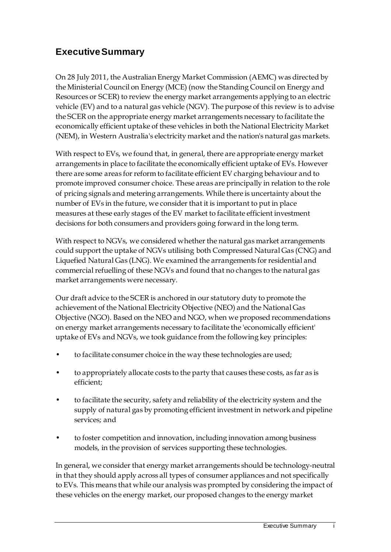# **Executive Summary**

On 28 July 2011, the Australian Energy Market Commission (AEMC) was directed by the Ministerial Council on Energy (MCE) (now the Standing Council on Energy and Resources or SCER) to review the energy market arrangements applying to an electric vehicle (EV) and to a natural gas vehicle (NGV). The purpose of this review is to advise the SCER on the appropriate energy market arrangements necessary to facilitate the economically efficient uptake of these vehicles in both the National Electricity Market (NEM), in Western Australia's electricity market and the nation's natural gas markets.

With respect to EVs, we found that, in general, there are appropriate energy market arrangements in place to facilitate the economically efficient uptake of EVs. However there are some areas for reform to facilitate efficient EV charging behaviour and to promote improved consumer choice. These areas are principally in relation to the role of pricing signals and metering arrangements. While there is uncertainty about the number of EVs in the future, we consider that it is important to put in place measures at these early stages of the EV market to facilitate efficient investment decisions for both consumers and providers going forward in the long term.

With respect to NGVs, we considered whether the natural gas market arrangements could support the uptake of NGVs utilising both Compressed Natural Gas (CNG) and Liquefied Natural Gas (LNG). We examined the arrangements for residential and commercial refuelling of these NGVs and found that no changes to the natural gas market arrangements were necessary.

Our draft advice to the SCER is anchored in our statutory duty to promote the achievement of the National Electricity Objective (NEO) and the National Gas Objective (NGO). Based on the NEO and NGO, when we proposed recommendations on energy market arrangements necessary to facilitate the 'economically efficient' uptake of EVs and NGVs, we took guidance from the following key principles:

- to facilitate consumer choice in the way these technologies are used;
- to appropriately allocate costs to the party that causes these costs, as far as is efficient;
- to facilitate the security, safety and reliability of the electricity system and the supply of natural gas by promoting efficient investment in network and pipeline services; and
- to foster competition and innovation, including innovation among business models, in the provision of services supporting these technologies.

In general, we consider that energy market arrangements should be technology-neutral in that they should apply across all types of consumer appliances and not specifically to EVs. This means that while our analysis was prompted by considering the impact of these vehicles on the energy market, our proposed changes to the energy market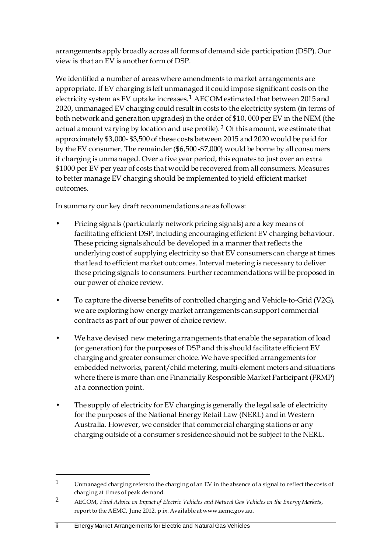arrangements apply broadly across all forms of demand side participation (DSP). Our view is that an EV is another form of DSP.

We identified a number of areas where amendments to market arrangements are appropriate. If EV charging is left unmanaged it could impose significant costs on the electricity system as EV uptake increases.<sup>[1](#page-3-0)</sup> AECOM estimated that between 2015 and 2020, unmanaged EV charging could result in costs to the electricity system (in terms of both network and generation upgrades) in the order of \$10, 000 per EV in the NEM (the actual amount varying by location and use profile).[2](#page-3-1) Of this amount, we estimate that approximately \$3,000- \$3,500 of these costs between 2015 and 2020 would be paid for by the EV consumer. The remainder (\$6,500 -\$7,000) would be borne by all consumers if charging is unmanaged. Over a five year period, this equates to just over an extra \$1000 per EV per year of costs that would be recovered from all consumers. Measures to better manage EV charging should be implemented to yield efficient market outcomes.

In summary our key draft recommendations are as follows:

- Pricing signals (particularly network pricing signals) are a key means of facilitating efficient DSP, including encouraging efficient EV charging behaviour. These pricing signals should be developed in a manner that reflects the underlying cost of supplying electricity so that EV consumers can charge at times that lead to efficient market outcomes. Interval metering is necessary to deliver these pricing signals to consumers. Further recommendations will be proposed in our power of choice review.
- To capture the diverse benefits of controlled charging and Vehicle-to-Grid (V2G), we are exploring how energy market arrangements can support commercial contracts as part of our power of choice review.
- We have devised new metering arrangements that enable the separation of load (or generation) for the purposes of DSP and this should facilitate efficient EV charging and greater consumer choice. We have specified arrangements for embedded networks, parent/child metering, multi-element meters and situations where there is more than one Financially Responsible Market Participant (FRMP) at a connection point.
- The supply of electricity for EV charging is generally the legal sale of electricity for the purposes of the National Energy Retail Law (NERL) and in Western Australia. However, we consider that commercial charging stations or any charging outside of a consumer's residence should not be subject to the NERL.

<span id="page-3-0"></span><sup>1</sup> Unmanaged charging refers to the charging of an EV in the absence of a signal to reflect the costs of charging at times of peak demand.

<span id="page-3-1"></span><sup>2</sup> AECOM, *Final Advice on Impact of Electric Vehicles and Natural Gas Vehicles on the Energy Markets*, report to the AEMC, June 2012. p ix. Available at www.aemc.gov.au.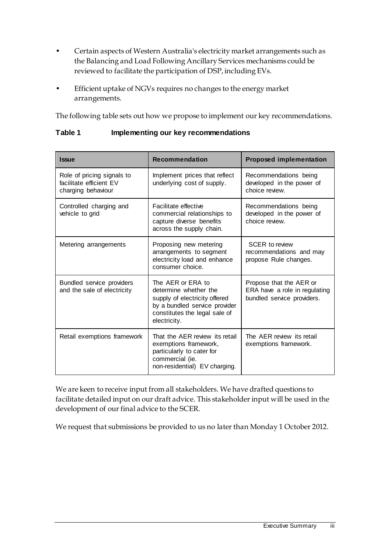- Certain aspects of Western Australia's electricity market arrangements such as the Balancing and Load Following Ancillary Services mechanisms could be reviewed to facilitate the participation of DSP, including EVs.
- Efficient uptake of NGVs requires no changes to the energy market arrangements.

The following table sets out how we propose to implement our key recommendations.

| <b>Issue</b>                                                                | <b>Recommendation</b>                                                                                                                                         | <b>Proposed implementation</b>                                                         |
|-----------------------------------------------------------------------------|---------------------------------------------------------------------------------------------------------------------------------------------------------------|----------------------------------------------------------------------------------------|
| Role of pricing signals to<br>facilitate efficient EV<br>charging behaviour | Implement prices that reflect<br>underlying cost of supply.                                                                                                   | Recommendations being<br>developed in the power of<br>choice review.                   |
| Controlled charging and<br>vehicle to grid                                  | Facilitate effective<br>commercial relationships to<br>capture diverse benefits<br>across the supply chain.                                                   | Recommendations being<br>developed in the power of<br>choice review.                   |
| Metering arrangements                                                       | Proposing new metering<br>arrangements to segment<br>electricity load and enhance<br>consumer choice.                                                         | <b>SCER to review</b><br>recommendations and may<br>propose Rule changes.              |
| <b>Bundled service providers</b><br>and the sale of electricity             | The AER or ERA to<br>determine whether the<br>supply of electricity offered<br>by a bundled service provider<br>constitutes the legal sale of<br>electricity. | Propose that the AER or<br>ERA have a role in regulating<br>bundled service providers. |
| Retail exemptions framework                                                 | That the AER review its retail<br>exemptions framework,<br>particularly to cater for<br>commercial (ie.<br>non-residential) EV charging.                      | The AER review its retail<br>exemptions framework.                                     |

**Table 1 Implementing our key recommendations**

We are keen to receive input from all stakeholders. We have drafted questions to facilitate detailed input on our draft advice. This stakeholder input will be used in the development of our final advice to the SCER.

We request that submissions be provided to us no later than Monday 1 October 2012.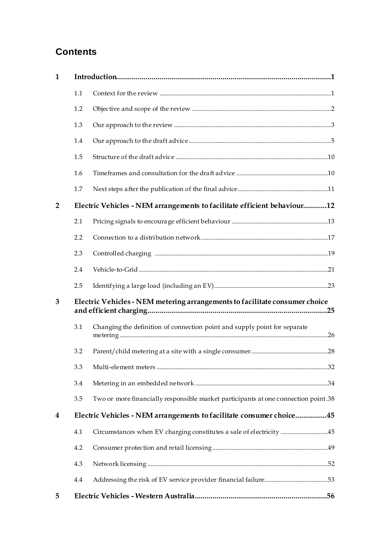# **Contents**

| $\mathbf 1$    |                                                                             |                                                                                     |  |
|----------------|-----------------------------------------------------------------------------|-------------------------------------------------------------------------------------|--|
|                | 1.1                                                                         |                                                                                     |  |
|                | 1.2                                                                         |                                                                                     |  |
|                | 1.3                                                                         |                                                                                     |  |
|                | 1.4                                                                         |                                                                                     |  |
|                | 1.5                                                                         |                                                                                     |  |
|                | 1.6                                                                         |                                                                                     |  |
|                | 1.7                                                                         |                                                                                     |  |
| $\overline{2}$ |                                                                             | Electric Vehicles - NEM arrangements to facilitate efficient behaviour12            |  |
|                | 2.1                                                                         |                                                                                     |  |
|                | 2.2                                                                         |                                                                                     |  |
|                | 2.3                                                                         |                                                                                     |  |
|                | 2.4                                                                         |                                                                                     |  |
|                | 2.5                                                                         |                                                                                     |  |
| 3              | Electric Vehicles - NEM metering arrangements to facilitate consumer choice |                                                                                     |  |
|                | 3.1                                                                         | Changing the definition of connection point and supply point for separate           |  |
|                | 3.2                                                                         |                                                                                     |  |
|                |                                                                             |                                                                                     |  |
|                | 3.4                                                                         |                                                                                     |  |
|                | 3.5                                                                         | Two or more financially responsible market participants at one connection point .38 |  |
| 4              |                                                                             | Electric Vehicles - NEM arrangements to facilitate consumer choice45                |  |
|                | 4.1                                                                         | Circumstances when EV charging constitutes a sale of electricity 45                 |  |
|                | 4.2                                                                         |                                                                                     |  |
|                | 4.3                                                                         |                                                                                     |  |
|                | 4.4                                                                         |                                                                                     |  |
| 5              |                                                                             |                                                                                     |  |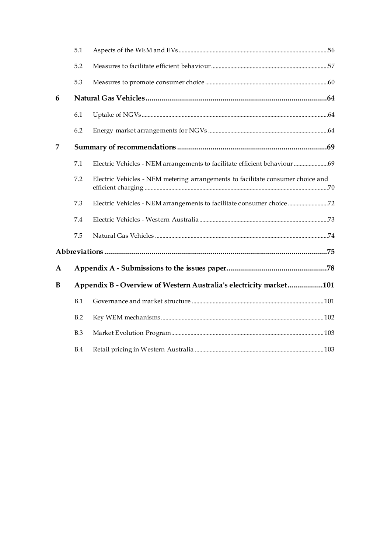|   | 5.1 |                                                                                 |  |
|---|-----|---------------------------------------------------------------------------------|--|
|   | 5.2 |                                                                                 |  |
|   | 5.3 |                                                                                 |  |
| 6 |     |                                                                                 |  |
|   | 6.1 |                                                                                 |  |
|   | 6.2 |                                                                                 |  |
| 7 |     |                                                                                 |  |
|   | 7.1 | Electric Vehicles - NEM arrangements to facilitate efficient behaviour  69      |  |
|   | 7.2 | Electric Vehicles - NEM metering arrangements to facilitate consumer choice and |  |
|   | 7.3 | Electric Vehicles - NEM arrangements to facilitate consumer choice 72           |  |
|   | 7.4 |                                                                                 |  |
|   | 7.5 |                                                                                 |  |
|   |     |                                                                                 |  |
| A |     |                                                                                 |  |
| B |     | Appendix B - Overview of Western Australia's electricity market101              |  |
|   | B.1 |                                                                                 |  |
|   | B.2 |                                                                                 |  |
|   | B.3 |                                                                                 |  |
|   | B.4 |                                                                                 |  |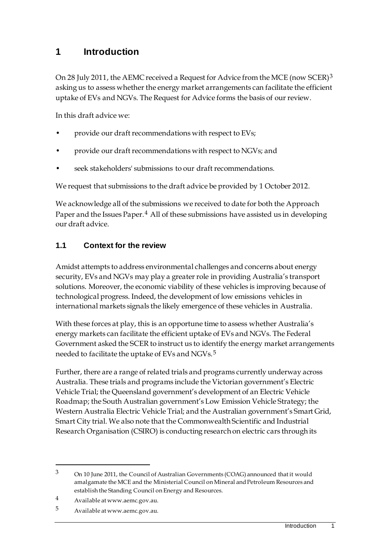# <span id="page-8-0"></span>**1 Introduction**

On 28 July 2011, the AEMC received a Request for Advice from the MCE (now SCER)[3](#page-8-2) asking us to assess whether the energy market arrangements can facilitate the efficient uptake of EVs and NGVs. The Request for Advice forms the basis of our review.

In this draft advice we:

- provide our draft recommendations with respect to EVs;
- provide our draft recommendations with respect to NGVs; and
- seek stakeholders' submissions to our draft recommendations.

We request that submissions to the draft advice be provided by 1 October 2012.

We acknowledge all of the submissions we received to date for both the Approach Paper and the Issues Paper.<sup>[4](#page-8-3)</sup> All of these submissions have assisted us in developing our draft advice.

# <span id="page-8-1"></span>**1.1 Context for the review**

Amidst attempts to address environmental challenges and concerns about energy security, EVs and NGVs may play a greater role in providing Australia's transport solutions. Moreover, the economic viability of these vehicles is improving because of technological progress. Indeed, the development of low emissions vehicles in international markets signals the likely emergence of these vehicles in Australia.

With these forces at play, this is an opportune time to assess whether Australia's energy markets can facilitate the efficient uptake of EVs and NGVs. The Federal Government asked the SCER to instruct us to identify the energy market arrangements needed to facilitate the uptake of EVs and NGVs.<sup>[5](#page-8-4)</sup>

Further, there are a range of related trials and programs currently underway across Australia. These trials and programs include the Victorian government's Electric Vehicle Trial; the Queensland government's development of an Electric Vehicle Roadmap; the South Australian government's Low Emission Vehicle Strategy; the Western Australia Electric Vehicle Trial; and the Australian government's Smart Grid, Smart City trial. We also note that the Commonwealth Scientific and Industrial Research Organisation (CSIRO) is conducting research on electric cars through its

<u>.</u>

<span id="page-8-2"></span><sup>3</sup> On 10 June 2011, the Council of Australian Governments (COAG) announced that it would amalgamate the MCE and the Ministerial Council on Mineral and Petroleum Resources and establish the Standing Council on Energy and Resources.

<span id="page-8-3"></span><sup>4</sup> Available at www.aemc.gov.au.

<span id="page-8-4"></span><sup>5</sup> Available at www.aemc.gov.au.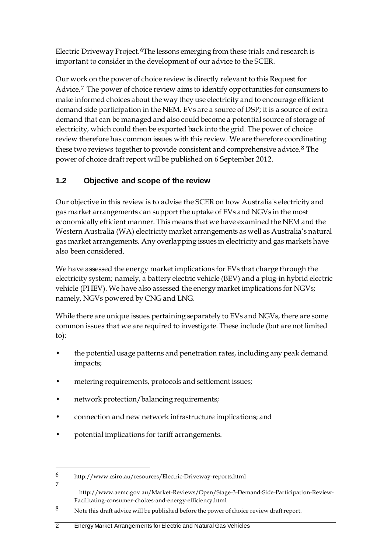Electric Driveway Project.<sup>[6](#page-9-1)</sup>The lessons emerging from these trials and research is important to consider in the development of our advice to the SCER.

Our work on the power of choice review is directly relevant to this Request for Advice.[7](#page-9-2) The power of choice review aims to identify opportunities for consumers to make informed choices about the way they use electricity and to encourage efficient demand side participation in the NEM. EVs are a source of DSP; it is a source of extra demand that can be managed and also could become a potential source of storage of electricity, which could then be exported back into the grid. The power of choice review therefore has common issues with this review. We are therefore coordinating these two reviews together to provide consistent and comprehensive advice.<sup>[8](#page-9-3)</sup> The power of choice draft report will be published on 6 September 2012.

# <span id="page-9-0"></span>**1.2 Objective and scope of the review**

Our objective in this review is to advise the SCER on how Australia's electricity and gas market arrangements can support the uptake of EVs and NGVs in the most economically efficient manner. This means that we have examined the NEM and the Western Australia (WA) electricity market arrangements as well as Australia's natural gas market arrangements. Any overlapping issues in electricity and gas markets have also been considered.

We have assessed the energy market implications for EVs that charge through the electricity system; namely, a battery electric vehicle (BEV) and a plug-in hybrid electric vehicle (PHEV). We have also assessed the energy market implications for NGVs; namely, NGVs powered by CNG and LNG.

While there are unique issues pertaining separately to EVs and NGVs, there are some common issues that we are required to investigate. These include (but are not limited to):

- the potential usage patterns and penetration rates, including any peak demand impacts;
- metering requirements, protocols and settlement issues;
- network protection/balancing requirements;
- connection and new network infrastructure implications; and
- potential implications for tariff arrangements.

-

http://www.aemc.gov.au/Market-Reviews/Open/Stage-3-Demand-Side-Participation-Review-Facilitating-consumer-choices-and-energy-efficiency.html

#### 2 Energy Market Arrangements for Electric and Natural Gas Vehicles

<span id="page-9-1"></span><sup>6</sup> http://www.csiro.au/resources/Electric-Driveway-reports.html 7

<span id="page-9-3"></span><span id="page-9-2"></span><sup>8</sup> Note this draft advice will be published before the power of choice review draft report.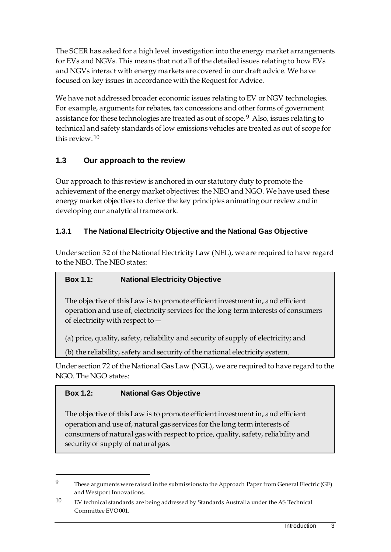The SCER has asked for a high level investigation into the energy market arrangements for EVs and NGVs. This means that not all of the detailed issues relating to how EVs and NGVs interact with energy markets are covered in our draft advice. We have focused on key issues in accordance with the Request for Advice.

We have not addressed broader economic issues relating to EV or NGV technologies. For example, arguments for rebates, tax concessions and other forms of government assistance for these technologies are treated as out of scope.[9](#page-10-1) Also, issues relating to technical and safety standards of low emissions vehicles are treated as out of scope for this review.  $10$ 

# <span id="page-10-0"></span>**1.3 Our approach to the review**

Our approach to this review is anchored in our statutory duty to promote the achievement of the energy market objectives: the NEO and NGO. We have used these energy market objectives to derive the key principles animating our review and in developing our analytical framework.

# **1.3.1 The National Electricity Objective and the National Gas Objective**

Under section 32 of the National Electricity Law (NEL), we are required to have regard to the NEO. The NEO states:

# **Box 1.1: National Electricity Objective**

The objective of this Law is to promote efficient investment in, and efficient operation and use of, electricity services for the long term interests of consumers of electricity with respect to ―

(a) price, quality, safety, reliability and security of supply of electricity; and

(b) the reliability, safety and security of the national electricity system.

Under section 72 of the National Gas Law (NGL), we are required to have regard to the NGO. The NGO states:

# **Box 1.2: National Gas Objective**

-

The objective of this Law is to promote efficient investment in, and efficient operation and use of, natural gas services for the long term interests of consumers of natural gas with respect to price, quality, safety, reliability and security of supply of natural gas.

<span id="page-10-1"></span><sup>9</sup> These arguments were raised in the submissions to the Approach Paper from General Electric (GE) and Westport Innovations.

<span id="page-10-2"></span><sup>10</sup> EV technical standards are being addressed by Standards Australia under the AS Technical Committee EVO 001.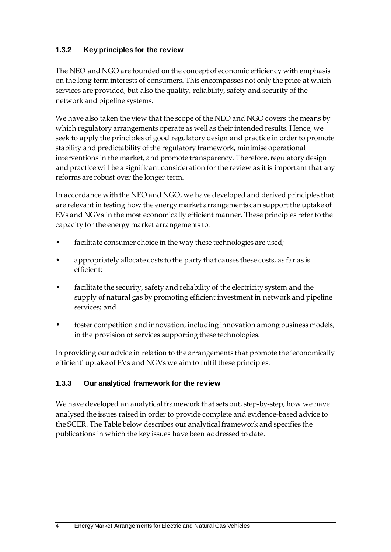## **1.3.2 Key principles for the review**

The NEO and NGO are founded on the concept of economic efficiency with emphasis on the long term interests of consumers. This encompasses not only the price at which services are provided, but also the quality, reliability, safety and security of the network and pipeline systems.

We have also taken the view that the scope of the NEO and NGO covers the means by which regulatory arrangements operate as well as their intended results. Hence, we seek to apply the principles of good regulatory design and practice in order to promote stability and predictability of the regulatory framework, minimise operational interventions in the market, and promote transparency. Therefore, regulatory design and practice will be a significant consideration for the review as it is important that any reforms are robust over the longer term.

In accordance with the NEO and NGO, we have developed and derived principles that are relevant in testing how the energy market arrangements can support the uptake of EVs and NGVs in the most economically efficient manner. These principles refer to the capacity for the energy market arrangements to:

- facilitate consumer choice in the way these technologies are used;
- appropriately allocate costs to the party that causes these costs, as far as is efficient;
- facilitate the security, safety and reliability of the electricity system and the supply of natural gas by promoting efficient investment in network and pipeline services; and
- foster competition and innovation, including innovation among business models, in the provision of services supporting these technologies.

In providing our advice in relation to the arrangements that promote the 'economically efficient' uptake of EVs and NGVs we aim to fulfil these principles.

# **1.3.3 Our analytical framework for the review**

We have developed an analytical framework that sets out, step-by-step, how we have analysed the issues raised in order to provide complete and evidence-based advice to the SCER. The Table below describes our analytical framework and specifies the publications in which the key issues have been addressed to date.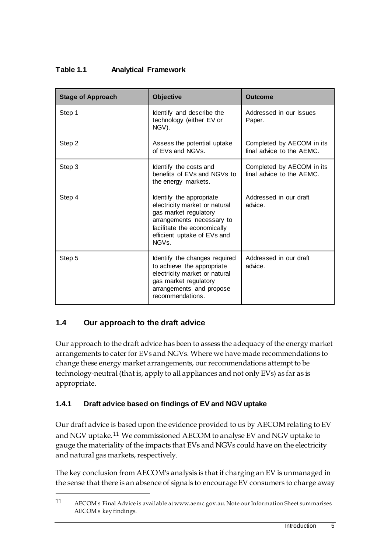## **Table 1.1 Analytical Framework**

| <b>Stage of Approach</b> | <b>Objective</b>                                                                                                                                                                                  | Outcome                                                |
|--------------------------|---------------------------------------------------------------------------------------------------------------------------------------------------------------------------------------------------|--------------------------------------------------------|
| Step 1                   | Identify and describe the<br>technology (either EV or<br>NGV).                                                                                                                                    | Addressed in our Issues<br>Paper.                      |
| Step 2                   | Assess the potential uptake<br>of EVs and NGVs.                                                                                                                                                   | Completed by AECOM in its<br>final advice to the AEMC. |
| Step 3                   | Identify the costs and<br>benefits of EVs and NGVs to<br>the energy markets.                                                                                                                      | Completed by AECOM in its<br>final advice to the AEMC. |
| Step 4                   | Identify the appropriate<br>electricity market or natural<br>gas market regulatory<br>arrangements necessary to<br>facilitate the economically<br>efficient uptake of EVs and<br>NGV <sub>S</sub> | Addressed in our draft<br>advice.                      |
| Step 5                   | Identify the changes required<br>to achieve the appropriate<br>electricity market or natural<br>gas market regulatory<br>arrangements and propose<br>recommendations.                             | Addressed in our draft<br>advice.                      |

# <span id="page-12-0"></span>**1.4 Our approach to the draft advice**

<u>.</u>

Our approach to the draft advice has been to assess the adequacy of the energy market arrangements to cater for EVs and NGVs. Where we have made recommendations to change these energy market arrangements, our recommendations attempt to be technology-neutral (that is, apply to all appliances and not only EVs) as far as is appropriate.

### **1.4.1 Draft advice based on findings of EV and NGV uptake**

Our draft advice is based upon the evidence provided to us by AECOM relating to EV and NGV uptake.[11](#page-12-1) We commissioned AECOM to analyse EV and NGV uptake to gauge the materiality of the impacts that EVs and NGVs could have on the electricity and natural gas markets, respectively.

The key conclusion from AECOM's analysis is that if charging an EV is unmanaged in the sense that there is an absence of signals to encourage EV consumers to charge away

<span id="page-12-1"></span><sup>11</sup> AECOM's Final Advice is available at www.aemc.gov.au. Note our Information Sheet summarises AECOM's key findings.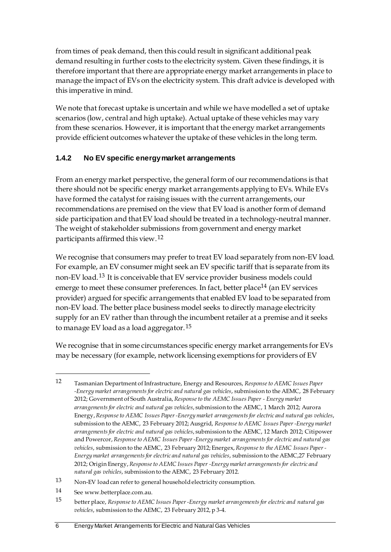from times of peak demand, then this could result in significant additional peak demand resulting in further costs to the electricity system. Given these findings, it is therefore important that there are appropriate energy market arrangements in place to manage the impact of EVs on the electricity system. This draft advice is developed with this imperative in mind.

We note that forecast uptake is uncertain and while we have modelled a set of uptake scenarios (low, central and high uptake). Actual uptake of these vehicles may vary from these scenarios. However, it is important that the energy market arrangements provide efficient outcomes whatever the uptake of these vehicles in the long term.

# **1.4.2 No EV specific energy market arrangements**

From an energy market perspective, the general form of our recommendations is that there should not be specific energy market arrangements applying to EVs. While EVs have formed the catalyst for raising issues with the current arrangements, our recommendations are premised on the view that EV load is another form of demand side participation and that EV load should be treated in a technology-neutral manner. The weight of stakeholder submissions from government and energy market participants affirmed this view.[12](#page-13-0)

We recognise that consumers may prefer to treat EV load separately from non-EV load. For example, an EV consumer might seek an EV specific tariff that is separate from its non-EV load.[13](#page-13-1) It is conceivable that EV service provider business models could emerge to meet these consumer preferences. In fact, better place<sup>[14](#page-13-2)</sup> (an EV services provider) argued for specific arrangements that enabled EV load to be separated from non-EV load. The better place business model seeks to directly manage electricity supply for an EV rather than through the incumbent retailer at a premise and it seeks to manage EV load as a load aggregator.<sup>[15](#page-13-3)</sup>

We recognise that in some circumstances specific energy market arrangements for EVs may be necessary (for example, network licensing exemptions for providers of EV

<span id="page-13-2"></span>14 See www.betterplace.com.au.

-

<span id="page-13-3"></span>15 better place, *Response to AEMC Issues Paper -Energy market arrangements for electric and natural gas vehicles*, submission to the AEMC, 23 February 2012, p 3-4.

<span id="page-13-0"></span><sup>12</sup> Tasmanian Department of Infrastructure, Energy and Resources, *Response to AEMC Issues Paper -Energy market arrangements for electric and natural gas vehicles*, submission to the AEMC, 28 February 2012; Government of South Australia, *Response to the AEMC Issues Paper - Energy market arrangements for electric and natural gas vehicles*, submission to the AEMC, 1 March 2012; Aurora Energy, *Response to AEMC Issues Paper -Energy market arrangements for electric and natural gas vehicles*, submission to the AEMC, 23 February 2012; Ausgrid, *Response to AEMC Issues Paper -Energy market arrangements for electric and natural gas vehicles*, submission to the AEMC, 12 March 2012; Citipower and Powercor, *Response to AEMC Issues Paper -Energy market arrangements for electric and natural gas vehicles*, submission to the AEMC, 23 February 2012; Energex, *Response to the AEMC Issues Paper - Energy market arrangements for electric and natural gas vehicles*, submission to the AEMC,27 February 2012; Origin Energy, *Response to AEMC Issues Paper -Energy market arrangements for electric and natural gas vehicles*, submission to the AEMC, 23 February 2012.

<span id="page-13-1"></span><sup>13</sup> Non-EV load can refer to general household electricity consumption.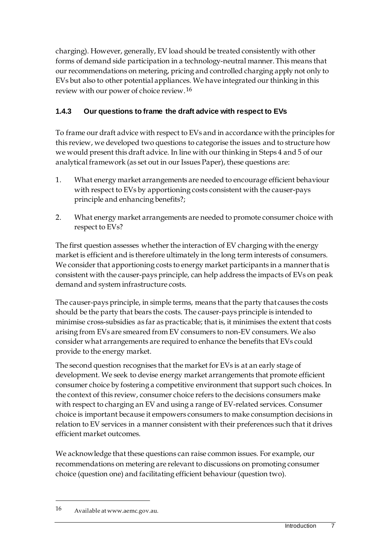charging). However, generally, EV load should be treated consistently with other forms of demand side participation in a technology-neutral manner. This means that our recommendations on metering, pricing and controlled charging apply not only to EVs but also to other potential appliances. We have integrated our thinking in this review with our power of choice review.[16](#page-14-0)

# **1.4.3 Our questions to frame the draft advice with respect to EVs**

To frame our draft advice with respect to EVs and in accordance with the principles for this review, we developed two questions to categorise the issues and to structure how we would present this draft advice. In line with our thinking in Steps 4 and 5 of our analytical framework (as set out in our Issues Paper), these questions are:

- 1. What energy market arrangements are needed to encourage efficient behaviour with respect to EVs by apportioning costs consistent with the causer-pays principle and enhancing benefits?;
- 2. What energy market arrangements are needed to promote consumer choice with respect to EVs?

The first question assesses whether the interaction of EV charging with the energy market is efficient and is therefore ultimately in the long term interests of consumers. We consider that apportioning costs to energy market participants in a manner that is consistent with the causer-pays principle, can help address the impacts of EVs on peak demand and system infrastructure costs.

The causer-pays principle, in simple terms, means that the party that causes the costs should be the party that bears the costs. The causer-pays principle is intended to minimise cross-subsidies as far as practicable; that is, it minimises the extent that costs arising from EVs are smeared from EV consumers to non-EV consumers. We also consider what arrangements are required to enhance the benefits that EVs could provide to the energy market.

The second question recognises that the market for EVs is at an early stage of development. We seek to devise energy market arrangements that promote efficient consumer choice by fostering a competitive environment that support such choices. In the context of this review, consumer choice refers to the decisions consumers make with respect to charging an EV and using a range of EV-related services. Consumer choice is important because it empowers consumers to make consumption decisions in relation to EV services in a manner consistent with their preferences such that it drives efficient market outcomes.

We acknowledge that these questions can raise common issues. For example, our recommendations on metering are relevant to discussions on promoting consumer choice (question one) and facilitating efficient behaviour (question two).

<u>.</u>

<span id="page-14-0"></span><sup>16</sup> Available at www.aemc.gov.au.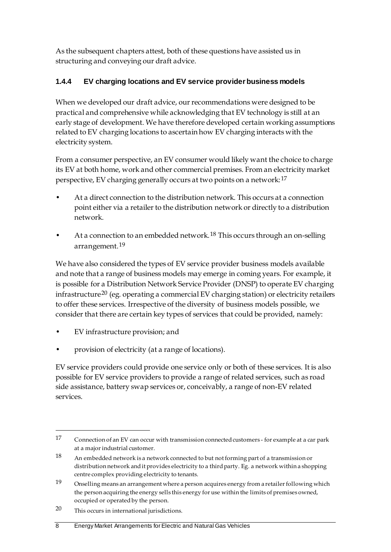As the subsequent chapters attest, both of these questions have assisted us in structuring and conveying our draft advice.

# **1.4.4 EV charging locations and EV service provider business models**

When we developed our draft advice, our recommendations were designed to be practical and comprehensive while acknowledging that EV technology is still at an early stage of development. We have therefore developed certain working assumptions related to EV charging locations to ascertain how EV charging interacts with the electricity system.

From a consumer perspective, an EV consumer would likely want the choice to charge its EV at both home, work and other commercial premises. From an electricity market perspective, EV charging generally occurs at two points on a network:[17](#page-15-0)

- At a direct connection to the distribution network. This occurs at a connection point either via a retailer to the distribution network or directly to a distribution network.
- At a connection to an embedded network.<sup>[18](#page-15-1)</sup> This occurs through an on-selling arrangement.[19](#page-15-2)

We have also considered the types of EV service provider business models available and note that a range of business models may emerge in coming years. For example, it is possible for a Distribution Network Service Provider (DNSP) to operate EV charging infrastructure<sup>[20](#page-15-3)</sup> (eg. operating a commercial EV charging station) or electricity retailers to offer these services. Irrespective of the diversity of business models possible, we consider that there are certain key types of services that could be provided, namely:

- EV infrastructure provision; and
- provision of electricity (at a range of locations).

EV service providers could provide one service only or both of these services. It is also possible for EV service providers to provide a range of related services, such as road side assistance, battery swap services or, conceivably, a range of non-EV related services.

<span id="page-15-0"></span><sup>17</sup> Connection of an EV can occur with transmission connected customers - for example at a car park at a major industrial customer.

<span id="page-15-1"></span><sup>18</sup> An embedded network is a network connected to but not forming part of a transmission or distribution network and it provides electricity to a third party. Eg. a network within a shopping centre complex providing electricity to tenants.

<span id="page-15-2"></span><sup>19</sup> Onselling means an arrangement where a person acquires energy from a retailer following which the person acquiring the energy sells this energy for use within the limits of premises owned, occupied or operated by the person.

<span id="page-15-3"></span><sup>20</sup> This occurs in international jurisdictions.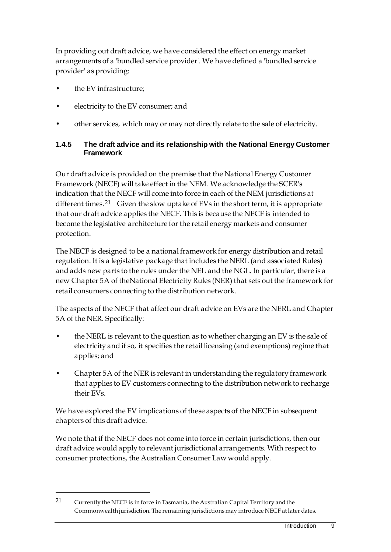In providing out draft advice, we have considered the effect on energy market arrangements of a 'bundled service provider'. We have defined a 'bundled service provider' as providing:

• the EV infrastructure;

<u>.</u>

- electricity to the EV consumer; and
- other services, which may or may not directly relate to the sale of electricity.

#### **1.4.5 The draft advice and its relationship with the National Energy Customer Framework**

Our draft advice is provided on the premise that the National Energy Customer Framework (NECF) will take effect in the NEM. We acknowledge the SCER's indication that the NECF will come into force in each of the NEM jurisdictions at different times.<sup>21</sup> Given the slow uptake of EVs in the short term, it is appropriate that our draft advice applies the NECF. This is because the NECF is intended to become the legislative architecture for the retail energy markets and consumer protection.

The NECF is designed to be a national framework for energy distribution and retail regulation. It is a legislative package that includes the NERL (and associated Rules) and adds new parts to the rules under the NEL and the NGL. In particular, there is a new Chapter 5A of theNational Electricity Rules (NER) that sets out the framework for retail consumers connecting to the distribution network.

The aspects of the NECF that affect our draft advice on EVs are the NERL and Chapter 5A of the NER. Specifically:

- the NERL is relevant to the question as to whether charging an EV is the sale of electricity and if so, it specifies the retail licensing (and exemptions) regime that applies; and
- Chapter 5A of the NER is relevant in understanding the regulatory framework that applies to EV customers connecting to the distribution network to recharge their EVs.

We have explored the EV implications of these aspects of the NECF in subsequent chapters of this draft advice.

We note that if the NECF does not come into force in certain jurisdictions, then our draft advice would apply to relevant jurisdictional arrangements. With respect to consumer protections, the Australian Consumer Law would apply.

<span id="page-16-0"></span><sup>21</sup> Currently the NECF is in force in Tasmania, the Australian Capital Territory and the Commonwealth jurisdiction. The remaining jurisdictions may introduce NECF at later dates.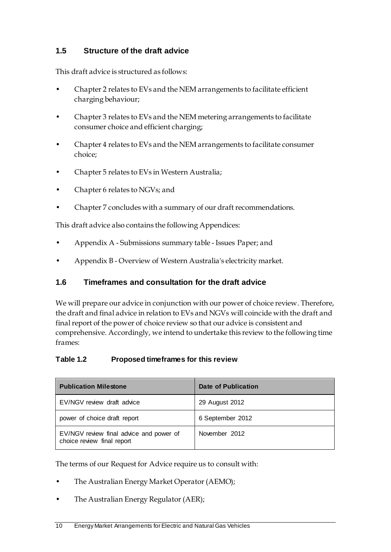## <span id="page-17-0"></span>**1.5 Structure of the draft advice**

This draft advice is structured as follows:

- Chapter 2 relates to EVs and the NEM arrangements to facilitate efficient charging behaviour;
- Chapter 3 relates to EVs and the NEM metering arrangements to facilitate consumer choice and efficient charging;
- Chapter 4 relates to EVs and the NEM arrangements to facilitate consumer choice;
- Chapter 5 relates to EVs in Western Australia;
- Chapter 6 relates to NGVs; and
- Chapter 7 concludes with a summary of our draft recommendations.

This draft advice also contains the following Appendices:

- Appendix A Submissions summary table Issues Paper; and
- Appendix B Overview of Western Australia's electricity market.

### <span id="page-17-1"></span>**1.6 Timeframes and consultation for the draft advice**

We will prepare our advice in conjunction with our power of choice review. Therefore, the draft and final advice in relation to EVs and NGVs will coincide with the draft and final report of the power of choice review so that our advice is consistent and comprehensive. Accordingly, we intend to undertake this review to the following time frames:

### **Table 1.2 Proposed timeframes for this review**

| <b>Publication Milestone</b>                                          | Date of Publication |  |
|-----------------------------------------------------------------------|---------------------|--|
| EV/NGV review draft advice                                            | 29 August 2012      |  |
| power of choice draft report                                          | 6 September 2012    |  |
| EV/NGV review final advice and power of<br>choice review final report | November 2012       |  |

The terms of our Request for Advice require us to consult with:

- The Australian Energy Market Operator (AEMO);
- The Australian Energy Regulator (AER);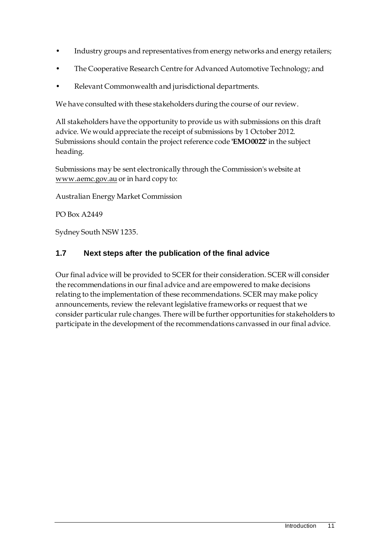- Industry groups and representatives from energy networks and energy retailers;
- The Cooperative Research Centre for Advanced Automotive Technology; and
- Relevant Commonwealth and jurisdictional departments.

We have consulted with these stakeholders during the course of our review.

All stakeholders have the opportunity to provide us with submissions on this draft advice. We would appreciate the receipt of submissions by 1 October 2012. Submissions should contain the project reference code **'EMO0022'** in the subject heading.

Submissions may be sent electronically through the Commission's website at www.aemc.gov.au or in hard copy to:

Australian Energy Market Commission

PO Box A2449

Sydney South NSW 1235.

## <span id="page-18-0"></span>**1.7 Next steps after the publication of the final advice**

Our final advice will be provided to SCER for their consideration. SCER will consider the recommendations in our final advice and are empowered to make decisions relating to the implementation of these recommendations. SCER may make policy announcements, review the relevant legislative frameworks or request that we consider particular rule changes. There will be further opportunities for stakeholders to participate in the development of the recommendations canvassed in our final advice.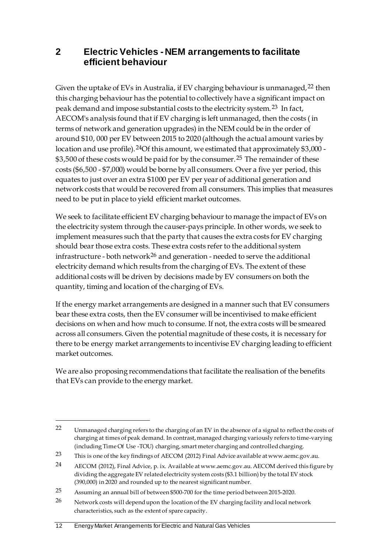# <span id="page-19-0"></span>**2 Electric Vehicles - NEM arrangements to facilitate efficient behaviour**

Given the uptake of EVs in Australia, if EV charging behaviour is unmanaged,  $22$  then this charging behaviour has the potential to collectively have a significant impact on peak demand and impose substantial costs to the electricity system.[23](#page-19-2) In fact, AECOM's analysis found that if EV charging is left unmanaged, then the costs ( in terms of network and generation upgrades) in the NEM could be in the order of around \$10, 000 per EV between 2015 to 2020 (although the actual amount varies by location and use profile).<sup>[24](#page-19-3)</sup>Of this amount, we estimated that approximately \$3,000 -\$3,500 of these costs would be paid for by the consumer.<sup>[25](#page-19-4)</sup> The remainder of these costs (\$6,500 - \$7,000) would be borne by all consumers. Over a five yer period, this equates to just over an extra \$1000 per EV per year of additional generation and network costs that would be recovered from all consumers. This implies that measures need to be put in place to yield efficient market outcomes.

We seek to facilitate efficient EV charging behaviour to manage the impact of EVs on the electricity system through the causer-pays principle. In other words, we seek to implement measures such that the party that causes the extra costs for EV charging should bear those extra costs. These extra costs refer to the additional system infrastructure - both network<sup>[26](#page-19-5)</sup> and generation - needed to serve the additional electricity demand which results from the charging of EVs. The extent of these additional costs will be driven by decisions made by EV consumers on both the quantity, timing and location of the charging of EVs.

If the energy market arrangements are designed in a manner such that EV consumers bear these extra costs, then the EV consumer will be incentivised to make efficient decisions on when and how much to consume. If not, the extra costs will be smeared across all consumers. Given the potential magnitude of these costs, it is necessary for there to be energy market arrangements to incentivise EV charging leading to efficient market outcomes.

We are also proposing recommendations that facilitate the realisation of the benefits that EVs can provide to the energy market.

#### 12 Energy Market Arrangements for Electric and Natural Gas Vehicles

<u>.</u>

<span id="page-19-1"></span><sup>22</sup> Unmanaged charging refers to the charging of an EV in the absence of a signal to reflect the costs of charging at times of peak demand. In contrast, managed charging variously refers to time-varying (including Time Of Use -TOU) charging, smart meter charging and controlled charging.

<span id="page-19-2"></span><sup>23</sup> This is one of the key findings of AECOM (2012) Final Advice available at www.aemc.gov.au.

<span id="page-19-3"></span><sup>24</sup> AECOM (2012), Final Advice, p. ix. Available at www.aemc.gov.au. AECOM derived this figure by dividing the aggregate EV related electricity system costs (\$3.1 billion) by the total EV stock (390,000) in 2020 and rounded up to the nearest significant number.

<span id="page-19-4"></span><sup>25</sup> Assuming an annual bill of between \$500-700 for the time period between 2015-2020.

<span id="page-19-5"></span><sup>26</sup> Network costs will depend upon the location of the EV charging facility and local network characteristics, such as the extent of spare capacity.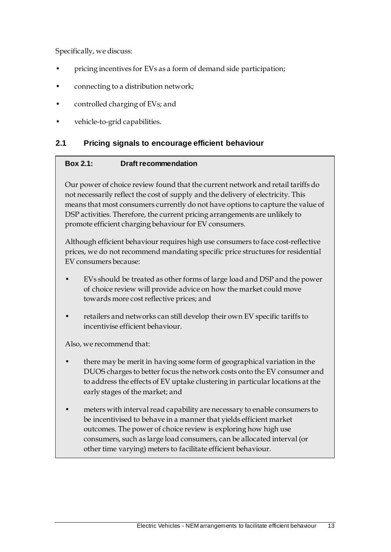Specifically, we discuss:

- pricing incentives for EVs as a form of demand side participation;
- connecting to a distribution network;
- controlled charging of EVs; and
- vehicle-to-grid capabilities.

#### <span id="page-20-0"></span>**2.1 Pricing signals to encourage efficient behaviour**

#### **Box 2.1: Draft recommendation**

Our power of choice review found that the current network and retail tariffs do not necessarily reflect the cost of supply and the delivery of electricity. This means that most consumers currently do not have options to capture the value of DSP activities. Therefore, the current pricing arrangements are unlikely to promote efficient charging behaviour for EV consumers.

Although efficient behaviour requires high use consumers to face cost-reflective prices, we do not recommend mandating specific price structures for residential EV consumers because:

- EVs should be treated as other forms of large load and DSP and the power of choice review will provide advice on how the market could move towards more cost reflective prices; and
- retailers and networks can still develop their own EV specific tariffs to incentivise efficient behaviour.

Also, we recommend that:

- there may be merit in having some form of geographical variation in the DUOS charges to better focus the network costs onto the EV consumer and to address the effects of EV uptake clustering in particular locations at the early stages of the market; and
- meters with interval read capability are necessary to enable consumers to be incentivised to behave in a manner that yields efficient market outcomes. The power of choice review is exploring how high use consumers, such as large load consumers, can be allocated interval (or other time varying) meters to facilitate efficient behaviour.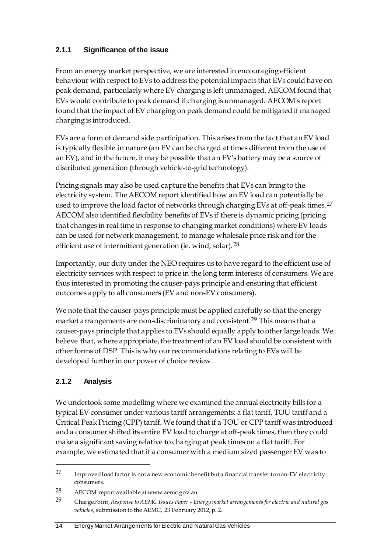# **2.1.1 Significance of the issue**

From an energy market perspective, we are interested in encouraging efficient behaviour with respect to EVs to address the potential impacts that EVs could have on peak demand, particularly where EV charging is left unmanaged. AECOM found that EVs would contribute to peak demand if charging is unmanaged. AECOM's report found that the impact of EV charging on peak demand could be mitigated if managed charging is introduced.

EVs are a form of demand side participation. This arises from the fact that an EV load is typically flexible in nature (an EV can be charged at times different from the use of an EV), and in the future, it may be possible that an EV's battery may be a source of distributed generation (through vehicle-to-grid technology).

Pricing signals may also be used capture the benefits that EVs can bring to the electricity system. The AECOM report identified how an EV load can potentially be used to improve the load factor of networks through charging EVs at off-peak times.<sup>[27](#page-21-0)</sup> AECOM also identified flexibility benefits of EVs if there is dynamic pricing (pricing that changes in real time in response to changing market conditions) where EV loads can be used for network management, to manage wholesale price risk and for the efficient use of intermittent generation (ie. wind, solar).[28](#page-21-1)

Importantly, our duty under the NEO requires us to have regard to the efficient use of electricity services with respect to price in the long term interests of consumers. We are thus interested in promoting the causer-pays principle and ensuring that efficient outcomes apply to all consumers (EV and non-EV consumers).

We note that the causer-pays principle must be applied carefully so that the energy market arrangements are non-discriminatory and consistent.[29](#page-21-2) This means that a causer-pays principle that applies to EVs should equally apply to other large loads. We believe that, where appropriate, the treatment of an EV load should be consistent with other forms of DSP. This is why our recommendations relating to EVs will be developed further in our power of choice review.

### **2.1.2 Analysis**

<u>.</u>

We undertook some modelling where we examined the annual electricity bills for a typical EV consumer under various tariff arrangements: a flat tariff, TOU tariff and a Critical Peak Pricing (CPP) tariff. We found that if a TOU or CPP tariff was introduced and a consumer shifted its entire EV load to charge at off-peak times, then they could make a significant saving relative to charging at peak times on a flat tariff. For example, we estimated that if a consumer with a medium sized passenger EV was to

<span id="page-21-0"></span><sup>27</sup> Improved load factor is not a new economic benefit but a financial transfer to non-EV electricity consumers.

<span id="page-21-1"></span><sup>28</sup> AECOM report available at www.aemc.gov.au.

<span id="page-21-2"></span><sup>29</sup> ChargePoint, *Response to AEMC Issues Paper - Energy market arrangements for electric and natural gas vehicles*, submission to the AEMC, 23 February 2012, p. 2.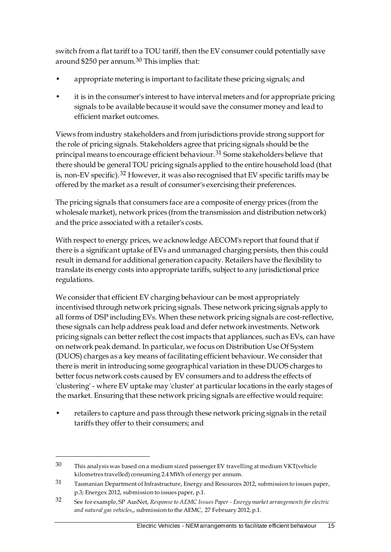switch from a flat tariff to a TOU tariff, then the EV consumer could potentially save around \$250 per annum.[30](#page-22-0) This implies that:

- appropriate metering is important to facilitate these pricing signals; and
- it is in the consumer's interest to have interval meters and for appropriate pricing signals to be available because it would save the consumer money and lead to efficient market outcomes.

Views from industry stakeholders and from jurisdictions provide strong support for the role of pricing signals. Stakeholders agree that pricing signals should be the principal means to encourage efficient behaviour.[31](#page-22-1) Some stakeholders believe that there should be general TOU pricing signals applied to the entire household load (that is, non-EV specific).[32](#page-22-2) However, it was also recognised that EV specific tariffs may be offered by the market as a result of consumer's exercising their preferences.

The pricing signals that consumers face are a composite of energy prices (from the wholesale market), network prices (from the transmission and distribution network) and the price associated with a retailer's costs.

With respect to energy prices, we acknowledge AECOM's report that found that if there is a significant uptake of EVs and unmanaged charging persists, then this could result in demand for additional generation capacity. Retailers have the flexibility to translate its energy costs into appropriate tariffs, subject to any jurisdictional price regulations.

We consider that efficient EV charging behaviour can be most appropriately incentivised through network pricing signals. These network pricing signals apply to all forms of DSP including EVs. When these network pricing signals are cost-reflective, these signals can help address peak load and defer network investments. Network pricing signals can better reflect the cost impacts that appliances, such as EVs, can have on network peak demand. In particular, we focus on Distribution Use Of System (DUOS) charges as a key means of facilitating efficient behaviour. We consider that there is merit in introducing some geographical variation in these DUOS charges to better focus network costs caused by EV consumers and to address the effects of 'clustering' - where EV uptake may 'cluster' at particular locations in the early stages of the market. Ensuring that these network pricing signals are effective would require:

• retailers to capture and pass through these network pricing signals in the retail tariffs they offer to their consumers; and

<u>.</u>

<span id="page-22-0"></span><sup>30</sup> This analysis was based on a medium sized passenger EV travelling at medium VKT(vehicle kilometres travelled) consuming 2.4 MWh of energy per annum.

<span id="page-22-1"></span><sup>31</sup> Tasmanian Department of Infrastructure, Energy and Resources 2012, submission to issues paper, p.3; Energex 2012, submission to issues paper, p.1.

<span id="page-22-2"></span><sup>32</sup> See for example, SP AusNet, *Response to AEMC Issues Paper - Energy market arrangements for electric and natural gas vehicles*,, submission to the AEMC, 27 February 2012, p.1.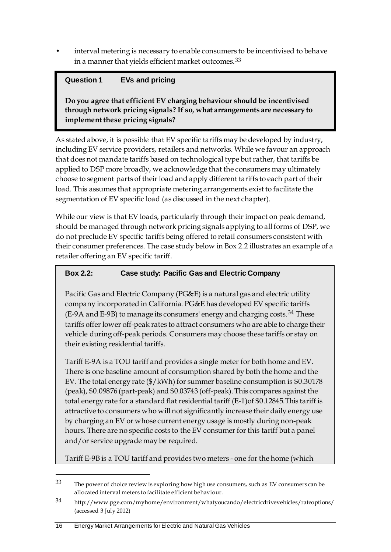• interval metering is necessary to enable consumers to be incentivised to behave in a manner that yields efficient market outcomes.<sup>[33](#page-23-0)</sup>

# **Question 1 EVs and pricing**

**Do you agree that efficient EV charging behaviour should be incentivised through network pricing signals? If so, what arrangements are necessary to implement these pricing signals?**

As stated above, it is possible that EV specific tariffs may be developed by industry, including EV service providers, retailers and networks. While we favour an approach that does not mandate tariffs based on technological type but rather, that tariffs be applied to DSP more broadly, we acknowledge that the consumers may ultimately choose to segment parts of their load and apply different tariffs to each part of their load. This assumes that appropriate metering arrangements exist to facilitate the segmentation of EV specific load (as discussed in the next chapter).

While our view is that EV loads, particularly through their impact on peak demand, should be managed through network pricing signals applying to all forms of DSP, we do not preclude EV specific tariffs being offered to retail consumers consistent with their consumer preferences. The case study below in Box 2.2 illustrates an example of a retailer offering an EV specific tariff.

## **Box 2.2: Case study: Pacific Gas and Electric Company**

Pacific Gas and Electric Company (PG&E) is a natural gas and electric utility company incorporated in California. PG&E has developed EV specific tariffs (E-9A and E-9B) to manage its consumers' energy and charging costs.[34](#page-23-1) These tariffs offer lower off-peak rates to attract consumers who are able to charge their vehicle during off-peak periods. Consumers may choose these tariffs or stay on their existing residential tariffs.

Tariff E-9A is a TOU tariff and provides a single meter for both home and EV. There is one baseline amount of consumption shared by both the home and the EV. The total energy rate (\$/kWh) for summer baseline consumption is \$0.30178 (peak), \$0.09876 (part-peak) and \$0.03743 (off-peak). This compares against the total energy rate for a standard flat residential tariff (E-1)of \$0.12845.This tariff is attractive to consumers who will not significantly increase their daily energy use by charging an EV or whose current energy usage is mostly during non-peak hours. There are no specific costs to the EV consumer for this tariff but a panel and/or service upgrade may be required.

Tariff E-9B is a TOU tariff and provides two meters - one for the home (which

<span id="page-23-0"></span> $33$  The power of choice review is exploring how high use consumers, such as EV consumers can be allocated interval meters to facilitate efficient behaviour.

<span id="page-23-1"></span><sup>34</sup> http://www.pge.com/myhome/environment/whatyoucando/electricdrivevehicles/rateoptions/ (accessed 3 July 2012)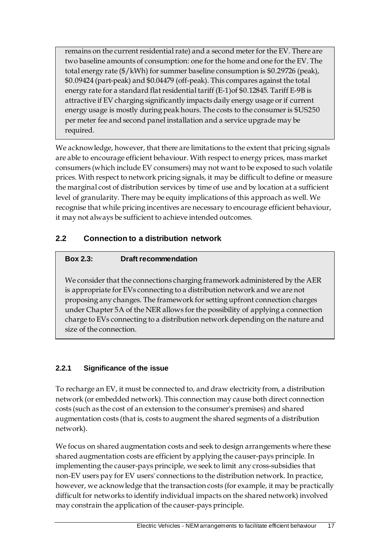remains on the current residential rate) and a second meter for the EV. There are two baseline amounts of consumption: one for the home and one for the EV. The total energy rate (\$/kWh) for summer baseline consumption is \$0.29726 (peak), \$0.09424 (part-peak) and \$0.04479 (off-peak). This compares against the total energy rate for a standard flat residential tariff (E-1)of \$0.12845. Tariff E-9B is attractive if EV charging significantly impacts daily energy usage or if current energy usage is mostly during peak hours. The costs to the consumer is \$US250 per meter fee and second panel installation and a service upgrade may be required.

We acknowledge, however, that there are limitations to the extent that pricing signals are able to encourage efficient behaviour. With respect to energy prices, mass market consumers (which include EV consumers) may not want to be exposed to such volatile prices. With respect to network pricing signals, it may be difficult to define or measure the marginal cost of distribution services by time of use and by location at a sufficient level of granularity. There may be equity implications of this approach as well. We recognise that while pricing incentives are necessary to encourage efficient behaviour, it may not always be sufficient to achieve intended outcomes.

# <span id="page-24-0"></span>**2.2 Connection to a distribution network**

## **Box 2.3: Draft recommendation**

We consider that the connections charging framework administered by the AER is appropriate for EVs connecting to a distribution network and we are not proposing any changes. The framework for setting upfront connection charges under Chapter 5A of the NER allows for the possibility of applying a connection charge to EVs connecting to a distribution network depending on the nature and size of the connection.

# **2.2.1 Significance of the issue**

To recharge an EV, it must be connected to, and draw electricity from, a distribution network (or embedded network). This connection may cause both direct connection costs (such as the cost of an extension to the consumer's premises) and shared augmentation costs (that is, costs to augment the shared segments of a distribution network).

We focus on shared augmentation costs and seek to design arrangements where these shared augmentation costs are efficient by applying the causer-pays principle. In implementing the causer-pays principle, we seek to limit any cross-subsidies that non-EV users pay for EV users' connections to the distribution network. In practice, however, we acknowledge that the transaction costs (for example, it may be practically difficult for networks to identify individual impacts on the shared network) involved may constrain the application of the causer-pays principle.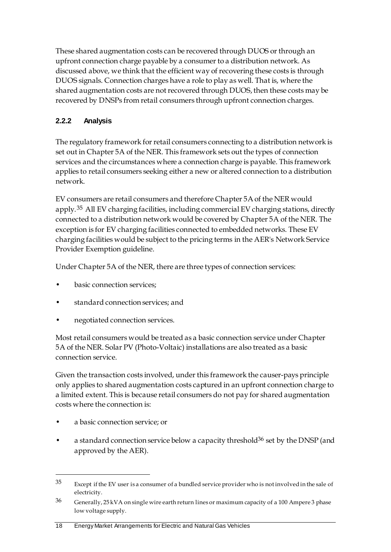These shared augmentation costs can be recovered through DUOS or through an upfront connection charge payable by a consumer to a distribution network. As discussed above, we think that the efficient way of recovering these costs is through DUOS signals. Connection charges have a role to play as well. That is, where the shared augmentation costs are not recovered through DUOS, then these costs may be recovered by DNSPs from retail consumers through upfront connection charges.

# **2.2.2 Analysis**

The regulatory framework for retail consumers connecting to a distribution network is set out in Chapter 5A of the NER. This framework sets out the types of connection services and the circumstances where a connection charge is payable. This framework applies to retail consumers seeking either a new or altered connection to a distribution network.

EV consumers are retail consumers and therefore Chapter 5A of the NER would apply.<sup>[35](#page-25-0)</sup> All EV charging facilities, including commercial EV charging stations, directly connected to a distribution network would be covered by Chapter 5A of the NER. The exception is for EV charging facilities connected to embedded networks. These EV charging facilities would be subject to the pricing terms in the AER's Network Service Provider Exemption guideline.

Under Chapter 5A of the NER, there are three types of connection services:

- basic connection services:
- standard connection services; and
- negotiated connection services.

Most retail consumers would be treated as a basic connection service under Chapter 5A of the NER. Solar PV (Photo-Voltaic) installations are also treated as a basic connection service.

Given the transaction costs involved, under this framework the causer-pays principle only applies to shared augmentation costs captured in an upfront connection charge to a limited extent. This is because retail consumers do not pay for shared augmentation costs where the connection is:

• a basic connection service; or

-

a standard connection service below a capacity threshold<sup>36</sup> set by the DNSP (and approved by the AER).

<span id="page-25-0"></span><sup>35</sup> Except if the EV user is a consumer of a bundled service provider who is not involved in the sale of electricity.

<span id="page-25-1"></span><sup>36</sup> Generally, 25 kVA on single wire earth return lines or maximum capacity of a 100 Ampere 3 phase low voltage supply.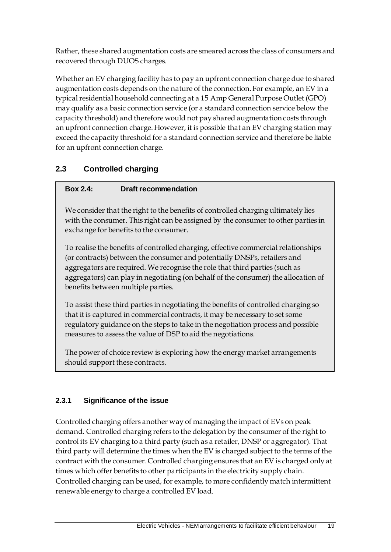Rather, these shared augmentation costs are smeared across the class of consumers and recovered through DUOS charges.

Whether an EV charging facility has to pay an upfront connection charge due to shared augmentation costs depends on the nature of the connection. For example, an EV in a typical residential household connecting at a 15 Amp General Purpose Outlet (GPO) may qualify as a basic connection service (or a standard connection service below the capacity threshold) and therefore would not pay shared augmentation costs through an upfront connection charge. However, it is possible that an EV charging station may exceed the capacity threshold for a standard connection service and therefore be liable for an upfront connection charge.

# <span id="page-26-0"></span>**2.3 Controlled charging**

# **Box 2.4: Draft recommendation**

We consider that the right to the benefits of controlled charging ultimately lies with the consumer. This right can be assigned by the consumer to other parties in exchange for benefits to the consumer.

To realise the benefits of controlled charging, effective commercial relationships (or contracts) between the consumer and potentially DNSPs, retailers and aggregators are required. We recognise the role that third parties (such as aggregators) can play in negotiating (on behalf of the consumer) the allocation of benefits between multiple parties.

To assist these third parties in negotiating the benefits of controlled charging so that it is captured in commercial contracts, it may be necessary to set some regulatory guidance on the steps to take in the negotiation process and possible measures to assess the value of DSP to aid the negotiations.

The power of choice review is exploring how the energy market arrangements should support these contracts.

### **2.3.1 Significance of the issue**

Controlled charging offers another way of managing the impact of EVs on peak demand. Controlled charging refers to the delegation by the consumer of the right to control its EV charging to a third party (such as a retailer, DNSP or aggregator). That third party will determine the times when the EV is charged subject to the terms of the contract with the consumer. Controlled charging ensures that an EV is charged only at times which offer benefits to other participants in the electricity supply chain. Controlled charging can be used, for example, to more confidently match intermittent renewable energy to charge a controlled EV load.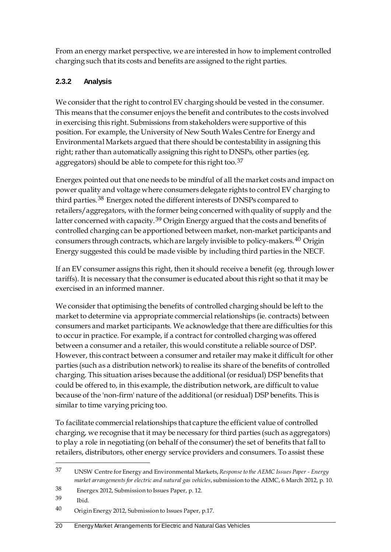From an energy market perspective, we are interested in how to implement controlled charging such that its costs and benefits are assigned to the right parties.

# **2.3.2 Analysis**

We consider that the right to control EV charging should be vested in the consumer. This means that the consumer enjoys the benefit and contributes to the costs involved in exercising this right. Submissions from stakeholders were supportive of this position. For example, the University of New South Wales Centre for Energy and Environmental Markets argued that there should be contestability in assigning this right; rather than automatically assigning this right to DNSPs, other parties (eg. aggregators) should be able to compete for this right too.[37](#page-27-0)

Energex pointed out that one needs to be mindful of all the market costs and impact on power quality and voltage where consumers delegate rights to control EV charging to third parties.[38](#page-27-1) Energex noted the different interests of DNSPs compared to retailers/aggregators, with the former being concerned with quality of supply and the latter concerned with capacity.[39](#page-27-2) Origin Energy argued that the costs and benefits of controlled charging can be apportioned between market, non-market participants and consumers through contracts, which are largely invisible to policy-makers.[40](#page-27-3) Origin Energy suggested this could be made visible by including third parties in the NECF.

If an EV consumer assigns this right, then it should receive a benefit (eg. through lower tariffs). It is necessary that the consumer is educated about this right so that it may be exercised in an informed manner.

We consider that optimising the benefits of controlled charging should be left to the market to determine via appropriate commercial relationships (ie. contracts) between consumers and market participants. We acknowledge that there are difficulties for this to occur in practice. For example, if a contract for controlled charging was offered between a consumer and a retailer, this would constitute a reliable source of DSP. However, this contract between a consumer and retailer may make it difficult for other parties (such as a distribution network) to realise its share of the benefits of controlled charging. This situation arises because the additional (or residual) DSP benefits that could be offered to, in this example, the distribution network, are difficult to value because of the 'non-firm' nature of the additional (or residual) DSP benefits. This is similar to time varying pricing too.

To facilitate commercial relationships that capture the efficient value of controlled charging, we recognise that it may be necessary for third parties (such as aggregators) to play a role in negotiating (on behalf of the consumer) the set of benefits that fall to retailers, distributors, other energy service providers and consumers. To assist these

<span id="page-27-0"></span><sup>37</sup> UNSW Centre for Energy and Environmental Markets, *Response to the AEMC Issues Paper - Energy market arrangements for electric and natural gas vehicles*, submission to the AEMC, 6 March 2012, p. 10.

<span id="page-27-1"></span><sup>38</sup> Energex 2012, Submission to Issues Paper, p. 12.

<span id="page-27-2"></span><sup>39</sup> Ibid.

<span id="page-27-3"></span><sup>40</sup> Origin Energy 2012, Submission to Issues Paper, p.17.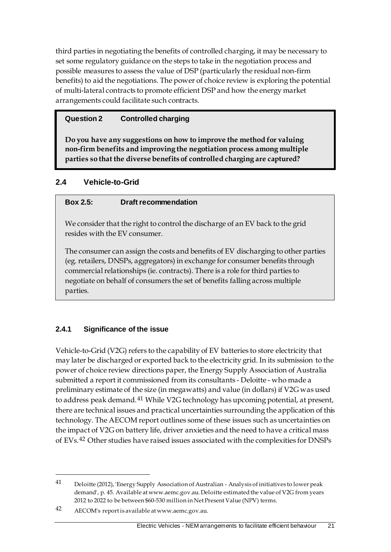third parties in negotiating the benefits of controlled charging, it may be necessary to set some regulatory guidance on the steps to take in the negotiation process and possible measures to assess the value of DSP (particularly the residual non-firm benefits) to aid the negotiations. The power of choice review is exploring the potential of multi-lateral contracts to promote efficient DSP and how the energy market arrangements could facilitate such contracts.

### **Question 2 Controlled charging**

**Do you have any suggestions on how to improve the method for valuing non-firm benefits and improving the negotiation process among multiple parties so that the diverse benefits of controlled charging are captured?**

## <span id="page-28-0"></span>**2.4 Vehicle-to-Grid**

### **Box 2.5: Draft recommendation**

We consider that the right to control the discharge of an EV back to the grid resides with the EV consumer.

The consumer can assign the costs and benefits of EV discharging to other parties (eg. retailers, DNSPs, aggregators) in exchange for consumer benefits through commercial relationships (ie. contracts). There is a role for third parties to negotiate on behalf of consumers the set of benefits falling across multiple parties.

### **2.4.1 Significance of the issue**

Vehicle-to-Grid (V2G) refers to the capability of EV batteries to store electricity that may later be discharged or exported back to the electricity grid. In its submission to the power of choice review directions paper, the Energy Supply Association of Australia submitted a report it commissioned from its consultants - Deloitte - who made a preliminary estimate of the size (in megawatts) and value (in dollars) if V2G was used to address peak demand.[41](#page-28-1) While V2G technology has upcoming potential, at present, there are technical issues and practical uncertainties surrounding the application of this technology. The AECOM report outlines some of these issues such as uncertainties on the impact of V2G on battery life, driver anxieties and the need to have a critical mass of EVs.[42](#page-28-2) Other studies have raised issues associated with the complexities for DNSPs

<span id="page-28-1"></span><sup>41</sup> Deloitte (2012), 'Energy Supply Association of Australian - Analysis of initiatives to lower peak demand', p. 45. Available at www.aemc.gov.au. Deloitte estimated the value of V2G from years 2012 to 2022 to be between \$60-530 million in Net Present Value (NPV) terms.

<span id="page-28-2"></span><sup>42</sup> AECOM's report is available at www.aemc.gov.au.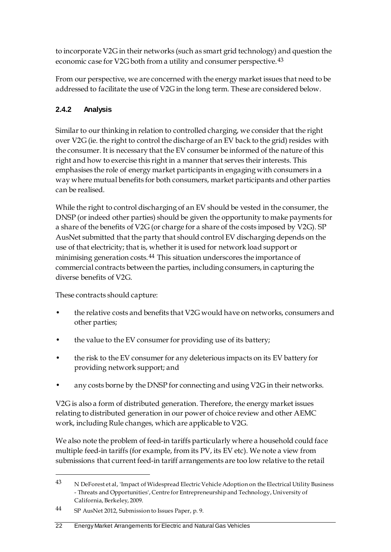to incorporate V2G in their networks (such as smart grid technology) and question the economic case for V2G both from a utility and consumer perspective.<sup>[43](#page-29-0)</sup>

From our perspective, we are concerned with the energy market issues that need to be addressed to facilitate the use of V2G in the long term. These are considered below.

# **2.4.2 Analysis**

Similar to our thinking in relation to controlled charging, we consider that the right over V2G (ie. the right to control the discharge of an EV back to the grid) resides with the consumer. It is necessary that the EV consumer be informed of the nature of this right and how to exercise this right in a manner that serves their interests. This emphasises the role of energy market participants in engaging with consumers in a way where mutual benefits for both consumers, market participants and other parties can be realised.

While the right to control discharging of an EV should be vested in the consumer, the DNSP (or indeed other parties) should be given the opportunity to make payments for a share of the benefits of V2G (or charge for a share of the costs imposed by V2G). SP AusNet submitted that the party that should control EV discharging depends on the use of that electricity; that is, whether it is used for network load support or minimising generation costs.<sup>[44](#page-29-1)</sup> This situation underscores the importance of commercial contracts between the parties, including consumers, in capturing the diverse benefits of V2G.

These contracts should capture:

- the relative costs and benefits that V2G would have on networks, consumers and other parties;
- the value to the EV consumer for providing use of its battery;
- the risk to the EV consumer for any deleterious impacts on its EV battery for providing network support; and
- any costs borne by the DNSP for connecting and using V2G in their networks.

V2G is also a form of distributed generation. Therefore, the energy market issues relating to distributed generation in our power of choice review and other AEMC work, including Rule changes, which are applicable to V2G.

We also note the problem of feed-in tariffs particularly where a household could face multiple feed-in tariffs (for example, from its PV, its EV etc). We note a view from submissions that current feed-in tariff arrangements are too low relative to the retail

<span id="page-29-0"></span><sup>43</sup> N DeForest et al, 'Impact of Widespread Electric Vehicle Adoption on the Electrical Utility Business - Threats and Opportunities', Centre for Entrepreneurship and Technology, University of California, Berkeley, 2009.

<span id="page-29-1"></span><sup>44</sup> SP AusNet 2012, Submission to Issues Paper, p. 9.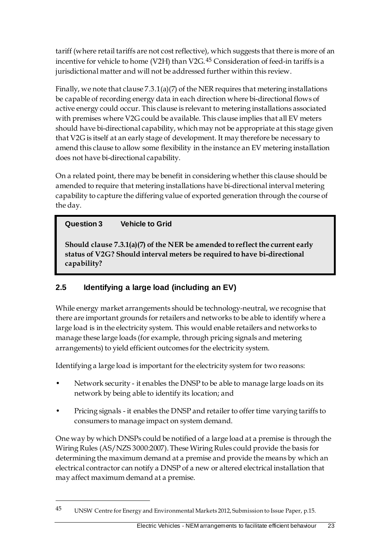tariff (where retail tariffs are not cost reflective), which suggests that there is more of an incentive for vehicle to home (V2H) than V2G.[45](#page-30-1) Consideration of feed-in tariffs is a jurisdictional matter and will not be addressed further within this review.

Finally, we note that clause  $7.3.1(a)(7)$  of the NER requires that metering installations be capable of recording energy data in each direction where bi-directional flows of active energy could occur. This clause is relevant to metering installations associated with premises where V2G could be available. This clause implies that all EV meters should have bi-directional capability, which may not be appropriate at this stage given that V2G is itself at an early stage of development. It may therefore be necessary to amend this clause to allow some flexibility in the instance an EV metering installation does not have bi-directional capability.

On a related point, there may be benefit in considering whether this clause should be amended to require that metering installations have bi-directional interval metering capability to capture the differing value of exported generation through the course of the day.

# **Question 3 Vehicle to Grid**

<u>.</u>

**Should clause 7.3.1(a)(7) of the NER be amended to reflect the current early status of V2G? Should interval meters be required to have bi-directional capability?** 

# <span id="page-30-0"></span>**2.5 Identifying a large load (including an EV)**

While energy market arrangements should be technology-neutral, we recognise that there are important grounds for retailers and networks to be able to identify where a large load is in the electricity system. This would enable retailers and networks to manage these large loads (for example, through pricing signals and metering arrangements) to yield efficient outcomes for the electricity system.

Identifying a large load is important for the electricity system for two reasons:

- Network security it enables the DNSP to be able to manage large loads on its network by being able to identify its location; and
- Pricing signals it enables the DNSP and retailer to offer time varying tariffs to consumers to manage impact on system demand.

One way by which DNSPs could be notified of a large load at a premise is through the Wiring Rules (AS/NZS 3000:2007). These Wiring Rules could provide the basis for determining the maximum demand at a premise and provide the means by which an electrical contractor can notify a DNSP of a new or altered electrical installation that may affect maximum demand at a premise.

<span id="page-30-1"></span><sup>45</sup> UNSW Centre for Energy and Environmental Markets 2012, Submission to Issue Paper, p.15.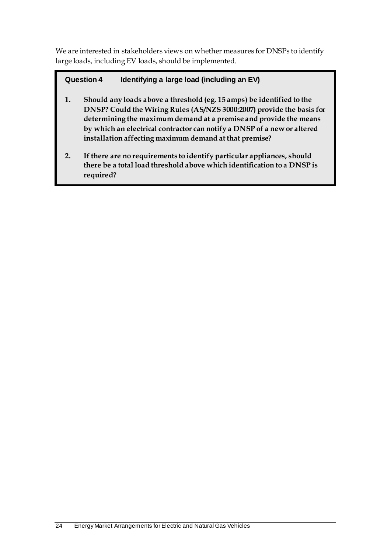We are interested in stakeholders views on whether measures for DNSPs to identify large loads, including EV loads, should be implemented.

# **Question 4 Identifying a large load (including an EV)**

- **1. Should any loads above a threshold (eg. 15 amps) be identified to the DNSP? Could the Wiring Rules (AS/NZS 3000:2007) provide the basis for determining the maximum demand at a premise and provide the means by which an electrical contractor can notify a DNSP of a new or altered installation affecting maximum demand at that premise?**
- **2. If there are no requirements to identify particular appliances, should there be a total load threshold above which identification to a DNSP is required?**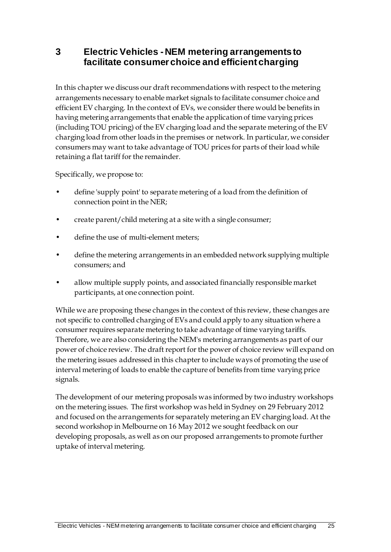# <span id="page-32-0"></span>**3 Electric Vehicles - NEM metering arrangements to facilitate consumer choice and efficient charging**

In this chapter we discuss our draft recommendations with respect to the metering arrangements necessary to enable market signals to facilitate consumer choice and efficient EV charging. In the context of EVs, we consider there would be benefits in having metering arrangements that enable the application of time varying prices (including TOU pricing) of the EV charging load and the separate metering of the EV charging load from other loads in the premises or network. In particular, we consider consumers may want to take advantage of TOU prices for parts of their load while retaining a flat tariff for the remainder.

Specifically, we propose to:

- define 'supply point' to separate metering of a load from the definition of connection point in the NER;
- create parent/child metering at a site with a single consumer;
- define the use of multi-element meters;
- define the metering arrangements in an embedded network supplying multiple consumers; and
- allow multiple supply points, and associated financially responsible market participants, at one connection point.

While we are proposing these changes in the context of this review, these changes are not specific to controlled charging of EVs and could apply to any situation where a consumer requires separate metering to take advantage of time varying tariffs. Therefore, we are also considering the NEM's metering arrangements as part of our power of choice review. The draft report for the power of choice review will expand on the metering issues addressed in this chapter to include ways of promoting the use of interval metering of loads to enable the capture of benefits from time varying price signals.

The development of our metering proposals was informed by two industry workshops on the metering issues. The first workshop was held in Sydney on 29 February 2012 and focused on the arrangements for separately metering an EV charging load. At the second workshop in Melbourne on 16 May 2012 we sought feedback on our developing proposals, as well as on our proposed arrangements to promote further uptake of interval metering.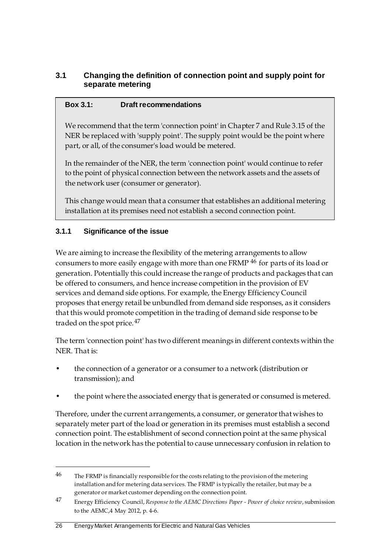## <span id="page-33-0"></span>**3.1 Changing the definition of connection point and supply point for separate metering**

#### **Box 3.1: Draft recommendations**

We recommend that the term 'connection point' in Chapter 7 and Rule 3.15 of the NER be replaced with 'supply point'. The supply point would be the point where part, or all, of the consumer's load would be metered.

In the remainder of the NER, the term 'connection point' would continue to refer to the point of physical connection between the network assets and the assets of the network user (consumer or generator).

This change would mean that a consumer that establishes an additional metering installation at its premises need not establish a second connection point.

## **3.1.1 Significance of the issue**

<u>.</u>

We are aiming to increase the flexibility of the metering arrangements to allow consumers to more easily engage with more than one FRMP [46](#page-33-1) for parts of its load or generation. Potentially this could increase the range of products and packages that can be offered to consumers, and hence increase competition in the provision of EV services and demand side options. For example, the Energy Efficiency Council proposes that energy retail be unbundled from demand side responses, as it considers that this would promote competition in the trading of demand side response to be traded on the spot price.<sup>[47](#page-33-2)</sup>

The term 'connection point' has two different meanings in different contexts within the NER. That is:

- the connection of a generator or a consumer to a network (distribution or transmission); and
- the point where the associated energy that is generated or consumed is metered.

Therefore, under the current arrangements, a consumer, or generator that wishes to separately meter part of the load or generation in its premises must establish a second connection point. The establishment of second connection point at the same physical location in the network has the potential to cause unnecessary confusion in relation to

<span id="page-33-1"></span> $46$  The FRMP is financially responsible for the costs relating to the provision of the metering installation and for metering data services. The FRMP is typically the retailer, but may be a generator or market customer depending on the connection point.

<span id="page-33-2"></span><sup>47</sup> Energy Efficiency Council, *Response to the AEMC Directions Paper - Power of choice review*, submission to the AEMC,4 May 2012, p. 4-6.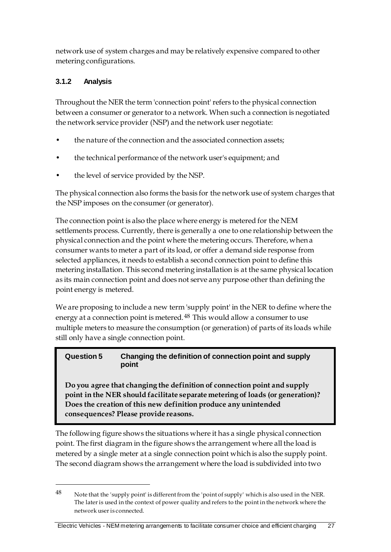network use of system charges and may be relatively expensive compared to other metering configurations.

## **3.1.2 Analysis**

<u>.</u>

Throughout the NER the term 'connection point' refers to the physical connection between a consumer or generator to a network. When such a connection is negotiated the network service provider (NSP) and the network user negotiate:

- the nature of the connection and the associated connection assets;
- the technical performance of the network user's equipment; and
- the level of service provided by the NSP.

The physical connection also forms the basis for the network use of system charges that the NSP imposes on the consumer (or generator).

The connection point is also the place where energy is metered for the NEM settlements process. Currently, there is generally a one to one relationship between the physical connection and the point where the metering occurs. Therefore, when a consumer wants to meter a part of its load, or offer a demand side response from selected appliances, it needs to establish a second connection point to define this metering installation. This second metering installation is at the same physical location as its main connection point and does not serve any purpose other than defining the point energy is metered.

We are proposing to include a new term 'supply point' in the NER to define where the energy at a connection point is metered.<sup>[48](#page-34-0)</sup> This would allow a consumer to use multiple meters to measure the consumption (or generation) of parts of its loads while still only have a single connection point.

#### **Question 5 Changing the definition of connection point and supply point**

**Do you agree that changing the definition of connection point and supply point in the NER should facilitate separate metering of loads (or generation)? Does the creation of this new definition produce any unintended consequences? Please provide reasons.**

The following figure shows the situations where it has a single physical connection point. The first diagram in the figure shows the arrangement where all the load is metered by a single meter at a single connection point which is also the supply point. The second diagram shows the arrangement where the load is subdivided into two

<span id="page-34-0"></span><sup>48</sup> Note that the 'supply point' is different from the 'point of supply' which is also used in the NER. The later is used in the context of power quality and refers to the point in the network where the network user is connected.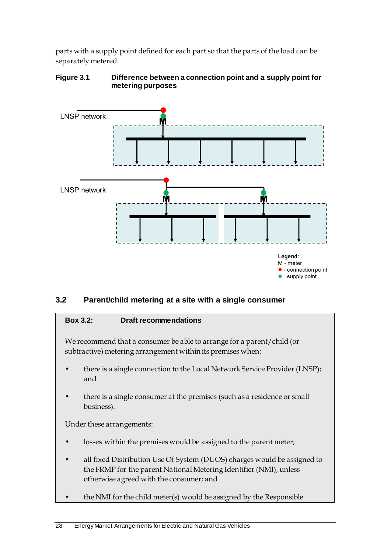parts with a supply point defined for each part so that the parts of the load can be separately metered.

#### **Figure 3.1 Difference between a connection point and a supply point for metering purposes**



# <span id="page-35-0"></span>**3.2 Parent/child metering at a site with a single consumer**

#### **Box 3.2: Draft recommendations**

We recommend that a consumer be able to arrange for a parent/child (or subtractive) metering arrangement within its premises when:

- there is a single connection to the Local Network Service Provider (LNSP); and
- there is a single consumer at the premises (such as a residence or small business).

Under these arrangements:

- losses within the premises would be assigned to the parent meter;
- all fixed Distribution Use Of System (DUOS) charges would be assigned to the FRMP for the parent National Metering Identifier (NMI), unless otherwise agreed with the consumer; and
- the NMI for the child meter(s) would be assigned by the Responsible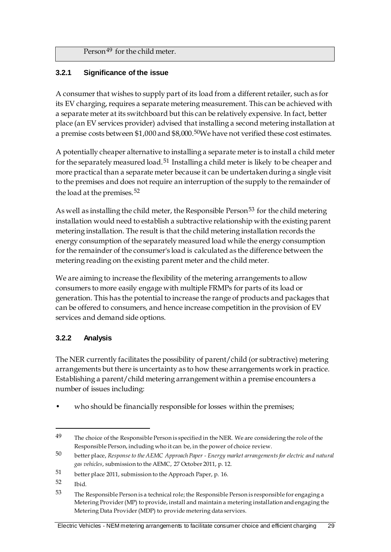Person<sup>[49](#page-36-0)</sup> for the child meter.

## **3.2.1 Significance of the issue**

A consumer that wishes to supply part of its load from a different retailer, such as for its EV charging, requires a separate metering measurement. This can be achieved with a separate meter at its switchboard but this can be relatively expensive. In fact, better place (an EV services provider) advised that installing a second metering installation at a premise costs between \$1,000 and \$8,000.<sup>[50](#page-36-1)</sup>We have not verified these cost estimates.

A potentially cheaper alternative to installing a separate meter is to install a child meter for the separately measured load.<sup>[51](#page-36-2)</sup> Installing a child meter is likely to be cheaper and more practical than a separate meter because it can be undertaken during a single visit to the premises and does not require an interruption of the supply to the remainder of the load at the premises.<sup>[52](#page-36-3)</sup>

As well as installing the child meter, the Responsible Person<sup>[53](#page-36-4)</sup> for the child metering installation would need to establish a subtractive relationship with the existing parent metering installation. The result is that the child metering installation records the energy consumption of the separately measured load while the energy consumption for the remainder of the consumer's load is calculated as the difference between the metering reading on the existing parent meter and the child meter.

We are aiming to increase the flexibility of the metering arrangements to allow consumers to more easily engage with multiple FRMPs for parts of its load or generation. This has the potential to increase the range of products and packages that can be offered to consumers, and hence increase competition in the provision of EV services and demand side options.

## **3.2.2 Analysis**

The NER currently facilitates the possibility of parent/child (or subtractive) metering arrangements but there is uncertainty as to how these arrangements work in practice. Establishing a parent/child metering arrangement within a premise encounters a number of issues including:

who should be financially responsible for losses within the premises;

<u>.</u>

<span id="page-36-0"></span><sup>&</sup>lt;sup>49</sup> The choice of the Responsible Person is specified in the NER. We are considering the role of the Responsible Person, including who it can be, in the power of choice review.

<span id="page-36-1"></span><sup>50</sup> better place, *Response to the AEMC Approach Paper - Energy market arrangements for electric and natural gas vehicles*, submission to the AEMC, 27 October 2011, p. 12.

<span id="page-36-2"></span><sup>51</sup> better place 2011, submission to the Approach Paper, p. 16.

<span id="page-36-3"></span><sup>52</sup> Ibid.

<span id="page-36-4"></span> $53$  The Responsible Person is a technical role; the Responsible Person is responsible for engaging a Metering Provider (MP) to provide, install and maintain a metering installation and engaging the Metering Data Provider (MDP) to provide metering data services.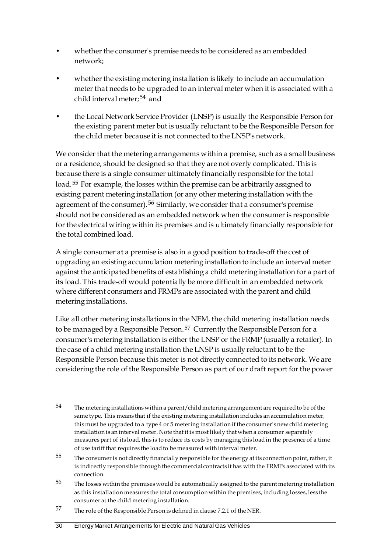- whether the consumer's premise needs to be considered as an embedded network;
- whether the existing metering installation is likely to include an accumulation meter that needs to be upgraded to an interval meter when it is associated with a child interval meter;[54](#page-37-0) and
- the Local Network Service Provider (LNSP) is usually the Responsible Person for the existing parent meter but is usually reluctant to be the Responsible Person for the child meter because it is not connected to the LNSP's network.

We consider that the metering arrangements within a premise, such as a small business or a residence, should be designed so that they are not overly complicated. This is because there is a single consumer ultimately financially responsible for the total load.[55](#page-37-1) For example, the losses within the premise can be arbitrarily assigned to existing parent metering installation (or any other metering installation with the agreement of the consumer).<sup>[56](#page-37-2)</sup> Similarly, we consider that a consumer's premise should not be considered as an embedded network when the consumer is responsible for the electrical wiring within its premises and is ultimately financially responsible for the total combined load.

A single consumer at a premise is also in a good position to trade-off the cost of upgrading an existing accumulation metering installation to include an interval meter against the anticipated benefits of establishing a child metering installation for a part of its load. This trade-off would potentially be more difficult in an embedded network where different consumers and FRMPs are associated with the parent and child metering installations.

Like all other metering installations in the NEM, the child metering installation needs to be managed by a Responsible Person.<sup>[57](#page-37-3)</sup> Currently the Responsible Person for a consumer's metering installation is either the LNSP or the FRMP (usually a retailer). In the case of a child metering installation the LNSP is usually reluctant to be the Responsible Person because this meter is not directly connected to its network. We are considering the role of the Responsible Person as part of our draft report for the power

-

<span id="page-37-0"></span><sup>54</sup> The metering installations within a parent/child metering arrangement are required to be of the same type. This means that if the existing metering installation includes an accumulation meter, this must be upgraded to a type 4 or 5 metering installation if the consumer's new child metering installation is an interval meter. Note that it is most likely that when a consumer separately measures part of its load, this is to reduce its costs by managing this load in the presence of a time of use tariff that requires the load to be measured with interval meter.

<span id="page-37-1"></span><sup>&</sup>lt;sup>55</sup> The consumer is not directly financially responsible for the energy at its connection point, rather, it is indirectly responsible through the commercial contracts it has with the FRMPs associated with its connection.

<span id="page-37-2"></span><sup>&</sup>lt;sup>56</sup> The losses within the premises would be automatically assigned to the parent metering installation as this installation measures the total consumption within the premises, including losses, less the consumer at the child metering installation.

<span id="page-37-3"></span><sup>57</sup> The role of the Responsible Person is defined in clause 7.2.1 of the NER.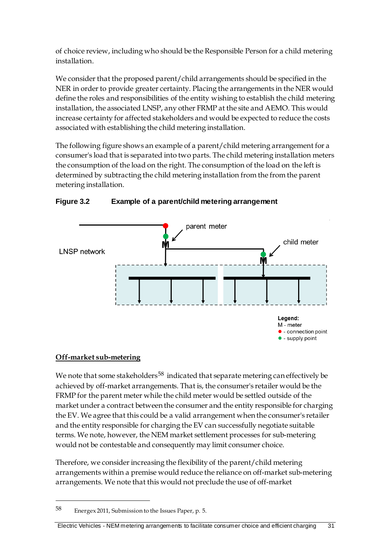of choice review, including who should be the Responsible Person for a child metering installation.

We consider that the proposed parent/child arrangements should be specified in the NER in order to provide greater certainty. Placing the arrangements in the NER would define the roles and responsibilities of the entity wishing to establish the child metering installation, the associated LNSP, any other FRMP at the site and AEMO. This would increase certainty for affected stakeholders and would be expected to reduce the costs associated with establishing the child metering installation.

The following figure shows an example of a parent/child metering arrangement for a consumer's load that is separated into two parts. The child metering installation meters the consumption of the load on the right. The consumption of the load on the left is determined by subtracting the child metering installation from the from the parent metering installation.



**Figure 3.2 Example of a parent/child metering arrangement**

## **Off-market sub-metering**

<u>.</u>

We note that some stakeholders<sup>[58](#page-38-0)</sup> indicated that separate metering can effectively be achieved by off-market arrangements. That is, the consumer's retailer would be the FRMP for the parent meter while the child meter would be settled outside of the market under a contract between the consumer and the entity responsible for charging the EV. We agree that this could be a valid arrangement when the consumer's retailer and the entity responsible for charging the EV can successfully negotiate suitable terms. We note, however, the NEM market settlement processes for sub-metering would not be contestable and consequently may limit consumer choice.

Therefore, we consider increasing the flexibility of the parent/child metering arrangements within a premise would reduce the reliance on off-market sub-metering arrangements. We note that this would not preclude the use of off-market

<span id="page-38-0"></span><sup>58</sup> Energex 2011, Submission to the Issues Paper, p. 5.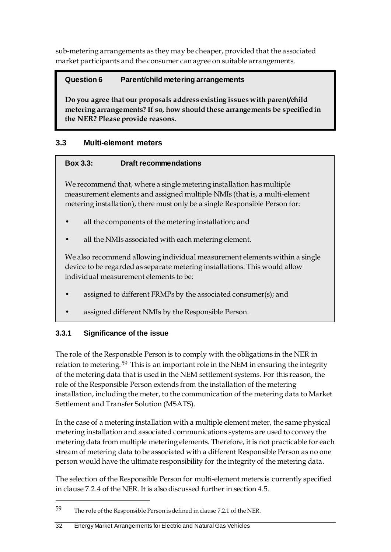sub-metering arrangements as they may be cheaper, provided that the associated market participants and the consumer can agree on suitable arrangements.

## **Question 6 Parent/child metering arrangements**

**Do you agree that our proposals address existing issues with parent/child metering arrangements? If so, how should these arrangements be specified in the NER? Please provide reasons.**

## **3.3 Multi-element meters**

## **Box 3.3: Draft recommendations**

We recommend that, where a single metering installation has multiple measurement elements and assigned multiple NMIs (that is, a multi-element metering installation), there must only be a single Responsible Person for:

- all the components of the metering installation; and
- all the NMIs associated with each metering element.

We also recommend allowing individual measurement elements within a single device to be regarded as separate metering installations. This would allow individual measurement elements to be:

- assigned to different FRMPs by the associated consumer(s); and
- assigned different NMIs by the Responsible Person.

## **3.3.1 Significance of the issue**

<u>.</u>

The role of the Responsible Person is to comply with the obligations in the NER in relation to metering.<sup>[59](#page-39-0)</sup> This is an important role in the NEM in ensuring the integrity of the metering data that is used in the NEM settlement systems. For this reason, the role of the Responsible Person extends from the installation of the metering installation, including the meter, to the communication of the metering data to Market Settlement and Transfer Solution (MSATS).

In the case of a metering installation with a multiple element meter, the same physical metering installation and associated communications systems are used to convey the metering data from multiple metering elements. Therefore, it is not practicable for each stream of metering data to be associated with a different Responsible Person as no one person would have the ultimate responsibility for the integrity of the metering data.

The selection of the Responsible Person for multi-element meters is currently specified in clause 7.2.4 of the NER. It is also discussed further in section 4.5.

<span id="page-39-0"></span><sup>59</sup> The role of the Responsible Person is defined in clause 7.2.1 of the NER.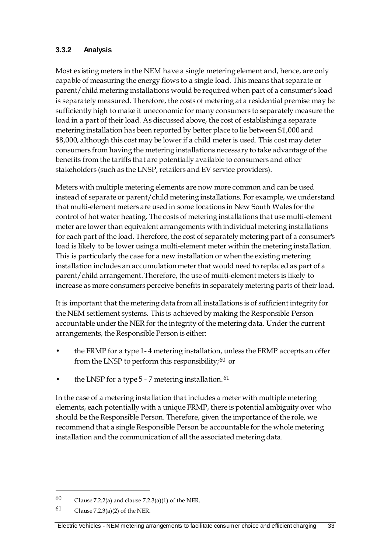## **3.3.2 Analysis**

Most existing meters in the NEM have a single metering element and, hence, are only capable of measuring the energy flows to a single load. This means that separate or parent/child metering installations would be required when part of a consumer's load is separately measured. Therefore, the costs of metering at a residential premise may be sufficiently high to make it uneconomic for many consumers to separately measure the load in a part of their load. As discussed above, the cost of establishing a separate metering installation has been reported by better place to lie between \$1,000 and \$8,000, although this cost may be lower if a child meter is used. This cost may deter consumers from having the metering installations necessary to take advantage of the benefits from the tariffs that are potentially available to consumers and other stakeholders (such as the LNSP, retailers and EV service providers).

Meters with multiple metering elements are now more common and can be used instead of separate or parent/child metering installations. For example, we understand that multi-element meters are used in some locations in New South Wales for the control of hot water heating. The costs of metering installations that use multi-element meter are lower than equivalent arrangements with individual metering installations for each part of the load. Therefore, the cost of separately metering part of a consumer's load is likely to be lower using a multi-element meter within the metering installation. This is particularly the case for a new installation or when the existing metering installation includes an accumulation meter that would need to replaced as part of a parent/child arrangement. Therefore, the use of multi-element meters is likely to increase as more consumers perceive benefits in separately metering parts of their load.

It is important that the metering data from all installations is of sufficient integrity for the NEM settlement systems. This is achieved by making the Responsible Person accountable under the NER for the integrity of the metering data. Under the current arrangements, the Responsible Person is either:

- the FRMP for a type 1- 4 metering installation, unless the FRMP accepts an offer from the LNSP to perform this responsibility;  $60$  or
- the LNSP for a type  $5 7$  metering installation.  $61$

In the case of a metering installation that includes a meter with multiple metering elements, each potentially with a unique FRMP, there is potential ambiguity over who should be the Responsible Person. Therefore, given the importance of the role, we recommend that a single Responsible Person be accountable for the whole metering installation and the communication of all the associated metering data.

-

<span id="page-40-0"></span><sup>60</sup> Clause 7.2.2(a) and clause 7.2.3(a)(1) of the NER.

<span id="page-40-1"></span><sup>61</sup> Clause 7.2.3(a)(2) of the NER.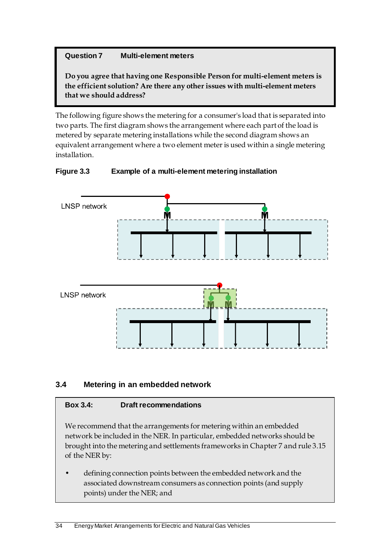## **Question 7 Multi-element meters**

**Do you agree that having one Responsible Person for multi-element meters is the efficient solution? Are there any other issues with multi-element meters that we should address?**

The following figure shows the metering for a consumer's load that is separated into two parts. The first diagram shows the arrangement where each part of the load is metered by separate metering installations while the second diagram shows an equivalent arrangement where a two element meter is used within a single metering installation.



#### **Figure 3.3 Example of a multi-element metering installation**

## **3.4 Metering in an embedded network**

#### **Box 3.4: Draft recommendations**

We recommend that the arrangements for metering within an embedded network be included in the NER. In particular, embedded networks should be brought into the metering and settlements frameworks in Chapter 7 and rule 3.15 of the NER by:

• defining connection points between the embedded network and the associated downstream consumers as connection points (and supply points) under the NER; and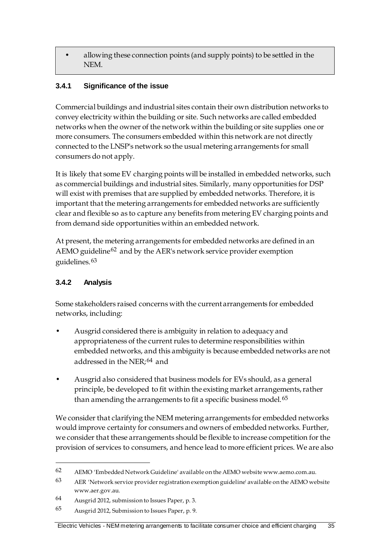• allowing these connection points (and supply points) to be settled in the NEM.

## **3.4.1 Significance of the issue**

Commercial buildings and industrial sites contain their own distribution networks to convey electricity within the building or site. Such networks are called embedded networks when the owner of the network within the building or site supplies one or more consumers. The consumers embedded within this network are not directly connected to the LNSP's network so the usual metering arrangements for small consumers do not apply.

It is likely that some EV charging points will be installed in embedded networks, such as commercial buildings and industrial sites. Similarly, many opportunities for DSP will exist with premises that are supplied by embedded networks. Therefore, it is important that the metering arrangements for embedded networks are sufficiently clear and flexible so as to capture any benefits from metering EV charging points and from demand side opportunities within an embedded network.

At present, the metering arrangements for embedded networks are defined in an AEMO guideline<sup>[62](#page-42-0)</sup> and by the AER's network service provider exemption guidelines.[63](#page-42-1)

## **3.4.2 Analysis**

-

Some stakeholders raised concerns with the current arrangements for embedded networks, including:

- Ausgrid considered there is ambiguity in relation to adequacy and appropriateness of the current rules to determine responsibilities within embedded networks, and this ambiguity is because embedded networks are not addressed in the NER;<sup>[64](#page-42-2)</sup> and
- Ausgrid also considered that business models for EVs should, as a general principle, be developed to fit within the existing market arrangements, rather than amending the arrangements to fit a specific business model.<sup>[65](#page-42-3)</sup>

We consider that clarifying the NEM metering arrangements for embedded networks would improve certainty for consumers and owners of embedded networks. Further, we consider that these arrangements should be flexible to increase competition for the provision of services to consumers, and hence lead to more efficient prices. We are also

<span id="page-42-0"></span><sup>62</sup> AEMO 'Embedded Network Guideline' available on the AEMO website www.aemo.com.au.

<span id="page-42-1"></span><sup>63</sup> AER 'Network service provider registration exemption guideline' available on the AEMO website www.aer.gov.au.

<span id="page-42-2"></span><sup>64</sup> Ausgrid 2012, submission to Issues Paper, p. 3.

<span id="page-42-3"></span><sup>65</sup> Ausgrid 2012, Submission to Issues Paper, p. 9.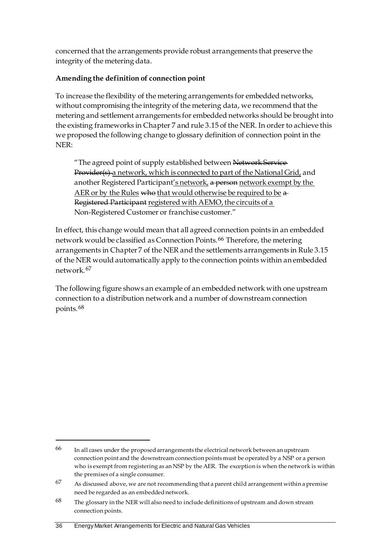concerned that the arrangements provide robust arrangements that preserve the integrity of the metering data.

## **Amending the definition of connection point**

To increase the flexibility of the metering arrangements for embedded networks, without compromising the integrity of the metering data, we recommend that the metering and settlement arrangements for embedded networks should be brought into the existing frameworks in Chapter 7 and rule 3.15 of the NER. In order to achieve this we proposed the following change to glossary definition of connection point in the NER:

"The agreed point of supply established between Network Service-Provider(s) a network, which is connected to part of the National Grid, and another Registered Participant's network, a person network exempt by the AER or by the Rules who that would otherwise be required to be  $a$ Registered Participant registered with AEMO, the circuits of a Non-Registered Customer or franchise customer."

In effect, this change would mean that all agreed connection points in an embedded network would be classified as Connection Points.[66](#page-43-0) Therefore, the metering arrangements in Chapter 7 of the NER and the settlements arrangements in Rule 3.15 of the NER would automatically apply to the connection points within an embedded network.[67](#page-43-1)

The following figure shows an example of an embedded network with one upstream connection to a distribution network and a number of downstream connection points.[68](#page-43-2)

<u>.</u>

<span id="page-43-0"></span><sup>66</sup> In all cases under the proposed arrangements the electrical network between an upstream connection point and the downstream connection points must be operated by a NSP or a person who is exempt from registering as an NSP by the AER. The exception is when the network is within the premises of a single consumer.

<span id="page-43-1"></span> $67$  As discussed above, we are not recommending that a parent child arrangement within a premise need be regarded as an embedded network.

<span id="page-43-2"></span> $68$  The glossary in the NER will also need to include definitions of upstream and down stream connection points.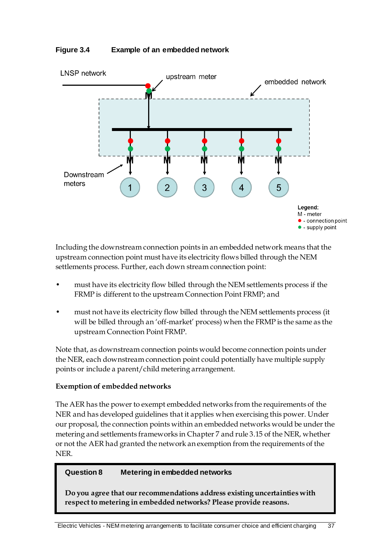



Including the downstream connection points in an embedded network means that the upstream connection point must have its electricity flows billed through the NEM settlements process. Further, each down stream connection point:

- must have its electricity flow billed through the NEM settlements process if the FRMP is different to the upstream Connection Point FRMP; and
- must not have its electricity flow billed through the NEM settlements process (it will be billed through an 'off-market' process) when the FRMP is the same as the upstream Connection Point FRMP.

Note that, as downstream connection points would become connection points under the NER, each downstream connection point could potentially have multiple supply points or include a parent/child metering arrangement.

#### **Exemption of embedded networks**

The AER has the power to exempt embedded networks from the requirements of the NER and has developed guidelines that it applies when exercising this power. Under our proposal, the connection points within an embedded networks would be under the metering and settlements frameworks in Chapter 7 and rule 3.15 of the NER, whether or not the AER had granted the network an exemption from the requirements of the NER.

#### **Question 8 Metering in embedded networks**

**Do you agree that our recommendations address existing uncertainties with respect to metering in embedded networks? Please provide reasons.**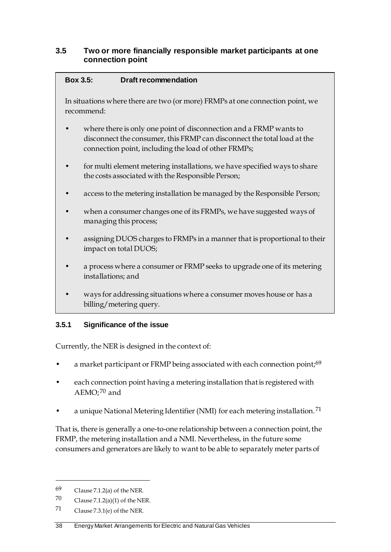#### **3.5 Two or more financially responsible market participants at one connection point**

#### **Box 3.5: Draft recommendation**

In situations where there are two (or more) FRMPs at one connection point, we recommend:

- where there is only one point of disconnection and a FRMP wants to disconnect the consumer, this FRMP can disconnect the total load at the connection point, including the load of other FRMPs;
- for multi element metering installations, we have specified ways to share the costs associated with the Responsible Person;
- access to the metering installation be managed by the Responsible Person;
- when a consumer changes one of its FRMPs, we have suggested ways of managing this process;
- assigning DUOS charges to FRMPs in a manner that is proportional to their impact on total DUOS;
- a process where a consumer or FRMP seeks to upgrade one of its metering installations; and
- ways for addressing situations where a consumer moves house or has a billing/metering query.

## **3.5.1 Significance of the issue**

Currently, the NER is designed in the context of:

- a market participant or FRMP being associated with each connection point;<sup>[69](#page-45-0)</sup>
- each connection point having a metering installation that is registered with AEMO;<sup>[70](#page-45-1)</sup> and
- a unique National Metering Identifier (NMI) for each metering installation.<sup>[71](#page-45-2)</sup>

That is, there is generally a one-to-one relationship between a connection point, the FRMP, the metering installation and a NMI. Nevertheless, in the future some consumers and generators are likely to want to be able to separately meter parts of

-

<span id="page-45-0"></span><sup>69</sup> Clause 7.1.2(a) of the NER.

<span id="page-45-1"></span><sup>70</sup> Clause 7.1.2(a)(1) of the NER.

<span id="page-45-2"></span><sup>71</sup> Clause 7.3.1(e) of the NER.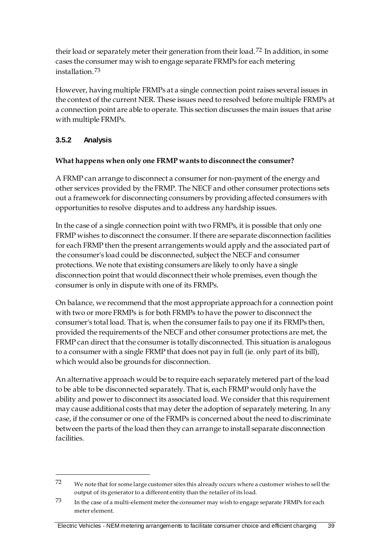their load or separately meter their generation from their load.[72](#page-46-0) In addition, in some cases the consumer may wish to engage separate FRMPs for each metering installation.[73](#page-46-1)

However, having multiple FRMPs at a single connection point raises several issues in the context of the current NER. These issues need to resolved before multiple FRMPs at a connection point are able to operate. This section discusses the main issues that arise with multiple FRMPs.

## **3.5.2 Analysis**

-

## **What happens when only one FRMP wants to disconnect the consumer?**

A FRMP can arrange to disconnect a consumer for non-payment of the energy and other services provided by the FRMP. The NECF and other consumer protections sets out a framework for disconnecting consumers by providing affected consumers with opportunities to resolve disputes and to address any hardship issues.

In the case of a single connection point with two FRMPs, it is possible that only one FRMP wishes to disconnect the consumer. If there are separate disconnection facilities for each FRMP then the present arrangements would apply and the associated part of the consumer's load could be disconnected, subject the NECF and consumer protections. We note that existing consumers are likely to only have a single disconnection point that would disconnect their whole premises, even though the consumer is only in dispute with one of its FRMPs.

On balance, we recommend that the most appropriate approach for a connection point with two or more FRMPs is for both FRMPs to have the power to disconnect the consumer's total load. That is, when the consumer fails to pay one if its FRMPs then, provided the requirements of the NECF and other consumer protections are met, the FRMP can direct that the consumer is totally disconnected. This situation is analogous to a consumer with a single FRMP that does not pay in full (ie. only part of its bill), which would also be grounds for disconnection.

An alternative approach would be to require each separately metered part of the load to be able to be disconnected separately. That is, each FRMP would only have the ability and power to disconnect its associated load. We consider that this requirement may cause additional costs that may deter the adoption of separately metering. In any case, if the consumer or one of the FRMPs is concerned about the need to discriminate between the parts of the load then they can arrange to install separate disconnection facilities.

<span id="page-46-0"></span><sup>72</sup> We note that for some large customer sites this already occurs where a customer wishes to sell the output of its generator to a different entity than the retailer of its load.

<span id="page-46-1"></span><sup>73</sup> In the case of a multi-element meter the consumer may wish to engage separate FRMPs for each meter element.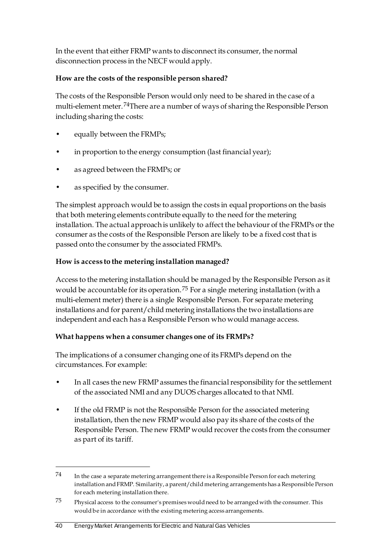In the event that either FRMP wants to disconnect its consumer, the normal disconnection process in the NECF would apply.

## **How are the costs of the responsible person shared?**

The costs of the Responsible Person would only need to be shared in the case of a multi-element meter.[74](#page-47-0)There are a number of ways of sharing the Responsible Person including sharing the costs:

- equally between the FRMPs;
- in proportion to the energy consumption (last financial year);
- as agreed between the FRMPs; or
- as specified by the consumer.

The simplest approach would be to assign the costs in equal proportions on the basis that both metering elements contribute equally to the need for the metering installation. The actual approach is unlikely to affect the behaviour of the FRMPs or the consumer as the costs of the Responsible Person are likely to be a fixed cost that is passed onto the consumer by the associated FRMPs.

## **How is access to the metering installation managed?**

Access to the metering installation should be managed by the Responsible Person as it would be accountable for its operation.[75](#page-47-1) For a single metering installation (with a multi-element meter) there is a single Responsible Person. For separate metering installations and for parent/child metering installations the two installations are independent and each has a Responsible Person who would manage access.

## **What happens when a consumer changes one of its FRMPs?**

The implications of a consumer changing one of its FRMPs depend on the circumstances. For example:

- In all cases the new FRMP assumes the financial responsibility for the settlement of the associated NMI and any DUOS charges allocated to that NMI.
- If the old FRMP is not the Responsible Person for the associated metering installation, then the new FRMP would also pay its share of the costs of the Responsible Person. The new FRMP would recover the costs from the consumer as part of its tariff.

<u>.</u>

<span id="page-47-0"></span> $74$  In the case a separate metering arrangement there is a Responsible Person for each metering installation and FRMP. Similarity, a parent/child metering arrangements has a Responsible Person for each metering installation there.

<span id="page-47-1"></span><sup>75</sup> Physical access to the consumer's premises would need to be arranged with the consumer. This would be in accordance with the existing metering access arrangements.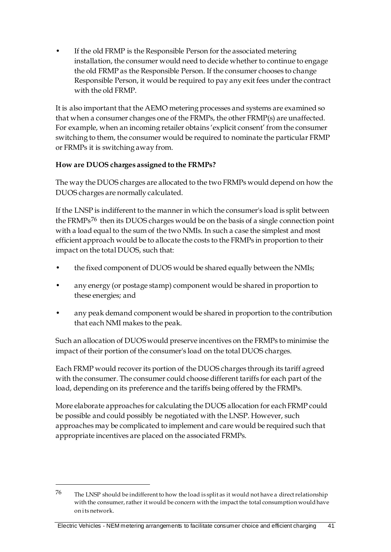If the old FRMP is the Responsible Person for the associated metering installation, the consumer would need to decide whether to continue to engage the old FRMP as the Responsible Person. If the consumer chooses to change Responsible Person, it would be required to pay any exit fees under the contract with the old FRMP.

It is also important that the AEMO metering processes and systems are examined so that when a consumer changes one of the FRMPs, the other FRMP(s) are unaffected. For example, when an incoming retailer obtains 'explicit consent' from the consumer switching to them, the consumer would be required to nominate the particular FRMP or FRMPs it is switching away from.

## **How are DUOS charges assigned to the FRMPs?**

The way the DUOS charges are allocated to the two FRMPs would depend on how the DUOS charges are normally calculated.

If the LNSP is indifferent to the manner in which the consumer's load is split between the FRMPs[76](#page-48-0) then its DUOS charges would be on the basis of a single connection point with a load equal to the sum of the two NMIs. In such a case the simplest and most efficient approach would be to allocate the costs to the FRMPs in proportion to their impact on the total DUOS, such that:

- the fixed component of DUOS would be shared equally between the NMIs;
- any energy (or postage stamp) component would be shared in proportion to these energies; and
- any peak demand component would be shared in proportion to the contribution that each NMI makes to the peak.

Such an allocation of DUOS would preserve incentives on the FRMPs to minimise the impact of their portion of the consumer's load on the total DUOS charges.

Each FRMP would recover its portion of the DUOS charges through its tariff agreed with the consumer. The consumer could choose different tariffs for each part of the load, depending on its preference and the tariffs being offered by the FRMPs.

More elaborate approaches for calculating the DUOS allocation for each FRMP could be possible and could possibly be negotiated with the LNSP. However, such approaches may be complicated to implement and care would be required such that appropriate incentives are placed on the associated FRMPs.

<u>.</u>

<span id="page-48-0"></span><sup>76</sup> The LNSP should be indifferent to how the load is split as it would not have a direct relationship with the consumer, rather it would be concern with the impact the total consumption would have on its network.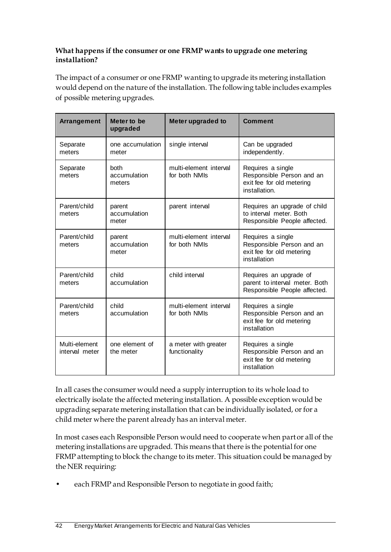#### **What happens if the consumer or one FRMP wants to upgrade one metering installation?**

The impact of a consumer or one FRMP wanting to upgrade its metering installation would depend on the nature of the installation. The following table includes examples of possible metering upgrades.

| Arrangement                     | Meter to be<br>upgraded         | <b>Meter upgraded to</b>                | <b>Comment</b>                                                                               |
|---------------------------------|---------------------------------|-----------------------------------------|----------------------------------------------------------------------------------------------|
| Separate<br>meters              | one accumulation<br>meter       | single interval                         | Can be upgraded<br>independently.                                                            |
| Separate<br>meters              | both<br>accumulation<br>meters  | multi-element interval<br>for both NMIs | Requires a single<br>Responsible Person and an<br>exit fee for old metering<br>installation. |
| Parent/child<br>meters          | parent<br>accumulation<br>meter | parent interval                         | Requires an upgrade of child<br>to interval meter. Both<br>Responsible People affected.      |
| Parent/child<br>meters          | parent<br>accumulation<br>meter | multi-element interval<br>for both NMIs | Requires a single<br>Responsible Person and an<br>exit fee for old metering<br>installation  |
| Parent/child<br>meters          | child<br>accumulation           | child interval                          | Requires an upgrade of<br>parent to interval meter. Both<br>Responsible People affected.     |
| Parent/child<br>meters          | child<br>accumulation           | multi-element interval<br>for both NMIs | Requires a single<br>Responsible Person and an<br>exit fee for old metering<br>installation  |
| Multi-element<br>interval meter | one element of<br>the meter     | a meter with greater<br>functionality   | Requires a single<br>Responsible Person and an<br>exit fee for old metering<br>installation  |

In all cases the consumer would need a supply interruption to its whole load to electrically isolate the affected metering installation. A possible exception would be upgrading separate metering installation that can be individually isolated, or for a child meter where the parent already has an interval meter.

In most cases each Responsible Person would need to cooperate when part or all of the metering installations are upgraded. This means that there is the potential for one FRMP attempting to block the change to its meter. This situation could be managed by the NER requiring:

each FRMP and Responsible Person to negotiate in good faith;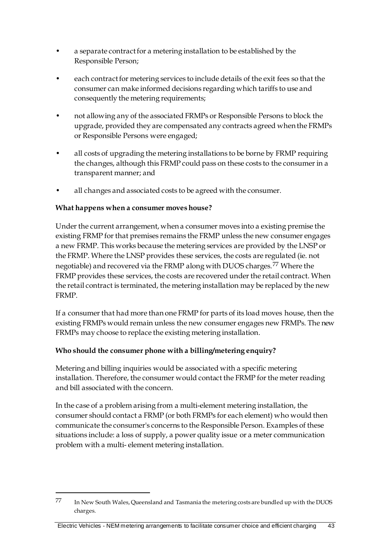- a separate contract for a metering installation to be established by the Responsible Person;
- each contract for metering services to include details of the exit fees so that the consumer can make informed decisions regarding which tariffs to use and consequently the metering requirements;
- not allowing any of the associated FRMPs or Responsible Persons to block the upgrade, provided they are compensated any contracts agreed when the FRMPs or Responsible Persons were engaged;
- all costs of upgrading the metering installations to be borne by FRMP requiring the changes, although this FRMP could pass on these costs to the consumer in a transparent manner; and
- all changes and associated costs to be agreed with the consumer.

## **What happens when a consumer moves house?**

<u>.</u>

Under the current arrangement, when a consumer moves into a existing premise the existing FRMP for that premises remains the FRMP unless the new consumer engages a new FRMP. This works because the metering services are provided by the LNSP or the FRMP. Where the LNSP provides these services, the costs are regulated (ie. not negotiable) and recovered via the FRMP along with DUOS charges.[77](#page-50-0) Where the FRMP provides these services, the costs are recovered under the retail contract. When the retail contract is terminated, the metering installation may be replaced by the new FRMP.

If a consumer that had more than one FRMP for parts of its load moves house, then the existing FRMPs would remain unless the new consumer engages new FRMPs. The new FRMPs may choose to replace the existing metering installation.

## **Who should the consumer phone with a billing/metering enquiry?**

Metering and billing inquiries would be associated with a specific metering installation. Therefore, the consumer would contact the FRMP for the meter reading and bill associated with the concern.

In the case of a problem arising from a multi-element metering installation, the consumer should contact a FRMP (or both FRMPs for each element) who would then communicate the consumer's concerns to the Responsible Person. Examples of these situations include: a loss of supply, a power quality issue or a meter communication problem with a multi- element metering installation.

<span id="page-50-0"></span><sup>77</sup> In New South Wales, Queensland and Tasmania the metering costs are bundled up with the DUOS charges.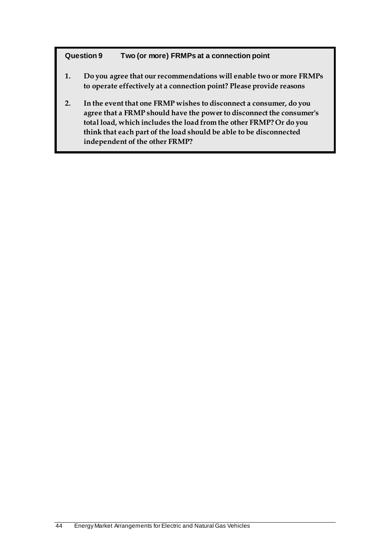#### **Question 9 Two (or more) FRMPs at a connection point**

- **1. Do you agree that our recommendations will enable two or more FRMPs to operate effectively at a connection point? Please provide reasons**
- **2. In the event that one FRMP wishes to disconnect a consumer, do you agree that a FRMP should have the power to disconnect the consumer's total load, which includes the load from the other FRMP? Or do you think that each part of the load should be able to be disconnected independent of the other FRMP?**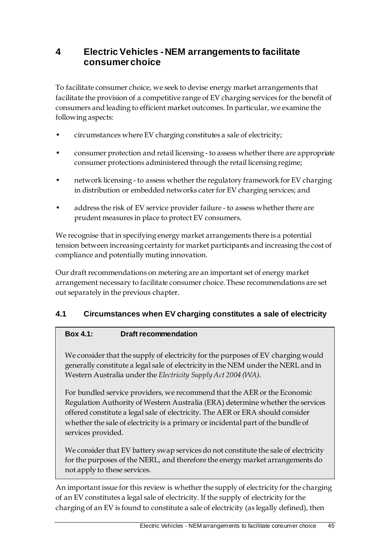# **4 Electric Vehicles - NEM arrangements to facilitate consumer choice**

To facilitate consumer choice, we seek to devise energy market arrangements that facilitate the provision of a competitive range of EV charging services for the benefit of consumers and leading to efficient market outcomes. In particular, we examine the following aspects:

- circumstances where EV charging constitutes a sale of electricity;
- consumer protection and retail licensing to assess whether there are appropriate consumer protections administered through the retail licensing regime;
- network licensing to assess whether the regulatory framework for EV charging in distribution or embedded networks cater for EV charging services; and
- address the risk of EV service provider failure to assess whether there are prudent measures in place to protect EV consumers.

We recognise that in specifying energy market arrangements there is a potential tension between increasing certainty for market participants and increasing the cost of compliance and potentially muting innovation.

Our draft recommendations on metering are an important set of energy market arrangement necessary to facilitate consumer choice. These recommendations are set out separately in the previous chapter.

## **4.1 Circumstances when EV charging constitutes a sale of electricity**

## **Box 4.1: Draft recommendation**

We consider that the supply of electricity for the purposes of EV charging would generally constitute a legal sale of electricity in the NEM under the NERL and in Western Australia under the *Electricity Supply Act 2004 (WA)*.

For bundled service providers, we recommend that the AER or the Economic Regulation Authority of Western Australia (ERA) determine whether the services offered constitute a legal sale of electricity. The AER or ERA should consider whether the sale of electricity is a primary or incidental part of the bundle of services provided.

We consider that EV battery swap services do not constitute the sale of electricity for the purposes of the NERL, and therefore the energy market arrangements do not apply to these services.

An important issue for this review is whether the supply of electricity for the charging of an EV constitutes a legal sale of electricity. If the supply of electricity for the charging of an EV is found to constitute a sale of electricity (as legally defined), then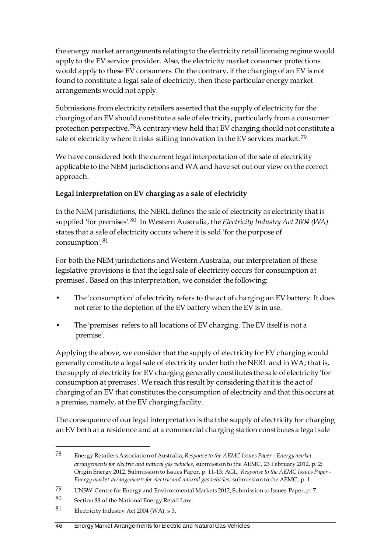the energy market arrangements relating to the electricity retail licensing regime would apply to the EV service provider. Also, the electricity market consumer protections would apply to these EV consumers. On the contrary, if the charging of an EV is not found to constitute a legal sale of electricity, then these particular energy market arrangements would not apply.

Submissions from electricity retailers asserted that the supply of electricity for the charging of an EV should constitute a sale of electricity, particularly from a consumer protection perspective.[78](#page-53-0)A contrary view held that EV charging should not constitute a sale of electricity where it risks stifling innovation in the EV services market.<sup>[79](#page-53-1)</sup>

We have considered both the current legal interpretation of the sale of electricity applicable to the NEM jurisdictions and WA and have set out our view on the correct approach.

## **Legal interpretation on EV charging as a sale of electricity**

In the NEM jurisdictions, the NERL defines the sale of electricity as electricity that is supplied 'for premises'.[80](#page-53-2) In Western Australia, the *Electricity Industry Act 2004 (WA)* states that a sale of electricity occurs where it is sold 'for the purpose of consumption'.[81](#page-53-3)

For both the NEM jurisdictions and Western Australia, our interpretation of these legislative provisions is that the legal sale of electricity occurs 'for consumption at premises'. Based on this interpretation, we consider the following:

- The 'consumption' of electricity refers to the act of charging an EV battery. It does not refer to the depletion of the EV battery when the EV is in use.
- The 'premises' refers to all locations of EV charging. The EV itself is not a 'premise'.

Applying the above, we consider that the supply of electricity for EV charging would generally constitute a legal sale of electricity under both the NERL and in WA; that is, the supply of electricity for EV charging generally constitutes the sale of electricity 'for consumption at premises'. We reach this result by considering that it is the act of charging of an EV that constitutes the consumption of electricity and that this occurs at a premise, namely, at the EV charging facility.

The consequence of our legal interpretation is that the supply of electricity for charging an EV both at a residence and at a commercial charging station constitutes a legal sale

-

<span id="page-53-0"></span><sup>78</sup> Energy Retailers Association of Australia, *Response to the AEMC Issues Paper - Energy market arrangements for electric and natural gas vehicles*, submission to the AEMC, 23 February 2012, p. 2; Origin Energy 2012, Submission to Issues Paper, p. 11-13; AGL, *Response to the AEMC Issues Paper - Energy market arrangements for electric and natural gas vehicles*, submission to the AEMC, p. 1.

<span id="page-53-1"></span><sup>79</sup> UNSW Centre for Energy and Environmental Markets 2012, Submission to Issues Paper, p. 7.

<span id="page-53-2"></span><sup>80</sup> Section 88 of the National Energy Retail Law.

<span id="page-53-3"></span><sup>81</sup> Electricity Industry Act 2004 (WA), s 3.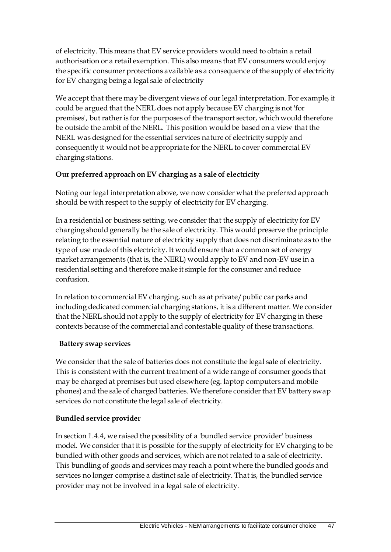of electricity. This means that EV service providers would need to obtain a retail authorisation or a retail exemption. This also means that EV consumers would enjoy the specific consumer protections available as a consequence of the supply of electricity for EV charging being a legal sale of electricity

We accept that there may be divergent views of our legal interpretation. For example, it could be argued that the NERL does not apply because EV charging is not 'for premises', but rather is for the purposes of the transport sector, which would therefore be outside the ambit of the NERL. This position would be based on a view that the NERL was designed for the essential services nature of electricity supply and consequently it would not be appropriate for the NERL to cover commercial EV charging stations.

## **Our preferred approach on EV charging as a sale of electricity**

Noting our legal interpretation above, we now consider what the preferred approach should be with respect to the supply of electricity for EV charging.

In a residential or business setting, we consider that the supply of electricity for EV charging should generally be the sale of electricity. This would preserve the principle relating to the essential nature of electricity supply that does not discriminate as to the type of use made of this electricity. It would ensure that a common set of energy market arrangements (that is, the NERL) would apply to EV and non-EV use in a residential setting and therefore make it simple for the consumer and reduce confusion.

In relation to commercial EV charging, such as at private/public car parks and including dedicated commercial charging stations, it is a different matter. We consider that the NERL should not apply to the supply of electricity for EV charging in these contexts because of the commercial and contestable quality of these transactions.

## **Battery swap services**

We consider that the sale of batteries does not constitute the legal sale of electricity. This is consistent with the current treatment of a wide range of consumer goods that may be charged at premises but used elsewhere (eg. laptop computers and mobile phones) and the sale of charged batteries. We therefore consider that EV battery swap services do not constitute the legal sale of electricity.

## **Bundled service provider**

In section 1.4.4, we raised the possibility of a 'bundled service provider' business model. We consider that it is possible for the supply of electricity for EV charging to be bundled with other goods and services, which are not related to a sale of electricity. This bundling of goods and services may reach a point where the bundled goods and services no longer comprise a distinct sale of electricity. That is, the bundled service provider may not be involved in a legal sale of electricity.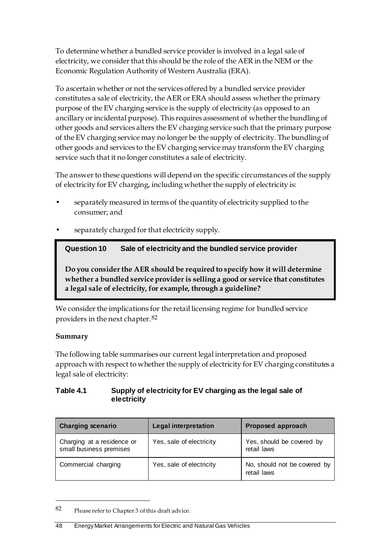To determine whether a bundled service provider is involved in a legal sale of electricity, we consider that this should be the role of the AER in the NEM or the Economic Regulation Authority of Western Australia (ERA).

To ascertain whether or not the services offered by a bundled service provider constitutes a sale of electricity, the AER or ERA should assess whether the primary purpose of the EV charging service is the supply of electricity (as opposed to an ancillary or incidental purpose). This requires assessment of whether the bundling of other goods and services alters the EV charging service such that the primary purpose of the EV charging service may no longer be the supply of electricity. The bundling of other goods and services to the EV charging service may transform the EV charging service such that it no longer constitutes a sale of electricity.

The answer to these questions will depend on the specific circumstances of the supply of electricity for EV charging, including whether the supply of electricity is:

- separately measured in terms of the quantity of electricity supplied to the consumer; and
- separately charged for that electricity supply.

**Question 10 Sale of electricity and the bundled service provider**

**Do you consider the AER should be required to specify how it will determine whether a bundled service provider is selling a good or service that constitutes a legal sale of electricity, for example, through a guideline?**

We consider the implications for the retail licensing regime for bundled service providers in the next chapter.[82](#page-55-0)

## **Summary**

<u>.</u>

The following table summarises our current legal interpretation and proposed approach with respect to whether the supply of electricity for EV charging constitutes a legal sale of electricity:

#### **Table 4.1 Supply of electricity for EV charging as the legal sale of electricity**

| <b>Charging scenario</b>                              | <b>Legal interpretation</b> | Proposed approach                           |
|-------------------------------------------------------|-----------------------------|---------------------------------------------|
| Charging at a residence or<br>small business premises | Yes, sale of electricity    | Yes, should be covered by<br>retail laws    |
| Commercial charging                                   | Yes, sale of electricity    | No, should not be covered by<br>retail laws |

<span id="page-55-0"></span><sup>82</sup> Please refer to Chapter 3 of this draft advice.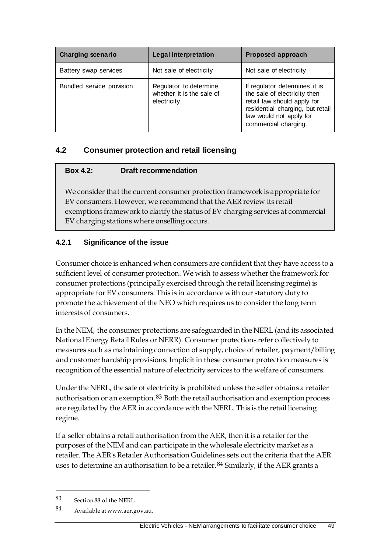| <b>Charging scenario</b>  | <b>Legal interpretation</b>                                         | Proposed approach                                                                                                                                                                   |
|---------------------------|---------------------------------------------------------------------|-------------------------------------------------------------------------------------------------------------------------------------------------------------------------------------|
| Battery swap services     | Not sale of electricity                                             | Not sale of electricity                                                                                                                                                             |
| Bundled service provision | Regulator to determine<br>whether it is the sale of<br>electricity. | If regulator determines it is<br>the sale of electricity then<br>retail law should apply for<br>residential charging, but retail<br>law would not apply for<br>commercial charging. |

## **4.2 Consumer protection and retail licensing**

#### **Box 4.2: Draft recommendation**

We consider that the current consumer protection framework is appropriate for EV consumers. However, we recommend that the AER review its retail exemptions framework to clarify the status of EV charging services at commercial EV charging stations where onselling occurs.

## **4.2.1 Significance of the issue**

Consumer choice is enhanced when consumers are confident that they have access to a sufficient level of consumer protection. We wish to assess whether the framework for consumer protections (principally exercised through the retail licensing regime) is appropriate for EV consumers. This is in accordance with our statutory duty to promote the achievement of the NEO which requires us to consider the long term interests of consumers.

In the NEM, the consumer protections are safeguarded in the NERL (and its associated National Energy Retail Rules or NERR). Consumer protections refer collectively to measures such as maintaining connection of supply, choice of retailer, payment/billing and customer hardship provisions. Implicit in these consumer protection measures is recognition of the essential nature of electricity services to the welfare of consumers.

Under the NERL, the sale of electricity is prohibited unless the seller obtains a retailer authorisation or an exemption.<sup>[83](#page-56-0)</sup> Both the retail authorisation and exemption process are regulated by the AER in accordance with the NERL. This is the retail licensing regime.

If a seller obtains a retail authorisation from the AER, then it is a retailer for the purposes of the NEM and can participate in the wholesale electricity market as a retailer. The AER's Retailer Authorisation Guidelines sets out the criteria that the AER uses to determine an authorisation to be a retailer.  $84$  Similarly, if the AER grants a

-

<span id="page-56-0"></span><sup>83</sup> Section 88 of the NERL.

<span id="page-56-1"></span><sup>84</sup> Available at www.aer.gov.au.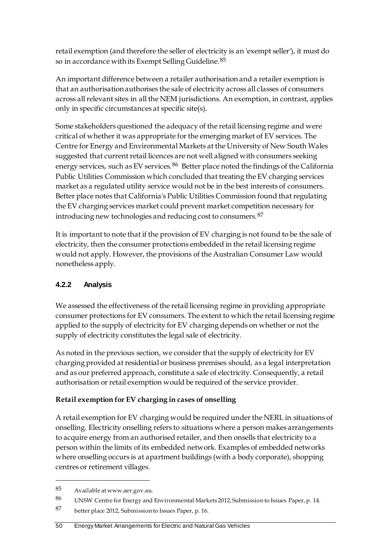retail exemption (and therefore the seller of electricity is an 'exempt seller'), it must do so in accordance with its Exempt Selling Guideline. [85](#page-57-0)

An important difference between a retailer authorisation and a retailer exemption is that an authorisation authorises the sale of electricity across all classes of consumers across all relevant sites in all the NEM jurisdictions. An exemption, in contrast, applies only in specific circumstances at specific site(s).

Some stakeholders questioned the adequacy of the retail licensing regime and were critical of whether it was appropriate for the emerging market of EV services. The Centre for Energy and Environmental Markets at the University of New South Wales suggested that current retail licences are not well aligned with consumers seeking energy services, such as EV services.<sup>[86](#page-57-1)</sup> Better place noted the findings of the California Public Utilities Commission which concluded that treating the EV charging services market as a regulated utility service would not be in the best interests of consumers. Better place notes that California's Public Utilities Commission found that regulating the EV charging services market could prevent market competition necessary for introducing new technologies and reducing cost to consumers.[87](#page-57-2)

It is important to note that if the provision of EV charging is not found to be the sale of electricity, then the consumer protections embedded in the retail licensing regime would not apply. However, the provisions of the Australian Consumer Law would nonetheless apply.

## **4.2.2 Analysis**

We assessed the effectiveness of the retail licensing regime in providing appropriate consumer protections for EV consumers. The extent to which the retail licensing regime applied to the supply of electricity for EV charging depends on whether or not the supply of electricity constitutes the legal sale of electricity.

As noted in the previous section, we consider that the supply of electricity for EV charging provided at residential or business premises should, as a legal interpretation and as our preferred approach, constitute a sale of electricity. Consequently, a retail authorisation or retail exemption would be required of the service provider.

## **Retail exemption for EV charging in cases of onselling**

A retail exemption for EV charging would be required under the NERL in situations of onselling. Electricity onselling refers to situations where a person makes arrangements to acquire energy from an authorised retailer, and then onsells that electricity to a person within the limits of its embedded network. Examples of embedded networks where onselling occurs is at apartment buildings (with a body corporate), shopping centres or retirement villages.

-

#### 50 Energy Market Arrangements for Electric and Natural Gas Vehicles

<span id="page-57-0"></span><sup>85</sup> Available at www.aer.gov.au.

<span id="page-57-1"></span><sup>86</sup> UNSW Centre for Energy and Environmental Markets 2012, Submission to Issues Paper, p. 14.

<span id="page-57-2"></span><sup>87</sup> better place 2012, Submission to Issues Paper, p. 16.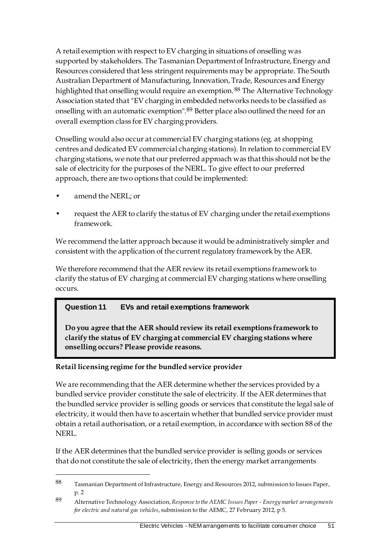A retail exemption with respect to EV charging in situations of onselling was supported by stakeholders. The Tasmanian Department of Infrastructure, Energy and Resources considered that less stringent requirements may be appropriate. The South Australian Department of Manufacturing, Innovation, Trade, Resources and Energy highlighted that onselling would require an exemption.<sup>[88](#page-58-0)</sup> The Alternative Technology Association stated that "EV charging in embedded networks needs to be classified as onselling with an automatic exemption".[89](#page-58-1) Better place also outlined the need for an overall exemption class for EV charging providers.

Onselling would also occur at commercial EV charging stations (eg. at shopping centres and dedicated EV commercial charging stations). In relation to commercial EV charging stations, we note that our preferred approach was that this should not be the sale of electricity for the purposes of the NERL. To give effect to our preferred approach, there are two options that could be implemented:

• amend the NERL; or

-

• request the AER to clarify the status of EV charging under the retail exemptions framework.

We recommend the latter approach because it would be administratively simpler and consistent with the application of the current regulatory framework by the AER.

We therefore recommend that the AER review its retail exemptions framework to clarify the status of EV charging at commercial EV charging stations where onselling occurs.

## **Question 11 EVs and retail exemptions framework**

**Do you agree that the AER should review its retail exemptions framework to clarify the status of EV charging at commercial EV charging stations where onselling occurs? Please provide reasons.**

## **Retail licensing regime for the bundled service provider**

We are recommending that the AER determine whether the services provided by a bundled service provider constitute the sale of electricity. If the AER determines that the bundled service provider is selling goods or services that constitute the legal sale of electricity, it would then have to ascertain whether that bundled service provider must obtain a retail authorisation, or a retail exemption, in accordance with section 88 of the NERL.

If the AER determines that the bundled service provider is selling goods or services that do not constitute the sale of electricity, then the energy market arrangements

<span id="page-58-0"></span><sup>88</sup> Tasmanian Department of Infrastructure, Energy and Resources 2012, submission to Issues Paper, p. 2

<span id="page-58-1"></span><sup>89</sup> Alternative Technology Association, *Response to the AEMC Issues Paper - Energy market arrangements for electric and natural gas vehicles*, submission to the AEMC, 27 February 2012, p 5.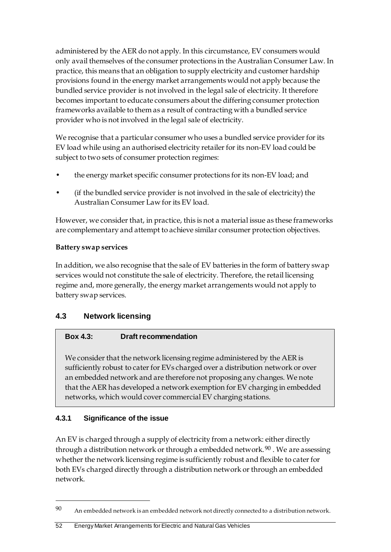administered by the AER do not apply. In this circumstance, EV consumers would only avail themselves of the consumer protections in the Australian Consumer Law. In practice, this means that an obligation to supply electricity and customer hardship provisions found in the energy market arrangements would not apply because the bundled service provider is not involved in the legal sale of electricity. It therefore becomes important to educate consumers about the differing consumer protection frameworks available to them as a result of contracting with a bundled service provider who is not involved in the legal sale of electricity.

We recognise that a particular consumer who uses a bundled service provider for its EV load while using an authorised electricity retailer for its non-EV load could be subject to two sets of consumer protection regimes:

- the energy market specific consumer protections for its non-EV load; and
- (if the bundled service provider is not involved in the sale of electricity) the Australian Consumer Law for its EV load.

However, we consider that, in practice, this is not a material issue as these frameworks are complementary and attempt to achieve similar consumer protection objectives.

## **Battery swap services**

In addition, we also recognise that the sale of EV batteries in the form of battery swap services would not constitute the sale of electricity. Therefore, the retail licensing regime and, more generally, the energy market arrangements would not apply to battery swap services.

## **4.3 Network licensing**

## **Box 4.3: Draft recommendation**

We consider that the network licensing regime administered by the AER is sufficiently robust to cater for EVs charged over a distribution network or over an embedded network and are therefore not proposing any changes. We note that the AER has developed a network exemption for EV charging in embedded networks, which would cover commercial EV charging stations.

## **4.3.1 Significance of the issue**

<u>.</u>

An EV is charged through a supply of electricity from a network: either directly through a distribution network or through a embedded network.<sup>[90](#page-59-0)</sup>. We are assessing whether the network licensing regime is sufficiently robust and flexible to cater for both EVs charged directly through a distribution network or through an embedded network.

<span id="page-59-0"></span><sup>90</sup> An embedded network is an embedded network not directly connected to a distribution network.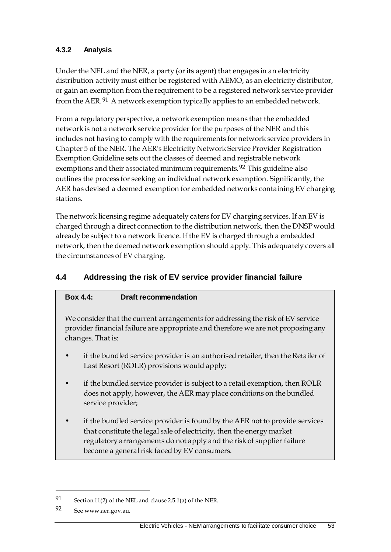## **4.3.2 Analysis**

Under the NEL and the NER, a party (or its agent) that engages in an electricity distribution activity must either be registered with AEMO, as an electricity distributor, or gain an exemption from the requirement to be a registered network service provider from the AER.<sup>[91](#page-60-0)</sup> A network exemption typically applies to an embedded network.

From a regulatory perspective, a network exemption means that the embedded network is not a network service provider for the purposes of the NER and this includes not having to comply with the requirements for network service providers in Chapter 5 of the NER. The AER's Electricity Network Service Provider Registration Exemption Guideline sets out the classes of deemed and registrable network exemptions and their associated minimum requirements.<sup>[92](#page-60-1)</sup> This guideline also outlines the process for seeking an individual network exemption. Significantly, the AER has devised a deemed exemption for embedded networks containing EV charging stations.

The network licensing regime adequately caters for EV charging services. If an EV is charged through a direct connection to the distribution network, then the DNSP would already be subject to a network licence. If the EV is charged through a embedded network, then the deemed network exemption should apply. This adequately covers all the circumstances of EV charging.

## **4.4 Addressing the risk of EV service provider financial failure**

## **Box 4.4: Draft recommendation**

We consider that the current arrangements for addressing the risk of EV service provider financial failure are appropriate and therefore we are not proposing any changes. That is:

- if the bundled service provider is an authorised retailer, then the Retailer of Last Resort (ROLR) provisions would apply;
- if the bundled service provider is subject to a retail exemption, then ROLR does not apply, however, the AER may place conditions on the bundled service provider;
- if the bundled service provider is found by the AER not to provide services that constitute the legal sale of electricity, then the energy market regulatory arrangements do not apply and the risk of supplier failure become a general risk faced by EV consumers.

-

<span id="page-60-0"></span><sup>91</sup> Section 11(2) of the NEL and clause 2.5.1(a) of the NER.

<span id="page-60-1"></span><sup>92</sup> See www.aer.gov.au.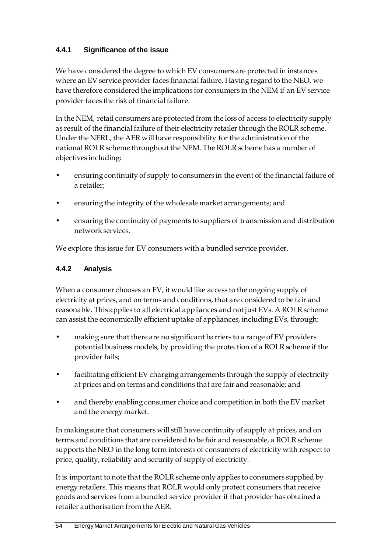## **4.4.1 Significance of the issue**

We have considered the degree to which EV consumers are protected in instances where an EV service provider faces financial failure. Having regard to the NEO, we have therefore considered the implications for consumers in the NEM if an EV service provider faces the risk of financial failure.

In the NEM, retail consumers are protected from the loss of access to electricity supply as result of the financial failure of their electricity retailer through the ROLR scheme. Under the NERL, the AER will have responsibility for the administration of the national ROLR scheme throughout the NEM. The ROLR scheme has a number of objectives including:

- ensuring continuity of supply to consumers in the event of the financial failure of a retailer;
- ensuring the integrity of the wholesale market arrangements; and
- ensuring the continuity of payments to suppliers of transmission and distribution network services.

We explore this issue for EV consumers with a bundled service provider.

## **4.4.2 Analysis**

When a consumer chooses an EV, it would like access to the ongoing supply of electricity at prices, and on terms and conditions, that are considered to be fair and reasonable. This applies to all electrical appliances and not just EVs. A ROLR scheme can assist the economically efficient uptake of appliances, including EVs, through:

- making sure that there are no significant barriers to a range of EV providers potential business models, by providing the protection of a ROLR scheme if the provider fails;
- facilitating efficient EV charging arrangements through the supply of electricity at prices and on terms and conditions that are fair and reasonable; and
- and thereby enabling consumer choice and competition in both the EV market and the energy market.

In making sure that consumers will still have continuity of supply at prices, and on terms and conditions that are considered to be fair and reasonable, a ROLR scheme supports the NEO in the long term interests of consumers of electricity with respect to price, quality, reliability and security of supply of electricity.

It is important to note that the ROLR scheme only applies to consumers supplied by energy retailers. This means that ROLR would only protect consumers that receive goods and services from a bundled service provider if that provider has obtained a retailer authorisation from the AER.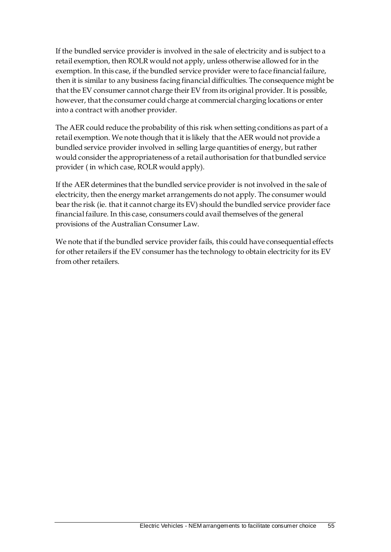If the bundled service provider is involved in the sale of electricity and is subject to a retail exemption, then ROLR would not apply, unless otherwise allowed for in the exemption. In this case, if the bundled service provider were to face financial failure, then it is similar to any business facing financial difficulties. The consequence might be that the EV consumer cannot charge their EV from its original provider. It is possible, however, that the consumer could charge at commercial charging locations or enter into a contract with another provider.

The AER could reduce the probability of this risk when setting conditions as part of a retail exemption. We note though that it is likely that the AER would not provide a bundled service provider involved in selling large quantities of energy, but rather would consider the appropriateness of a retail authorisation for that bundled service provider ( in which case, ROLR would apply).

If the AER determines that the bundled service provider is not involved in the sale of electricity, then the energy market arrangements do not apply. The consumer would bear the risk (ie. that it cannot charge its EV) should the bundled service provider face financial failure. In this case, consumers could avail themselves of the general provisions of the Australian Consumer Law.

We note that if the bundled service provider fails, this could have consequential effects for other retailers if the EV consumer has the technology to obtain electricity for its EV from other retailers.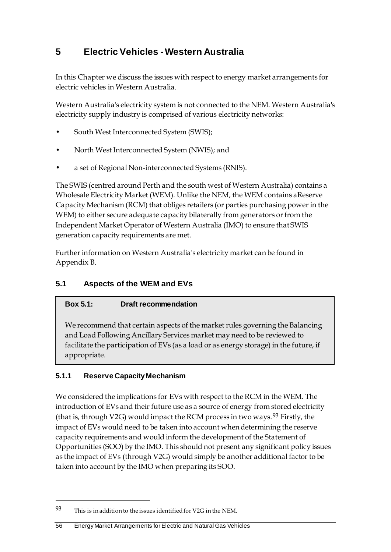# **5 Electric Vehicles - Western Australia**

In this Chapter we discuss the issues with respect to energy market arrangements for electric vehicles in Western Australia.

Western Australia's electricity system is not connected to the NEM. Western Australia's electricity supply industry is comprised of various electricity networks:

- South West Interconnected System (SWIS);
- North West Interconnected System (NWIS); and
- a set of Regional Non-interconnected Systems (RNIS).

The SWIS (centred around Perth and the south west of Western Australia) contains a Wholesale Electricity Market (WEM). Unlike the NEM, the WEM contains aReserve Capacity Mechanism (RCM) that obliges retailers (or parties purchasing power in the WEM) to either secure adequate capacity bilaterally from generators or from the Independent Market Operator of Western Australia (IMO) to ensure that SWIS generation capacity requirements are met.

Further information on Western Australia's electricity market can be found in Appendix B.

## **5.1 Aspects of the WEM and EVs**

## **Box 5.1: Draft recommendation**

We recommend that certain aspects of the market rules governing the Balancing and Load Following Ancillary Services market may need to be reviewed to facilitate the participation of EVs (as a load or as energy storage) in the future, if appropriate.

## **5.1.1 Reserve Capacity Mechanism**

<u>.</u>

We considered the implications for EVs with respect to the RCM in the WEM. The introduction of EVs and their future use as a source of energy from stored electricity (that is, through V2G) would impact the RCM process in two ways. <sup>[93](#page-63-0)</sup> Firstly, the impact of EVs would need to be taken into account when determining the reserve capacity requirements and would inform the development of the Statement of Opportunities (SOO) by the IMO. This should not present any significant policy issues as the impact of EVs (through V2G) would simply be another additional factor to be taken into account by the IMO when preparing its SOO.

<span id="page-63-0"></span><sup>93</sup> This is in addition to the issues identified for V2G in the NEM.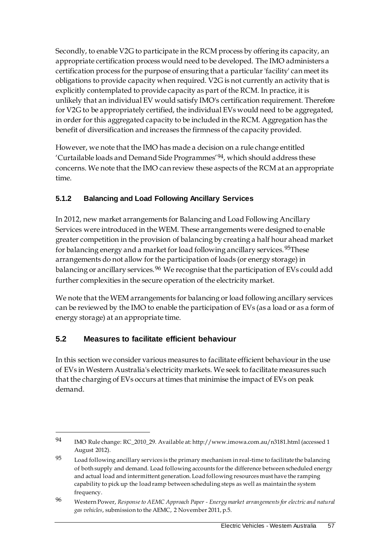Secondly, to enable V2G to participate in the RCM process by offering its capacity, an appropriate certification process would need to be developed. The IMO administers a certification process for the purpose of ensuring that a particular 'facility' can meet its obligations to provide capacity when required. V2G is not currently an activity that is explicitly contemplated to provide capacity as part of the RCM. In practice, it is unlikely that an individual EV would satisfy IMO's certification requirement. Therefore for V2G to be appropriately certified, the individual EVs would need to be aggregated, in order for this aggregated capacity to be included in the RCM. Aggregation has the benefit of diversification and increases the firmness of the capacity provided.

However, we note that the IMO has made a decision on a rule change entitled 'Curtailable loads and Demand Side Programmes'[94](#page-64-0), which should address these concerns. We note that the IMO can review these aspects of the RCM at an appropriate time.

## **5.1.2 Balancing and Load Following Ancillary Services**

In 2012, new market arrangements for Balancing and Load Following Ancillary Services were introduced in the WEM. These arrangements were designed to enable greater competition in the provision of balancing by creating a half hour ahead market for balancing energy and a market for load following ancillary services.<sup>[95](#page-64-1)</sup>These arrangements do not allow for the participation of loads (or energy storage) in balancing or ancillary services.<sup>[96](#page-64-2)</sup> We recognise that the participation of EVs could add further complexities in the secure operation of the electricity market.

We note that the WEM arrangements for balancing or load following ancillary services can be reviewed by the IMO to enable the participation of EVs (as a load or as a form of energy storage) at an appropriate time.

## **5.2 Measures to facilitate efficient behaviour**

<u>.</u>

In this section we consider various measures to facilitate efficient behaviour in the use of EVs in Western Australia's electricity markets. We seek to facilitate measures such that the charging of EVs occurs at times that minimise the impact of EVs on peak demand.

<span id="page-64-0"></span><sup>94</sup> IMO Rule change: RC\_2010\_29. Available at: http://www.imowa.com.au/n3181.html (accessed 1 August 2012).

<span id="page-64-1"></span> $95$  Load following ancillary services is the primary mechanism in real-time to facilitate the balancing of both supply and demand. Load following accounts for the difference between scheduled energy and actual load and intermittent generation. Load following resources must have the ramping capability to pick up the load ramp between scheduling steps as well as maintain the system frequency.

<span id="page-64-2"></span><sup>96</sup> Western Power, *Response to AEMC Approach Paper - Energy market arrangements for electric and natural gas vehicles*, submission to the AEMC, 2 November 2011, p.5.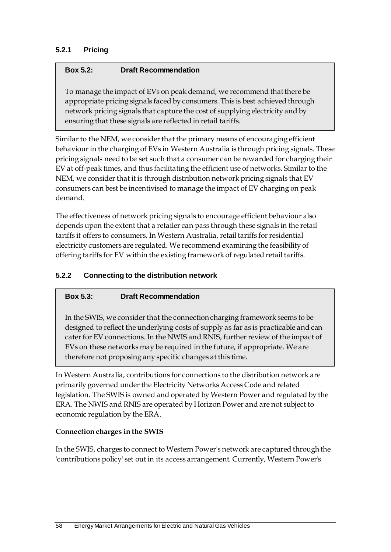## **5.2.1 Pricing**

#### **Box 5.2: Draft Recommendation**

To manage the impact of EVs on peak demand, we recommend that there be appropriate pricing signals faced by consumers. This is best achieved through network pricing signals that capture the cost of supplying electricity and by ensuring that these signals are reflected in retail tariffs.

Similar to the NEM, we consider that the primary means of encouraging efficient behaviour in the charging of EVs in Western Australia is through pricing signals. These pricing signals need to be set such that a consumer can be rewarded for charging their EV at off-peak times, and thus facilitating the efficient use of networks. Similar to the NEM, we consider that it is through distribution network pricing signals that EV consumers can best be incentivised to manage the impact of EV charging on peak demand.

The effectiveness of network pricing signals to encourage efficient behaviour also depends upon the extent that a retailer can pass through these signals in the retail tariffs it offers to consumers. In Western Australia, retail tariffs for residential electricity customers are regulated. We recommend examining the feasibility of offering tariffs for EV within the existing framework of regulated retail tariffs.

## **5.2.2 Connecting to the distribution network**

## **Box 5.3: Draft Recommendation**

In the SWIS, we consider that the connection charging framework seems to be designed to reflect the underlying costs of supply as far as is practicable and can cater for EV connections. In the NWIS and RNIS, further review of the impact of EVs on these networks may be required in the future, if appropriate. We are therefore not proposing any specific changes at this time.

In Western Australia, contributions for connections to the distribution network are primarily governed under the Electricity Networks Access Code and related legislation. The SWIS is owned and operated by Western Power and regulated by the ERA. The NWIS and RNIS are operated by Horizon Power and are not subject to economic regulation by the ERA.

#### **Connection charges in the SWIS**

In the SWIS, charges to connect to Western Power's network are captured through the 'contributions policy' set out in its access arrangement. Currently, Western Power's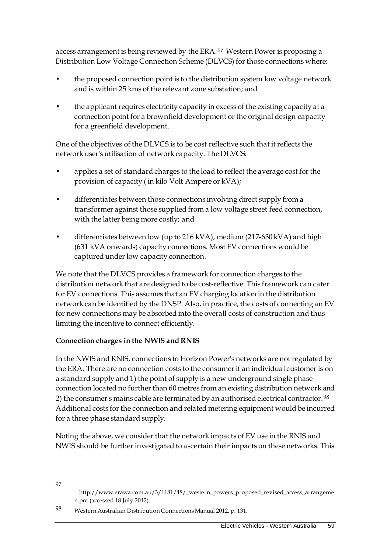access arrangement is being reviewed by the ERA.<sup>[97](#page-66-0)</sup> Western Power is proposing a Distribution Low Voltage Connection Scheme (DLVCS) for those connections where:

- the proposed connection point is to the distribution system low voltage network and is within 25 kms of the relevant zone substation; and
- the applicant requires electricity capacity in excess of the existing capacity at a connection point for a brownfield development or the original design capacity for a greenfield development.

One of the objectives of the DLVCS is to be cost reflective such that it reflects the network user's utilisation of network capacity. The DLVCS:

- applies a set of standard charges to the load to reflect the average cost for the provision of capacity ( in kilo Volt Ampere or kVA);
- differentiates between those connections involving direct supply from a transformer against those supplied from a low voltage street feed connection, with the latter being more costly; and
- differentiates between low (up to 216 kVA), medium (217-630 kVA) and high (631 kVA onwards) capacity connections. Most EV connections would be captured under low capacity connection.

We note that the DLVCS provides a framework for connection charges to the distribution network that are designed to be cost-reflective. This framework can cater for EV connections. This assumes that an EV charging location in the distribution network can be identified by the DNSP. Also, in practice, the costs of connecting an EV for new connections may be absorbed into the overall costs of construction and thus limiting the incentive to connect efficiently.

## **Connection charges in the NWIS and RNIS**

In the NWIS and RNIS, connections to Horizon Power's networks are not regulated by the ERA. There are no connection costs to the consumer if an individual customer is on a standard supply and 1) the point of supply is a new underground single phase connection located no further than 60 metres from an existing distribution network and 2) the consumer's mains cable are terminated by an authorised electrical contractor.<sup>[98](#page-66-1)</sup> Additional costs for the connection and related metering equipment would be incurred for a three phase standard supply.

Noting the above, we consider that the network impacts of EV use in the RNIS and NWIS should be further investigated to ascertain their impacts on these networks. This

<span id="page-66-0"></span><u>.</u> 97

http://www.erawa.com.au/3/1181/48/\_western\_powers\_proposed\_revised\_access\_arrangeme n.pm (accessed 18 July 2012).

<span id="page-66-1"></span><sup>98</sup> Western Australian Distribution Connections Manual 2012, p. 131.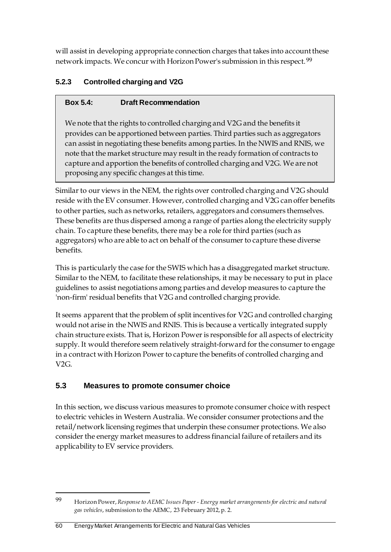will assist in developing appropriate connection charges that takes into account these network impacts. We concur with Horizon Power's submission in this respect.[99](#page-67-0)

## **5.2.3 Controlled charging and V2G**

## **Box 5.4: Draft Recommendation**

We note that the rights to controlled charging and V2G and the benefits it provides can be apportioned between parties. Third parties such as aggregators can assist in negotiating these benefits among parties. In the NWIS and RNIS, we note that the market structure may result in the ready formation of contracts to capture and apportion the benefits of controlled charging and V2G. We are not proposing any specific changes at this time.

Similar to our views in the NEM, the rights over controlled charging and V2G should reside with the EV consumer. However, controlled charging and V2G can offer benefits to other parties, such as networks, retailers, aggregators and consumers themselves. These benefits are thus dispersed among a range of parties along the electricity supply chain. To capture these benefits, there may be a role for third parties (such as aggregators) who are able to act on behalf of the consumer to capture these diverse benefits.

This is particularly the case for the SWIS which has a disaggregated market structure. Similar to the NEM, to facilitate these relationships, it may be necessary to put in place guidelines to assist negotiations among parties and develop measures to capture the 'non-firm' residual benefits that V2G and controlled charging provide.

It seems apparent that the problem of split incentives for V2G and controlled charging would not arise in the NWIS and RNIS. This is because a vertically integrated supply chain structure exists. That is, Horizon Power is responsible for all aspects of electricity supply. It would therefore seem relatively straight-forward for the consumer to engage in a contract with Horizon Power to capture the benefits of controlled charging and  $V2G$ .

## **5.3 Measures to promote consumer choice**

In this section, we discuss various measures to promote consumer choice with respect to electric vehicles in Western Australia. We consider consumer protections and the retail/network licensing regimes that underpin these consumer protections. We also consider the energy market measures to address financial failure of retailers and its applicability to EV service providers.

<u>.</u>

<span id="page-67-0"></span><sup>99</sup> Horizon Power, *Response to AEMC Issues Paper - Energy market arrangements for electric and natural gas vehicles*, submission to the AEMC, 23 February 2012, p. 2.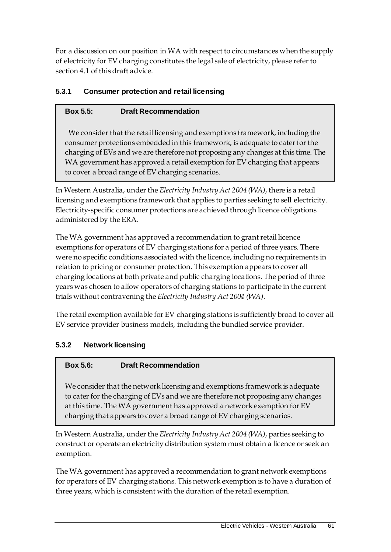For a discussion on our position in WA with respect to circumstances when the supply of electricity for EV charging constitutes the legal sale of electricity, please refer to section 4.1 of this draft advice.

## **5.3.1 Consumer protection and retail licensing**

## **Box 5.5: Draft Recommendation**

We consider that the retail licensing and exemptions framework, including the consumer protections embedded in this framework, is adequate to cater for the charging of EVs and we are therefore not proposing any changes at this time. The WA government has approved a retail exemption for EV charging that appears to cover a broad range of EV charging scenarios.

In Western Australia, under the *Electricity Industry Act 2004 (WA)*, there is a retail licensing and exemptions framework that applies to parties seeking to sell electricity. Electricity-specific consumer protections are achieved through licence obligations administered by the ERA.

The WA government has approved a recommendation to grant retail licence exemptions for operators of EV charging stations for a period of three years. There were no specific conditions associated with the licence, including no requirements in relation to pricing or consumer protection. This exemption appears to cover all charging locations at both private and public charging locations. The period of three years was chosen to allow operators of charging stations to participate in the current trials without contravening the *Electricity Industry Act 2004 (WA)*.

The retail exemption available for EV charging stations is sufficiently broad to cover all EV service provider business models, including the bundled service provider.

## **5.3.2 Network licensing**

## **Box 5.6: Draft Recommendation**

We consider that the network licensing and exemptions framework is adequate to cater for the charging of EVs and we are therefore not proposing any changes at this time. The WA government has approved a network exemption for EV charging that appears to cover a broad range of EV charging scenarios.

In Western Australia, under the *Electricity Industry Act 2004 (WA)*, parties seeking to construct or operate an electricity distribution system must obtain a licence or seek an exemption.

The WA government has approved a recommendation to grant network exemptions for operators of EV charging stations. This network exemption is to have a duration of three years, which is consistent with the duration of the retail exemption.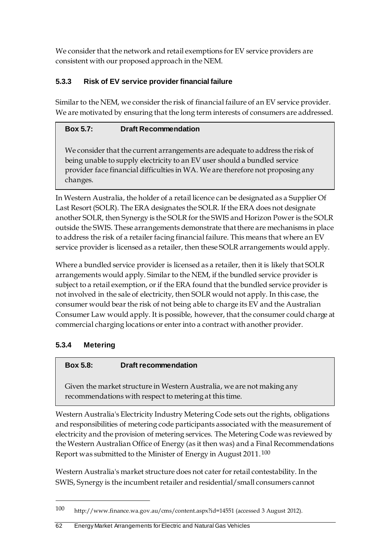We consider that the network and retail exemptions for EV service providers are consistent with our proposed approach in the NEM.

## **5.3.3 Risk of EV service provider financial failure**

Similar to the NEM, we consider the risk of financial failure of an EV service provider. We are motivated by ensuring that the long term interests of consumers are addressed.

## **Box 5.7: Draft Recommendation**

We consider that the current arrangements are adequate to address the risk of being unable to supply electricity to an EV user should a bundled service provider face financial difficulties in WA. We are therefore not proposing any changes.

In Western Australia, the holder of a retail licence can be designated as a Supplier Of Last Resort (SOLR). The ERA designates the SOLR. If the ERA does not designate another SOLR, then Synergy is the SOLR for the SWIS and Horizon Power is the SOLR outside the SWIS. These arrangements demonstrate that there are mechanisms in place to address the risk of a retailer facing financial failure. This means that where an EV service provider is licensed as a retailer, then these SOLR arrangements would apply.

Where a bundled service provider is licensed as a retailer, then it is likely that SOLR arrangements would apply. Similar to the NEM, if the bundled service provider is subject to a retail exemption, or if the ERA found that the bundled service provider is not involved in the sale of electricity, then SOLR would not apply. In this case, the consumer would bear the risk of not being able to charge its EV and the Australian Consumer Law would apply. It is possible, however, that the consumer could charge at commercial charging locations or enter into a contract with another provider.

## **5.3.4 Metering**

<u>.</u>

## **Box 5.8: Draft recommendation**

Given the market structure in Western Australia, we are not making any recommendations with respect to metering at this time.

Western Australia's Electricity Industry Metering Code sets out the rights, obligations and responsibilities of metering code participants associated with the measurement of electricity and the provision of metering services. The Metering Code was reviewed by the Western Australian Office of Energy (as it then was) and a Final Recommendations Report was submitted to the Minister of Energy in August 2011.[100](#page-69-0) 

Western Australia's market structure does not cater for retail contestability. In the SWIS, Synergy is the incumbent retailer and residential/small consumers cannot

<span id="page-69-0"></span><sup>100</sup> http://www.finance.wa.gov.au/cms/content.aspx?id=14551 (accessed 3 August 2012).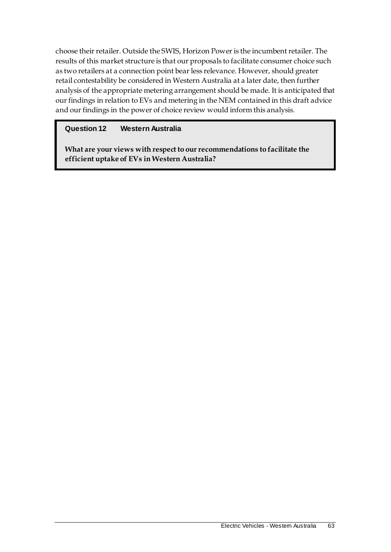choose their retailer. Outside the SWIS, Horizon Power is the incumbent retailer. The results of this market structure is that our proposals to facilitate consumer choice such as two retailers at a connection point bear less relevance. However, should greater retail contestability be considered in Western Australia at a later date, then further analysis of the appropriate metering arrangement should be made. It is anticipated that our findings in relation to EVs and metering in the NEM contained in this draft advice and our findings in the power of choice review would inform this analysis.

## **Question 12 Western Australia**

**What are your views with respect to our recommendations to facilitate the efficient uptake of EVs in Western Australia?**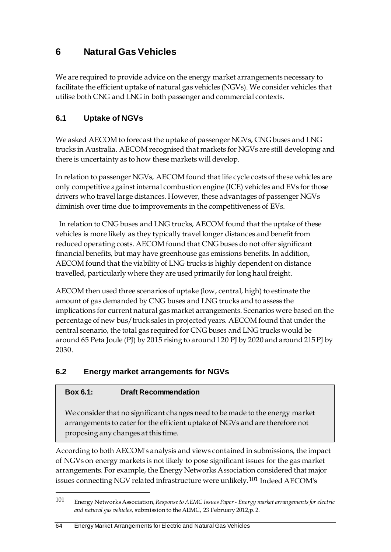# **6 Natural Gas Vehicles**

We are required to provide advice on the energy market arrangements necessary to facilitate the efficient uptake of natural gas vehicles (NGVs). We consider vehicles that utilise both CNG and LNG in both passenger and commercial contexts.

## **6.1 Uptake of NGVs**

We asked AECOM to forecast the uptake of passenger NGVs, CNG buses and LNG trucks in Australia. AECOM recognised that markets for NGVs are still developing and there is uncertainty as to how these markets will develop.

In relation to passenger NGVs, AECOM found that life cycle costs of these vehicles are only competitive against internal combustion engine (ICE) vehicles and EVs for those drivers who travel large distances. However, these advantages of passenger NGVs diminish over time due to improvements in the competitiveness of EVs.

In relation to CNG buses and LNG trucks, AECOM found that the uptake of these vehicles is more likely as they typically travel longer distances and benefit from reduced operating costs. AECOM found that CNG buses do not offer significant financial benefits, but may have greenhouse gas emissions benefits. In addition, AECOM found that the viability of LNG trucks is highly dependent on distance travelled, particularly where they are used primarily for long haul freight.

AECOM then used three scenarios of uptake (low, central, high) to estimate the amount of gas demanded by CNG buses and LNG trucks and to assess the implications for current natural gas market arrangements. Scenarios were based on the percentage of new bus/truck sales in projected years. AECOM found that under the central scenario, the total gas required for CNG buses and LNG trucks would be around 65 Peta Joule (PJ) by 2015 rising to around 120 PJ by 2020 and around 215 PJ by 2030.

## **6.2 Energy market arrangements for NGVs**

## **Box 6.1: Draft Recommendation**

<u>.</u>

We consider that no significant changes need to be made to the energy market arrangements to cater for the efficient uptake of NGVs and are therefore not proposing any changes at this time.

According to both AECOM's analysis and views contained in submissions, the impact of NGVs on energy markets is not likely to pose significant issues for the gas market arrangements. For example, the Energy Networks Association considered that major issues connecting NGV related infrastructure were unlikely.[101](#page-71-0) Indeed AECOM's

<span id="page-71-0"></span><sup>101</sup> Energy Networks Association, *Response to AEMC Issues Paper - Energy market arrangements for electric and natural gas vehicles*, submission to the AEMC, 23 February 2012,p. 2.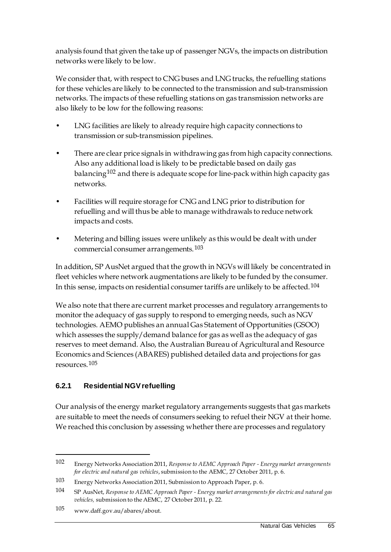analysis found that given the take up of passenger NGVs, the impacts on distribution networks were likely to be low.

We consider that, with respect to CNG buses and LNG trucks, the refuelling stations for these vehicles are likely to be connected to the transmission and sub-transmission networks. The impacts of these refuelling stations on gas transmission networks are also likely to be low for the following reasons:

- LNG facilities are likely to already require high capacity connections to transmission or sub-transmission pipelines.
- There are clear price signals in withdrawing gas from high capacity connections. Also any additional load is likely to be predictable based on daily gas balancing<sup>[102](#page-72-0)</sup> and there is adequate scope for line-pack within high capacity gas networks.
- Facilities will require storage for CNG and LNG prior to distribution for refuelling and will thus be able to manage withdrawals to reduce network impacts and costs.
- Metering and billing issues were unlikely as this would be dealt with under commercial consumer arrangements.[103](#page-72-1)

In addition, SP AusNet argued that the growth in NGVs will likely be concentrated in fleet vehicles where network augmentations are likely to be funded by the consumer. In this sense, impacts on residential consumer tariffs are unlikely to be affected.[104](#page-72-2)

We also note that there are current market processes and regulatory arrangements to monitor the adequacy of gas supply to respond to emerging needs, such as NGV technologies. AEMO publishes an annual Gas Statement of Opportunities (GSOO) which assesses the supply/demand balance for gas as well as the adequacy of gas reserves to meet demand. Also, the Australian Bureau of Agricultural and Resource Economics and Sciences (ABARES) published detailed data and projections for gas resources.[105](#page-72-3)

## **6.2.1 Residential NGV refuelling**

Our analysis of the energy market regulatory arrangements suggests that gas markets are suitable to meet the needs of consumers seeking to refuel their NGV at their home. We reached this conclusion by assessing whether there are processes and regulatory

<span id="page-72-0"></span><sup>102</sup> Energy Networks Association 2011, *Response to AEMC Approach Paper - Energy market arrangements for electric and natural gas vehicles*, submission to the AEMC, 27 October 2011, p. 6.

<span id="page-72-1"></span><sup>103</sup> Energy Networks Association 2011, Submission to Approach Paper, p. 6.

<span id="page-72-2"></span><sup>104</sup> SP AusNet, *Response to AEMC Approach Paper - Energy market arrangements for electric and natural gas vehicles,* submission to the AEMC, 27 October 2011, p. 22.

<span id="page-72-3"></span><sup>105</sup> www.daff.gov.au/abares/about.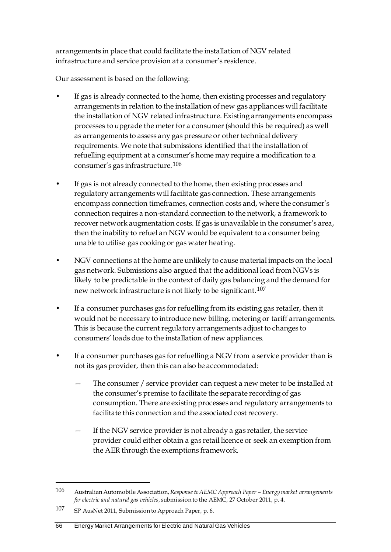arrangements in place that could facilitate the installation of NGV related infrastructure and service provision at a consumer's residence.

Our assessment is based on the following:

- If gas is already connected to the home, then existing processes and regulatory arrangements in relation to the installation of new gas appliances will facilitate the installation of NGV related infrastructure. Existing arrangements encompass processes to upgrade the meter for a consumer (should this be required) as well as arrangements to assess any gas pressure or other technical delivery requirements. We note that submissions identified that the installation of refuelling equipment at a consumer's home may require a modification to a consumer's gas infrastructure.[106](#page-73-0)
- If gas is not already connected to the home, then existing processes and regulatory arrangements will facilitate gas connection. These arrangements encompass connection timeframes, connection costs and, where the consumer's connection requires a non-standard connection to the network, a framework to recover network augmentation costs. If gas is unavailable in the consumer's area, then the inability to refuel an NGV would be equivalent to a consumer being unable to utilise gas cooking or gas water heating.
- NGV connections at the home are unlikely to cause material impacts on the local gas network. Submissions also argued that the additional load from NGVs is likely to be predictable in the context of daily gas balancing and the demand for new network infrastructure is not likely to be significant.[107](#page-73-1)
- If a consumer purchases gas for refuelling from its existing gas retailer, then it would not be necessary to introduce new billing, metering or tariff arrangements. This is because the current regulatory arrangements adjust to changes to consumers' loads due to the installation of new appliances.
- If a consumer purchases gas for refuelling a NGV from a service provider than is not its gas provider, then this can also be accommodated:
	- The consumer / service provider can request a new meter to be installed at the consumer's premise to facilitate the separate recording of gas consumption. There are existing processes and regulatory arrangements to facilitate this connection and the associated cost recovery.
	- If the NGV service provider is not already a gas retailer, the service provider could either obtain a gas retail licence or seek an exemption from the AER through the exemptions framework.

<span id="page-73-0"></span><sup>106</sup> Australian Automobile Association, *Response to AEMC Approach Paper – Energy market arrangements for electric and natural gas vehicles*, submission to the AEMC, 27 October 2011, p. 4.

<span id="page-73-1"></span><sup>107</sup> SP AusNet 2011, Submission to Approach Paper, p. 6.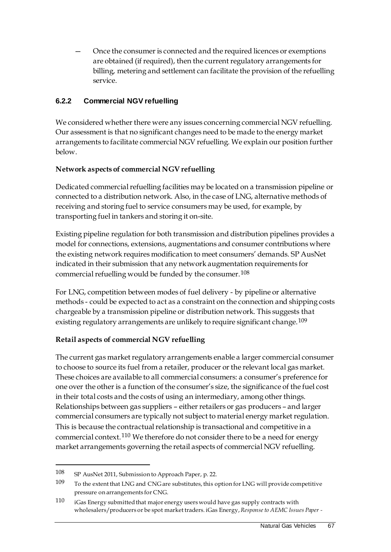— Once the consumer is connected and the required licences or exemptions are obtained (if required), then the current regulatory arrangements for billing, metering and settlement can facilitate the provision of the refuelling service.

## **6.2.2 Commercial NGV refuelling**

We considered whether there were any issues concerning commercial NGV refuelling. Our assessment is that no significant changes need to be made to the energy market arrangements to facilitate commercial NGV refuelling. We explain our position further below.

## **Network aspects of commercial NGV refuelling**

Dedicated commercial refuelling facilities may be located on a transmission pipeline or connected to a distribution network. Also, in the case of LNG, alternative methods of receiving and storing fuel to service consumers may be used, for example, by transporting fuel in tankers and storing it on-site.

Existing pipeline regulation for both transmission and distribution pipelines provides a model for connections, extensions, augmentations and consumer contributions where the existing network requires modification to meet consumers' demands. SP AusNet indicated in their submission that any network augmentation requirements for commercial refuelling would be funded by the consumer.[108](#page-74-0)

For LNG, competition between modes of fuel delivery - by pipeline or alternative methods - could be expected to act as a constraint on the connection and shipping costs chargeable by a transmission pipeline or distribution network. This suggests that existing regulatory arrangements are unlikely to require significant change.<sup>[109](#page-74-1)</sup>

## **Retail aspects of commercial NGV refuelling**

The current gas market regulatory arrangements enable a larger commercial consumer to choose to source its fuel from a retailer, producer or the relevant local gas market. These choices are available to all commercial consumers: a consumer's preference for one over the other is a function of the consumer's size, the significance of the fuel cost in their total costs and the costs of using an intermediary, among other things. Relationships between gas suppliers – either retailers or gas producers – and larger commercial consumers are typically not subject to material energy market regulation. This is because the contractual relationship is transactional and competitive in a commercial context.[110](#page-74-2) We therefore do not consider there to be a need for energy market arrangements governing the retail aspects of commercial NGV refuelling.

<span id="page-74-0"></span><sup>108</sup> SP AusNet 2011, Submission to Approach Paper, p. 22.

<span id="page-74-1"></span><sup>109</sup> To the extent that LNG and CNG are substitutes, this option for LNG will provide competitive pressure on arrangements for CNG.

<span id="page-74-2"></span><sup>110</sup> iGas Energy submitted that major energy users would have gas supply contracts with wholesalers/producers or be spot market traders. iGas Energy, *Response to AEMC Issues Paper -*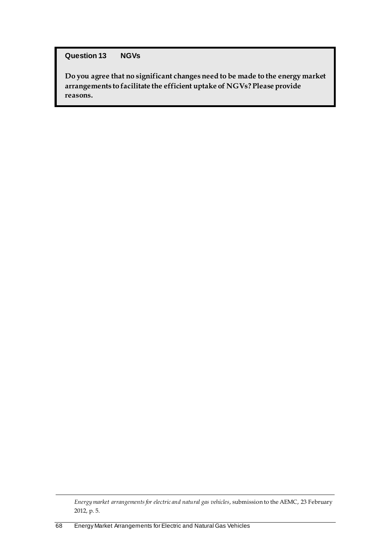#### **Question 13 NGVs**

**Do you agree that no significant changes need to be made to the energy market arrangements to facilitate the efficient uptake of NGVs? Please provide reasons.** 

*Energy market arrangements for electric and natural gas vehicles*, submission to the AEMC, 23 February 2012, p. 5.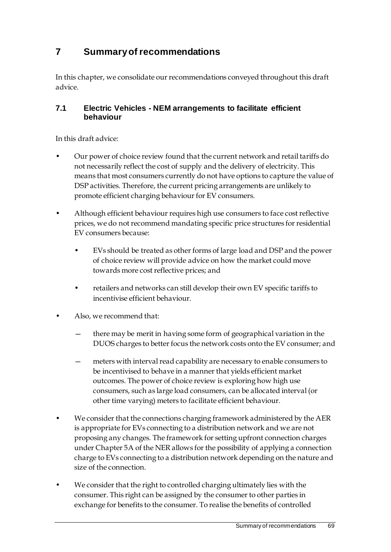## **7 Summary of recommendations**

In this chapter, we consolidate our recommendations conveyed throughout this draft advice.

### **7.1 Electric Vehicles - NEM arrangements to facilitate efficient behaviour**

- Our power of choice review found that the current network and retail tariffs do not necessarily reflect the cost of supply and the delivery of electricity. This means that most consumers currently do not have options to capture the value of DSP activities. Therefore, the current pricing arrangements are unlikely to promote efficient charging behaviour for EV consumers.
- Although efficient behaviour requires high use consumers to face cost reflective prices, we do not recommend mandating specific price structures for residential EV consumers because:
	- EVs should be treated as other forms of large load and DSP and the power of choice review will provide advice on how the market could move towards more cost reflective prices; and
	- retailers and networks can still develop their own EV specific tariffs to incentivise efficient behaviour.
- Also, we recommend that:
	- there may be merit in having some form of geographical variation in the DUOS charges to better focus the network costs onto the EV consumer; and
	- meters with interval read capability are necessary to enable consumers to be incentivised to behave in a manner that yields efficient market outcomes. The power of choice review is exploring how high use consumers, such as large load consumers, can be allocated interval (or other time varying) meters to facilitate efficient behaviour.
- We consider that the connections charging framework administered by the AER is appropriate for EVs connecting to a distribution network and we are not proposing any changes. The framework for setting upfront connection charges under Chapter 5A of the NER allows for the possibility of applying a connection charge to EVs connecting to a distribution network depending on the nature and size of the connection.
- We consider that the right to controlled charging ultimately lies with the consumer. This right can be assigned by the consumer to other parties in exchange for benefits to the consumer. To realise the benefits of controlled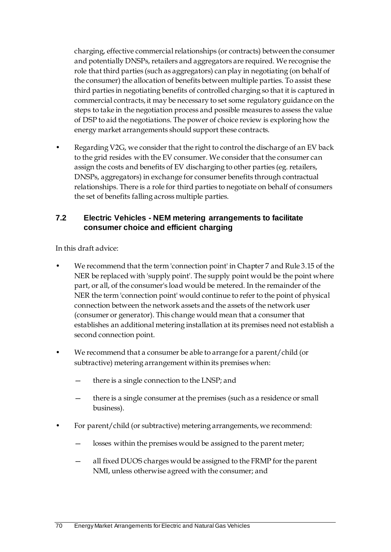charging, effective commercial relationships (or contracts) between the consumer and potentially DNSPs, retailers and aggregators are required. We recognise the role that third parties (such as aggregators) can play in negotiating (on behalf of the consumer) the allocation of benefits between multiple parties. To assist these third parties in negotiating benefits of controlled charging so that it is captured in commercial contracts, it may be necessary to set some regulatory guidance on the steps to take in the negotiation process and possible measures to assess the value of DSP to aid the negotiations. The power of choice review is exploring how the energy market arrangements should support these contracts.

• Regarding V2G, we consider that the right to control the discharge of an EV back to the grid resides with the EV consumer. We consider that the consumer can assign the costs and benefits of EV discharging to other parties (eg. retailers, DNSPs, aggregators) in exchange for consumer benefits through contractual relationships. There is a role for third parties to negotiate on behalf of consumers the set of benefits falling across multiple parties.

## **7.2 Electric Vehicles - NEM metering arrangements to facilitate consumer choice and efficient charging**

- We recommend that the term 'connection point' in Chapter 7 and Rule 3.15 of the NER be replaced with 'supply point'. The supply point would be the point where part, or all, of the consumer's load would be metered. In the remainder of the NER the term 'connection point' would continue to refer to the point of physical connection between the network assets and the assets of the network user (consumer or generator). This change would mean that a consumer that establishes an additional metering installation at its premises need not establish a second connection point.
- We recommend that a consumer be able to arrange for a parent/child (or subtractive) metering arrangement within its premises when:
	- there is a single connection to the LNSP; and
	- there is a single consumer at the premises (such as a residence or small business).
- For parent/child (or subtractive) metering arrangements, we recommend:
	- losses within the premises would be assigned to the parent meter;
	- all fixed DUOS charges would be assigned to the FRMP for the parent NMI, unless otherwise agreed with the consumer; and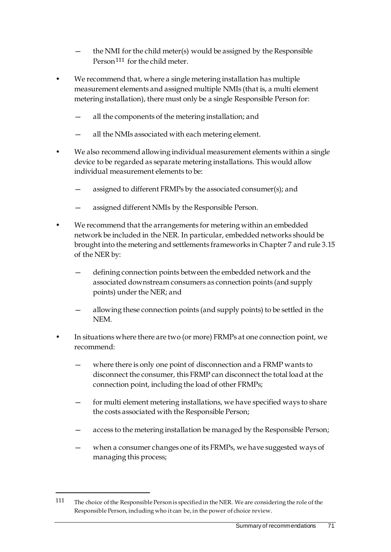- the NMI for the child meter(s) would be assigned by the Responsible Person<sup>[111](#page-78-0)</sup> for the child meter.
- We recommend that, where a single metering installation has multiple measurement elements and assigned multiple NMIs (that is, a multi element metering installation), there must only be a single Responsible Person for:
	- all the components of the metering installation; and
	- all the NMIs associated with each metering element.
- We also recommend allowing individual measurement elements within a single device to be regarded as separate metering installations. This would allow individual measurement elements to be:
	- assigned to different FRMPs by the associated consumer(s); and
	- assigned different NMIs by the Responsible Person.
- We recommend that the arrangements for metering within an embedded network be included in the NER. In particular, embedded networks should be brought into the metering and settlements frameworks in Chapter 7 and rule 3.15 of the NER by:
	- defining connection points between the embedded network and the associated downstream consumers as connection points (and supply points) under the NER; and
	- allowing these connection points (and supply points) to be settled in the NEM.
- In situations where there are two (or more) FRMPs at one connection point, we recommend:
	- where there is only one point of disconnection and a FRMP wants to disconnect the consumer, this FRMP can disconnect the total load at the connection point, including the load of other FRMPs;
	- for multi element metering installations, we have specified ways to share the costs associated with the Responsible Person;
	- access to the metering installation be managed by the Responsible Person;
	- when a consumer changes one of its FRMPs, we have suggested ways of managing this process;

<span id="page-78-0"></span><sup>111</sup> The choice of the Responsible Person is specified in the NER. We are considering the role of the Responsible Person, including who it can be, in the power of choice review.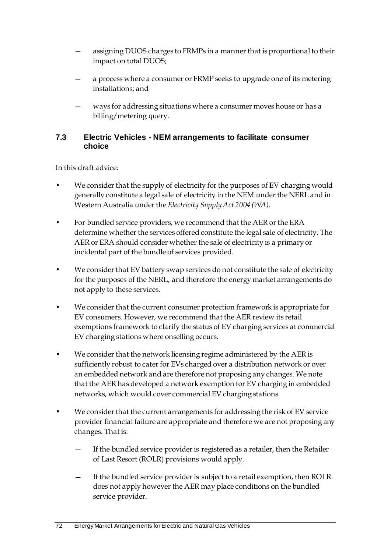- assigning DUOS charges to FRMPs in a manner that is proportional to their impact on total DUOS;
- a process where a consumer or FRMP seeks to upgrade one of its metering installations; and
- ways for addressing situations where a consumer moves house or has a billing/metering query.

### **7.3 Electric Vehicles - NEM arrangements to facilitate consumer choice**

- We consider that the supply of electricity for the purposes of EV charging would generally constitute a legal sale of electricity in the NEM under the NERL and in Western Australia under the *Electricity Supply Act 2004 (WA)*.
- For bundled service providers, we recommend that the AER or the ERA determine whether the services offered constitute the legal sale of electricity. The AER or ERA should consider whether the sale of electricity is a primary or incidental part of the bundle of services provided.
- We consider that EV battery swap services do not constitute the sale of electricity for the purposes of the NERL, and therefore the energy market arrangements do not apply to these services.
- We consider that the current consumer protection framework is appropriate for EV consumers. However, we recommend that the AER review its retail exemptions framework to clarify the status of EV charging services at commercial EV charging stations where onselling occurs.
- We consider that the network licensing regime administered by the AER is sufficiently robust to cater for EVs charged over a distribution network or over an embedded network and are therefore not proposing any changes. We note that the AER has developed a network exemption for EV charging in embedded networks, which would cover commercial EV charging stations.
- We consider that the current arrangements for addressing the risk of EV service provider financial failure are appropriate and therefore we are not proposing any changes. That is:
	- If the bundled service provider is registered as a retailer, then the Retailer of Last Resort (ROLR) provisions would apply.
	- If the bundled service provider is subject to a retail exemption, then ROLR does not apply however the AER may place conditions on the bundled service provider.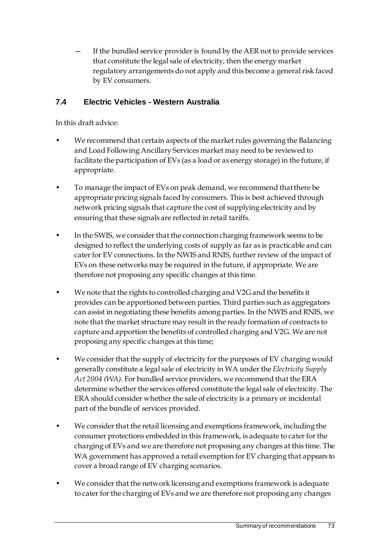If the bundled service provider is found by the AER not to provide services that constitute the legal sale of electricity, then the energy market regulatory arrangements do not apply and this become a general risk faced by EV consumers.

## **7.4 Electric Vehicles - Western Australia**

- We recommend that certain aspects of the market rules governing the Balancing and Load Following Ancillary Services market may need to be reviewed to facilitate the participation of EVs (as a load or as energy storage) in the future, if appropriate.
- To manage the impact of EVs on peak demand, we recommend that there be appropriate pricing signals faced by consumers. This is best achieved through network pricing signals that capture the cost of supplying electricity and by ensuring that these signals are reflected in retail tariffs.
- In the SWIS, we consider that the connection charging framework seems to be designed to reflect the underlying costs of supply as far as is practicable and can cater for EV connections. In the NWIS and RNIS, further review of the impact of EVs on these networks may be required in the future, if appropriate. We are therefore not proposing any specific changes at this time.
- We note that the rights to controlled charging and V2G and the benefits it provides can be apportioned between parties. Third parties such as aggregators can assist in negotiating these benefits among parties. In the NWIS and RNIS, we note that the market structure may result in the ready formation of contracts to capture and apportion the benefits of controlled charging and V2G. We are not proposing any specific changes at this time;
- We consider that the supply of electricity for the purposes of EV charging would generally constitute a legal sale of electricity in WA under the *Electricity Supply Act 2004 (WA)*. For bundled service providers, we recommend that the ERA determine whether the services offered constitute the legal sale of electricity. The ERA should consider whether the sale of electricity is a primary or incidental part of the bundle of services provided.
- We consider that the retail licensing and exemptions framework, including the consumer protections embedded in this framework, is adequate to cater for the charging of EVs and we are therefore not proposing any changes at this time. The WA government has approved a retail exemption for EV charging that appears to cover a broad range of EV charging scenarios.
- We consider that the network licensing and exemptions framework is adequate to cater for the charging of EVs and we are therefore not proposing any changes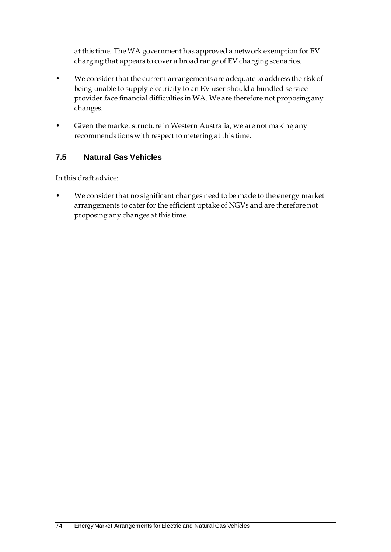at this time. The WA government has approved a network exemption for EV charging that appears to cover a broad range of EV charging scenarios.

- We consider that the current arrangements are adequate to address the risk of being unable to supply electricity to an EV user should a bundled service provider face financial difficulties in WA. We are therefore not proposing any changes.
- Given the market structure in Western Australia, we are not making any recommendations with respect to metering at this time.

## **7.5 Natural Gas Vehicles**

In this draft advice:

• We consider that no significant changes need to be made to the energy market arrangements to cater for the efficient uptake of NGVs and are therefore not proposing any changes at this time.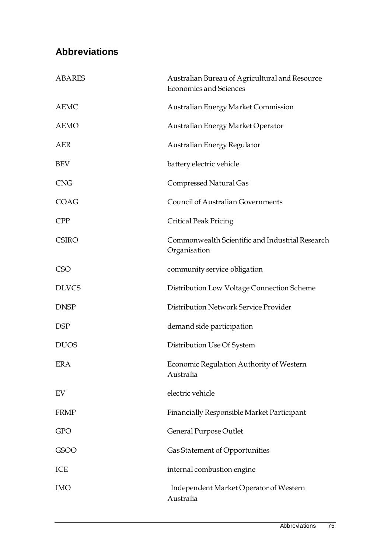# **Abbreviations**

| <b>ABARES</b> | Australian Bureau of Agricultural and Resource<br><b>Economics and Sciences</b> |
|---------------|---------------------------------------------------------------------------------|
| <b>AEMC</b>   | Australian Energy Market Commission                                             |
| <b>AEMO</b>   | Australian Energy Market Operator                                               |
| AER           | Australian Energy Regulator                                                     |
| <b>BEV</b>    | battery electric vehicle                                                        |
| <b>CNG</b>    | Compressed Natural Gas                                                          |
| COAG          | <b>Council of Australian Governments</b>                                        |
| <b>CPP</b>    | <b>Critical Peak Pricing</b>                                                    |
| <b>CSIRO</b>  | Commonwealth Scientific and Industrial Research<br>Organisation                 |
| <b>CSO</b>    | community service obligation                                                    |
| <b>DLVCS</b>  | Distribution Low Voltage Connection Scheme                                      |
| <b>DNSP</b>   | Distribution Network Service Provider                                           |
| <b>DSP</b>    | demand side participation                                                       |
| <b>DUOS</b>   | Distribution Use Of System                                                      |
| ERA           | Economic Regulation Authority of Western<br>Australia                           |
| EV            | electric vehicle                                                                |
| <b>FRMP</b>   | Financially Responsible Market Participant                                      |
| <b>GPO</b>    | General Purpose Outlet                                                          |
| GSOO          | Gas Statement of Opportunities                                                  |
| ICE           | internal combustion engine                                                      |
| <b>IMO</b>    | Independent Market Operator of Western<br>Australia                             |
|               |                                                                                 |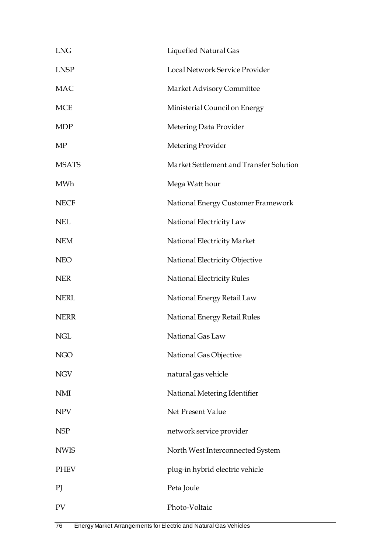| <b>LNG</b>   | Liquefied Natural Gas                   |
|--------------|-----------------------------------------|
| <b>LNSP</b>  | Local Network Service Provider          |
| <b>MAC</b>   | Market Advisory Committee               |
| <b>MCE</b>   | Ministerial Council on Energy           |
| <b>MDP</b>   | Metering Data Provider                  |
| MP           | Metering Provider                       |
| <b>MSATS</b> | Market Settlement and Transfer Solution |
| <b>MWh</b>   | Mega Watt hour                          |
| <b>NECF</b>  | National Energy Customer Framework      |
| <b>NEL</b>   | National Electricity Law                |
| <b>NEM</b>   | National Electricity Market             |
| <b>NEO</b>   | National Electricity Objective          |
| <b>NER</b>   | National Electricity Rules              |
| <b>NERL</b>  | National Energy Retail Law              |
| <b>NERR</b>  | National Energy Retail Rules            |
| NGL          | National Gas Law                        |
| <b>NGO</b>   | National Gas Objective                  |
| <b>NGV</b>   | natural gas vehicle                     |
| <b>NMI</b>   | National Metering Identifier            |
| <b>NPV</b>   | Net Present Value                       |
| <b>NSP</b>   | network service provider                |
| <b>NWIS</b>  | North West Interconnected System        |
| <b>PHEV</b>  | plug-in hybrid electric vehicle         |
| PI           | Peta Joule                              |
| PV           | Photo-Voltaic                           |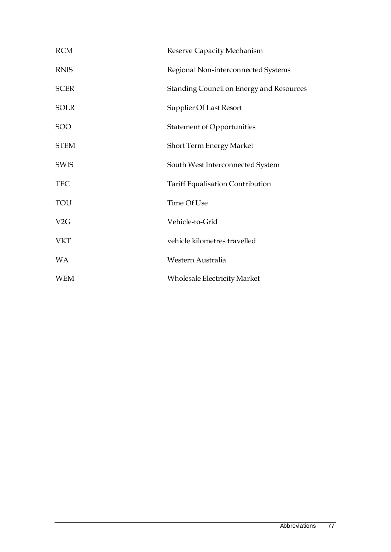| <b>RCM</b>  | Reserve Capacity Mechanism               |
|-------------|------------------------------------------|
| <b>RNIS</b> | Regional Non-interconnected Systems      |
| <b>SCER</b> | Standing Council on Energy and Resources |
| <b>SOLR</b> | Supplier Of Last Resort                  |
| SOO         | <b>Statement of Opportunities</b>        |
| <b>STEM</b> | <b>Short Term Energy Market</b>          |
| <b>SWIS</b> | South West Interconnected System         |
| <b>TEC</b>  | <b>Tariff Equalisation Contribution</b>  |
| TOU         | Time Of Use                              |
| V2G         | Vehicle-to-Grid                          |
| <b>VKT</b>  | vehicle kilometres travelled             |
| <b>WA</b>   | Western Australia                        |
| <b>WEM</b>  | <b>Wholesale Electricity Market</b>      |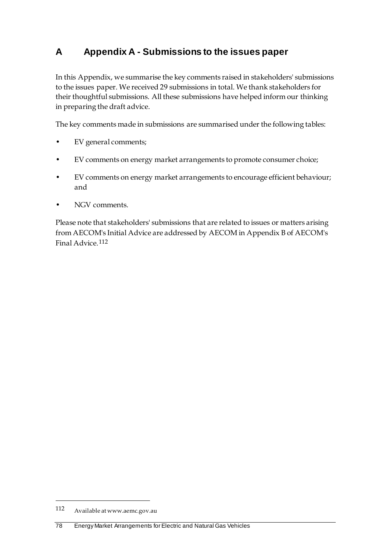## **A Appendix A - Submissions to the issues paper**

In this Appendix, we summarise the key comments raised in stakeholders' submissions to the issues paper. We received 29 submissions in total. We thank stakeholders for their thoughtful submissions. All these submissions have helped inform our thinking in preparing the draft advice.

The key comments made in submissions are summarised under the following tables:

- EV general comments;
- EV comments on energy market arrangements to promote consumer choice;
- EV comments on energy market arrangements to encourage efficient behaviour; and
- NGV comments.

Please note that stakeholders' submissions that are related to issues or matters arising from AECOM's Initial Advice are addressed by AECOM in Appendix B of AECOM's Final Advice.[112](#page-85-0)

<span id="page-85-0"></span><sup>112</sup> Available at www.aemc.gov.au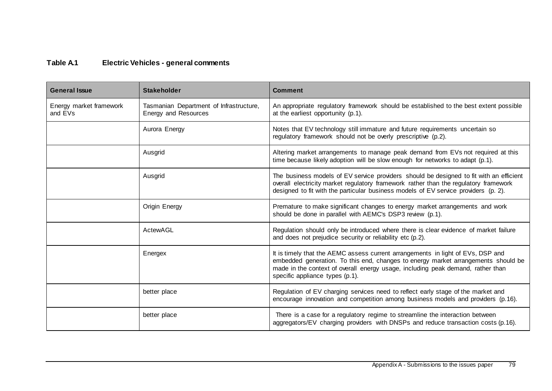## **Table A.1 Electric Vehicles - general comments**

| <b>General Issue</b>               | <b>Stakeholder</b>                                              | <b>Comment</b>                                                                                                                                                                                                                                                                             |
|------------------------------------|-----------------------------------------------------------------|--------------------------------------------------------------------------------------------------------------------------------------------------------------------------------------------------------------------------------------------------------------------------------------------|
| Energy market framework<br>and EVs | Tasmanian Department of Infrastructure,<br>Energy and Resources | An appropriate regulatory framework should be established to the best extent possible<br>at the earliest opportunity (p.1).                                                                                                                                                                |
|                                    | Aurora Energy                                                   | Notes that EV technology still immature and future requirements uncertain so<br>regulatory framework should not be overly prescriptive (p.2).                                                                                                                                              |
|                                    | Ausgrid                                                         | Altering market arrangements to manage peak demand from EVs not required at this<br>time because likely adoption will be slow enough for networks to adapt (p.1).                                                                                                                          |
|                                    | Ausgrid                                                         | The business models of EV service providers should be designed to fit with an efficient<br>overall electricity market regulatory framework rather than the regulatory framework<br>designed to fit with the particular business models of EV service providers (p. 2).                     |
|                                    | Origin Energy                                                   | Premature to make significant changes to energy market arrangements and work<br>should be done in parallel with AEMC's DSP3 review (p.1).                                                                                                                                                  |
|                                    | ActewAGL                                                        | Regulation should only be introduced where there is clear evidence of market failure<br>and does not prejudice security or reliability etc (p.2).                                                                                                                                          |
|                                    | Energex                                                         | It is timely that the AEMC assess current arrangements in light of EVs, DSP and<br>embedded generation. To this end, changes to energy market arrangements should be<br>made in the context of overall energy usage, including peak demand, rather than<br>specific appliance types (p.1). |
|                                    | better place                                                    | Regulation of EV charging services need to reflect early stage of the market and<br>encourage innovation and competition among business models and providers (p.16).                                                                                                                       |
|                                    | better place                                                    | There is a case for a regulatory regime to streamline the interaction between<br>aggregators/EV charging providers with DNSPs and reduce transaction costs (p.16).                                                                                                                         |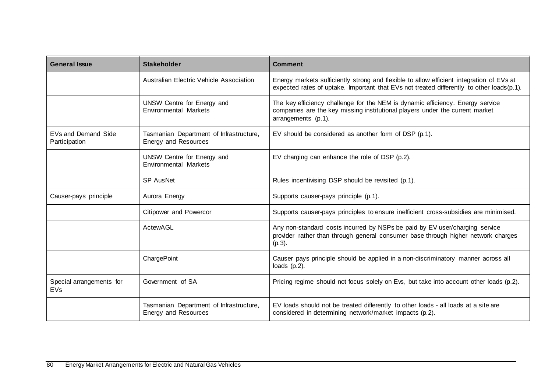| <b>General Issue</b>                 | <b>Stakeholder</b>                                                     | <b>Comment</b>                                                                                                                                                                        |
|--------------------------------------|------------------------------------------------------------------------|---------------------------------------------------------------------------------------------------------------------------------------------------------------------------------------|
|                                      | <b>Australian Electric Vehicle Association</b>                         | Energy markets sufficiently strong and flexible to allow efficient integration of EVs at<br>expected rates of uptake. Important that EVs not treated differently to other loads(p.1). |
|                                      | UNSW Centre for Energy and<br><b>Environmental Markets</b>             | The key efficiency challenge for the NEM is dynamic efficiency. Energy service<br>companies are the key missing institutional players under the current market<br>arrangements (p.1). |
| EVs and Demand Side<br>Participation | Tasmanian Department of Infrastructure,<br><b>Energy and Resources</b> | EV should be considered as another form of DSP (p.1).                                                                                                                                 |
|                                      | UNSW Centre for Energy and<br><b>Environmental Markets</b>             | EV charging can enhance the role of DSP (p.2).                                                                                                                                        |
|                                      | <b>SP AusNet</b>                                                       | Rules incentivising DSP should be revisited (p.1).                                                                                                                                    |
| Causer-pays principle                | Aurora Energy                                                          | Supports causer-pays principle (p.1).                                                                                                                                                 |
|                                      | Citipower and Powercor                                                 | Supports causer-pays principles to ensure inefficient cross-subsidies are minimised.                                                                                                  |
|                                      | ActewAGL                                                               | Any non-standard costs incurred by NSPs be paid by EV user/charging service<br>provider rather than through general consumer base through higher network charges<br>$(p.3)$ .         |
|                                      | ChargePoint                                                            | Causer pays principle should be applied in a non-discriminatory manner across all<br>loads $(p.2)$ .                                                                                  |
| Special arrangements for<br>EVs      | Government of SA                                                       | Pricing regime should not focus solely on Evs, but take into account other loads (p.2).                                                                                               |
|                                      | Tasmanian Department of Infrastructure,<br><b>Energy and Resources</b> | EV loads should not be treated differently to other loads - all loads at a site are<br>considered in determining network/market impacts (p.2).                                        |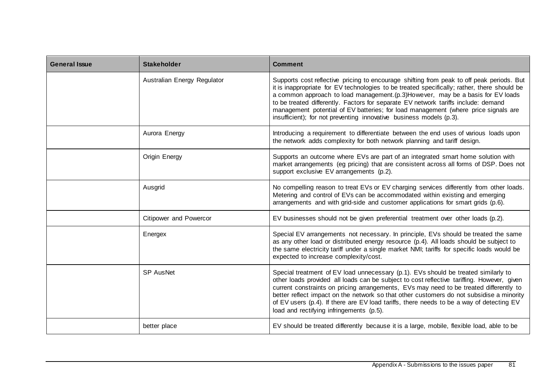| <b>General Issue</b> | <b>Stakeholder</b>          | <b>Comment</b>                                                                                                                                                                                                                                                                                                                                                                                                                                                                                                                  |
|----------------------|-----------------------------|---------------------------------------------------------------------------------------------------------------------------------------------------------------------------------------------------------------------------------------------------------------------------------------------------------------------------------------------------------------------------------------------------------------------------------------------------------------------------------------------------------------------------------|
|                      | Australian Energy Regulator | Supports cost reflective pricing to encourage shifting from peak to off peak periods. But<br>it is inappropriate for EV technologies to be treated specifically; rather, there should be<br>a common approach to load management. (p.3) However, may be a basis for EV loads<br>to be treated differently. Factors for separate EV network tariffs include: demand<br>management potential of EV batteries; for load management (where price signals are<br>insufficient); for not preventing innovative business models (p.3). |
|                      | Aurora Energy               | Introducing a requirement to differentiate between the end uses of various loads upon<br>the network adds complexity for both network planning and tariff design.                                                                                                                                                                                                                                                                                                                                                               |
|                      | Origin Energy               | Supports an outcome where EVs are part of an integrated smart home solution with<br>market arrangements (eg pricing) that are consistent across all forms of DSP. Does not<br>support exclusive EV arrangements (p.2).                                                                                                                                                                                                                                                                                                          |
|                      | Ausgrid                     | No compelling reason to treat EVs or EV charging services differently from other loads.<br>Metering and control of EVs can be accommodated within existing and emerging<br>arrangements and with grid-side and customer applications for smart grids (p.6).                                                                                                                                                                                                                                                                     |
|                      | Citipower and Powercor      | EV businesses should not be given preferential treatment over other loads (p.2).                                                                                                                                                                                                                                                                                                                                                                                                                                                |
|                      | Energex                     | Special EV arrangements not necessary. In principle, EVs should be treated the same<br>as any other load or distributed energy resource (p.4). All loads should be subject to<br>the same electricity tariff under a single market NMI; tariffs for specific loads would be<br>expected to increase complexity/cost.                                                                                                                                                                                                            |
|                      | SP AusNet                   | Special treatment of EV load unnecessary (p.1). EVs should be treated similarly to<br>other loads provided all loads can be subject to cost reflective tariffing. However, given<br>current constraints on pricing arrangements, EVs may need to be treated differently to<br>better reflect impact on the network so that other customers do not subsidise a minority<br>of EV users (p.4). If there are EV load tariffs, there needs to be a way of detecting EV<br>load and rectifying infringements (p.5).                  |
|                      | better place                | EV should be treated differently because it is a large, mobile, flexible load, able to be                                                                                                                                                                                                                                                                                                                                                                                                                                       |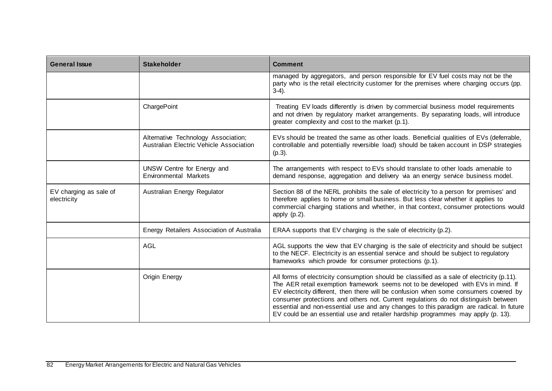| <b>General Issue</b>                  | <b>Stakeholder</b>                                                             | <b>Comment</b>                                                                                                                                                                                                                                                                                                                                                                                                                                                                                                                                 |
|---------------------------------------|--------------------------------------------------------------------------------|------------------------------------------------------------------------------------------------------------------------------------------------------------------------------------------------------------------------------------------------------------------------------------------------------------------------------------------------------------------------------------------------------------------------------------------------------------------------------------------------------------------------------------------------|
|                                       |                                                                                | managed by aggregators, and person responsible for EV fuel costs may not be the<br>party who is the retail electricity customer for the premises where charging occurs (pp.<br>$3-4$ ).                                                                                                                                                                                                                                                                                                                                                        |
|                                       | ChargePoint                                                                    | Treating EV loads differently is driven by commercial business model requirements<br>and not driven by regulatory market arrangements. By separating loads, will introduce<br>greater complexity and cost to the market (p.1).                                                                                                                                                                                                                                                                                                                 |
|                                       | Alternative Technology Association;<br>Australian Electric Vehicle Association | EVs should be treated the same as other loads. Beneficial qualities of EVs (deferrable,<br>controllable and potentially reversible load) should be taken account in DSP strategies<br>$(p.3)$ .                                                                                                                                                                                                                                                                                                                                                |
|                                       | UNSW Centre for Energy and<br>Environmental Markets                            | The arrangements with respect to EVs should translate to other loads amenable to<br>demand response, aggregation and delivery via an energy service business model.                                                                                                                                                                                                                                                                                                                                                                            |
| EV charging as sale of<br>electricity | Australian Energy Regulator                                                    | Section 88 of the NERL prohibits the sale of electricity 'to a person for premises' and<br>therefore applies to home or small business. But less clear whether it applies to<br>commercial charging stations and whether, in that context, consumer protections would<br>apply $(p.2)$ .                                                                                                                                                                                                                                                       |
|                                       | Energy Retailers Association of Australia                                      | ERAA supports that EV charging is the sale of electricity (p.2).                                                                                                                                                                                                                                                                                                                                                                                                                                                                               |
|                                       | <b>AGL</b>                                                                     | AGL supports the view that EV charging is the sale of electricity and should be subject<br>to the NECF. Electricity is an essential service and should be subject to regulatory<br>frameworks which provide for consumer protections (p.1).                                                                                                                                                                                                                                                                                                    |
|                                       | Origin Energy                                                                  | All forms of electricity consumption should be classified as a sale of electricity (p.11).<br>The AER retail exemption framework seems not to be developed with EVs in mind. If<br>EV electricity different, then there will be confusion when some consumers covered by<br>consumer protections and others not. Current regulations do not distinguish between<br>essential and non-essential use and any changes to this paradigm are radical. In future<br>EV could be an essential use and retailer hardship programmes may apply (p. 13). |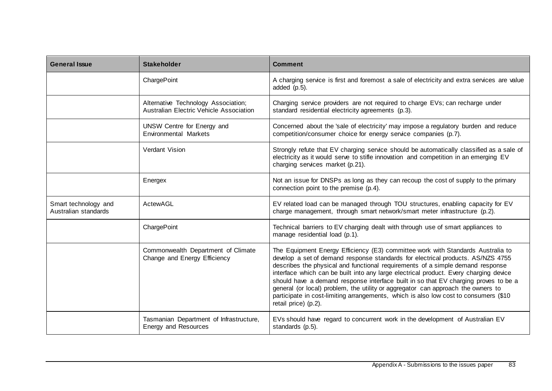| <b>General Issue</b>                         | <b>Stakeholder</b>                                                             | <b>Comment</b>                                                                                                                                                                                                                                                                                                                                                                                                                                                                                                                                                                                                                           |
|----------------------------------------------|--------------------------------------------------------------------------------|------------------------------------------------------------------------------------------------------------------------------------------------------------------------------------------------------------------------------------------------------------------------------------------------------------------------------------------------------------------------------------------------------------------------------------------------------------------------------------------------------------------------------------------------------------------------------------------------------------------------------------------|
|                                              | ChargePoint                                                                    | A charging service is first and foremost a sale of electricity and extra services are value<br>added $(p.5)$ .                                                                                                                                                                                                                                                                                                                                                                                                                                                                                                                           |
|                                              | Alternative Technology Association;<br>Australian Electric Vehicle Association | Charging service providers are not required to charge EVs; can recharge under<br>standard residential electricity agreements (p.3).                                                                                                                                                                                                                                                                                                                                                                                                                                                                                                      |
|                                              | UNSW Centre for Energy and<br><b>Environmental Markets</b>                     | Concerned about the 'sale of electricity' may impose a regulatory burden and reduce<br>competition/consumer choice for energy service companies (p.7).                                                                                                                                                                                                                                                                                                                                                                                                                                                                                   |
|                                              | Verdant Vision                                                                 | Strongly refute that EV charging service should be automatically classified as a sale of<br>electricity as it would serve to stifle innovation and competition in an emerging EV<br>charging services market (p.21).                                                                                                                                                                                                                                                                                                                                                                                                                     |
|                                              | Energex                                                                        | Not an issue for DNSPs as long as they can recoup the cost of supply to the primary<br>connection point to the premise (p.4).                                                                                                                                                                                                                                                                                                                                                                                                                                                                                                            |
| Smart technology and<br>Australian standards | ActewAGL                                                                       | EV related load can be managed through TOU structures, enabling capacity for EV<br>charge management, through smart network/smart meter infrastructure (p.2).                                                                                                                                                                                                                                                                                                                                                                                                                                                                            |
|                                              | ChargePoint                                                                    | Technical barriers to EV charging dealt with through use of smart appliances to<br>manage residential load (p.1).                                                                                                                                                                                                                                                                                                                                                                                                                                                                                                                        |
|                                              | Commonwealth Department of Climate<br>Change and Energy Efficiency             | The Equipment Energy Efficiency (E3) committee work with Standards Australia to<br>develop a set of demand response standards for electrical products. AS/NZS 4755<br>describes the physical and functional requirements of a simple demand response<br>interface which can be built into any large electrical product. Every charging device<br>should have a demand response interface built in so that EV charging proves to be a<br>general (or local) problem, the utility or aggregator can approach the owners to<br>participate in cost-limiting arrangements, which is also low cost to consumers (\$10<br>retail price) (p.2). |
|                                              | Tasmanian Department of Infrastructure,<br>Energy and Resources                | EVs should have regard to concurrent work in the development of Australian EV<br>standards (p.5).                                                                                                                                                                                                                                                                                                                                                                                                                                                                                                                                        |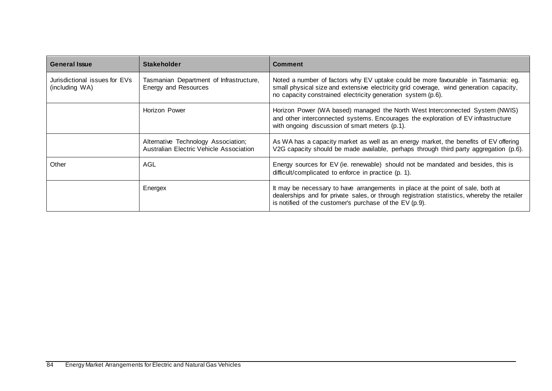| <b>General Issue</b>                            | <b>Stakeholder</b>                                                             | <b>Comment</b>                                                                                                                                                                                                                              |
|-------------------------------------------------|--------------------------------------------------------------------------------|---------------------------------------------------------------------------------------------------------------------------------------------------------------------------------------------------------------------------------------------|
| Jurisdictional issues for EVs<br>(including WA) | Tasmanian Department of Infrastructure,<br>Energy and Resources                | Noted a number of factors why EV uptake could be more favourable in Tasmania: eg.<br>small physical size and extensive electricity grid coverage, wind generation capacity,<br>no capacity constrained electricity generation system (p.6). |
|                                                 | <b>Horizon Power</b>                                                           | Horizon Power (WA based) managed the North West Interconnected System (NWIS)<br>and other interconnected systems. Encourages the exploration of EV infrastructure<br>with ongoing discussion of smart meters (p.1).                         |
|                                                 | Alternative Technology Association;<br>Australian Electric Vehicle Association | As WA has a capacity market as well as an energy market, the benefits of EV offering<br>V2G capacity should be made available, perhaps through third party aggregation (p.6).                                                               |
| Other                                           | AGL                                                                            | Energy sources for EV (ie. renewable) should not be mandated and besides, this is<br>difficult/complicated to enforce in practice (p. 1).                                                                                                   |
|                                                 | Energex                                                                        | It may be necessary to have arrangements in place at the point of sale, both at<br>dealerships and for private sales, or through registration statistics, whereby the retailer<br>is notified of the customer's purchase of the EV (p.9).   |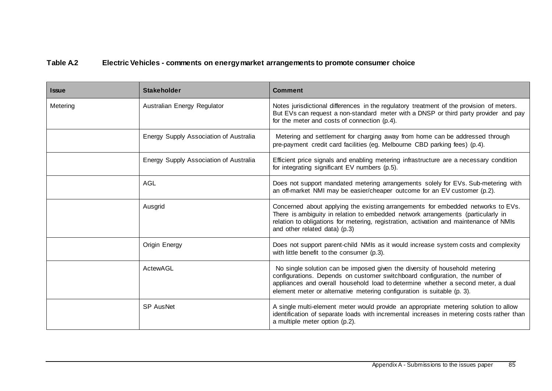## **Table A.2 Electric Vehicles - comments on energy market arrangements to promote consumer choice**

| <b>Issue</b> | <b>Stakeholder</b>                     | <b>Comment</b>                                                                                                                                                                                                                                                                                                              |
|--------------|----------------------------------------|-----------------------------------------------------------------------------------------------------------------------------------------------------------------------------------------------------------------------------------------------------------------------------------------------------------------------------|
| Metering     | Australian Energy Regulator            | Notes jurisdictional differences in the regulatory treatment of the provision of meters.<br>But EVs can request a non-standard meter with a DNSP or third party provider and pay<br>for the meter and costs of connection (p.4).                                                                                            |
|              | Energy Supply Association of Australia | Metering and settlement for charging away from home can be addressed through<br>pre-payment credit card facilities (eg. Melbourne CBD parking fees) (p.4).                                                                                                                                                                  |
|              | Energy Supply Association of Australia | Efficient price signals and enabling metering infrastructure are a necessary condition<br>for integrating significant EV numbers (p.5).                                                                                                                                                                                     |
|              | AGL                                    | Does not support mandated metering arrangements solely for EVs. Sub-metering with<br>an off-market NMI may be easier/cheaper outcome for an EV customer (p.2).                                                                                                                                                              |
|              | Ausgrid                                | Concerned about applying the existing arrangements for embedded networks to EVs.<br>There is ambiguity in relation to embedded network arrangements (particularly in<br>relation to obligations for metering, registration, activation and maintenance of NMIs<br>and other related data) (p.3)                             |
|              | Origin Energy                          | Does not support parent-child NMIs as it would increase system costs and complexity<br>with little benefit to the consumer (p.3).                                                                                                                                                                                           |
|              | ActewAGL                               | No single solution can be imposed given the diversity of household metering<br>configurations. Depends on customer switchboard configuration, the number of<br>appliances and overall household load to determine whether a second meter, a dual<br>element meter or alternative metering configuration is suitable (p. 3). |
|              | SP AusNet                              | A single multi-element meter would provide an appropriate metering solution to allow<br>identification of separate loads with incremental increases in metering costs rather than<br>a multiple meter option (p.2).                                                                                                         |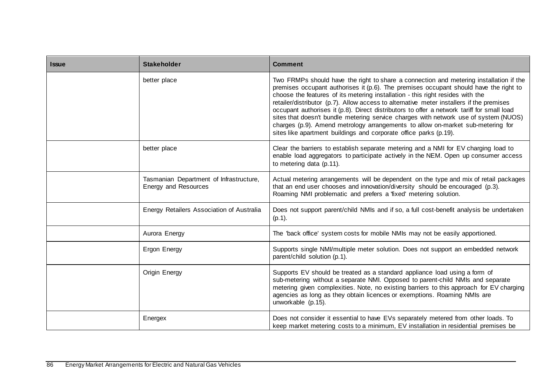| <b>Issue</b> | <b>Stakeholder</b>                                              | <b>Comment</b>                                                                                                                                                                                                                                                                                                                                                                                                                                                                                                                                                                                                                                                                                              |
|--------------|-----------------------------------------------------------------|-------------------------------------------------------------------------------------------------------------------------------------------------------------------------------------------------------------------------------------------------------------------------------------------------------------------------------------------------------------------------------------------------------------------------------------------------------------------------------------------------------------------------------------------------------------------------------------------------------------------------------------------------------------------------------------------------------------|
|              | better place                                                    | Two FRMPs should have the right to share a connection and metering installation if the<br>premises occupant authorises it (p.6). The premises occupant should have the right to<br>choose the features of its metering installation - this right resides with the<br>retailer/distributor (p.7). Allow access to alternative meter installers if the premises<br>occupant authorises it (p.8). Direct distributors to offer a network tariff for small load<br>sites that doesn't bundle metering service charges with network use of system (NUOS)<br>charges (p.9). Amend metrology arrangements to allow on-market sub-metering for<br>sites like apartment buildings and corporate office parks (p.19). |
|              | better place                                                    | Clear the barriers to establish separate metering and a NMI for EV charging load to<br>enable load aggregators to participate actively in the NEM. Open up consumer access<br>to metering data (p.11).                                                                                                                                                                                                                                                                                                                                                                                                                                                                                                      |
|              | Tasmanian Department of Infrastructure,<br>Energy and Resources | Actual metering arrangements will be dependent on the type and mix of retail packages<br>that an end user chooses and innovation/diversity should be encouraged (p.3).<br>Roaming NMI problematic and prefers a 'fixed' metering solution.                                                                                                                                                                                                                                                                                                                                                                                                                                                                  |
|              | Energy Retailers Association of Australia                       | Does not support parent/child NMIs and if so, a full cost-benefit analysis be undertaken<br>$(p.1)$ .                                                                                                                                                                                                                                                                                                                                                                                                                                                                                                                                                                                                       |
|              | Aurora Energy                                                   | The 'back office' system costs for mobile NMIs may not be easily apportioned.                                                                                                                                                                                                                                                                                                                                                                                                                                                                                                                                                                                                                               |
|              | Ergon Energy                                                    | Supports single NMI/multiple meter solution. Does not support an embedded network<br>parent/child solution (p.1).                                                                                                                                                                                                                                                                                                                                                                                                                                                                                                                                                                                           |
|              | Origin Energy                                                   | Supports EV should be treated as a standard appliance load using a form of<br>sub-metering without a separate NMI. Opposed to parent-child NMIs and separate<br>metering given complexities. Note, no existing barriers to this approach for EV charging<br>agencies as long as they obtain licences or exemptions. Roaming NMIs are<br>unworkable (p.15).                                                                                                                                                                                                                                                                                                                                                  |
|              | Energex                                                         | Does not consider it essential to have EVs separately metered from other loads. To<br>keep market metering costs to a minimum, EV installation in residential premises be                                                                                                                                                                                                                                                                                                                                                                                                                                                                                                                                   |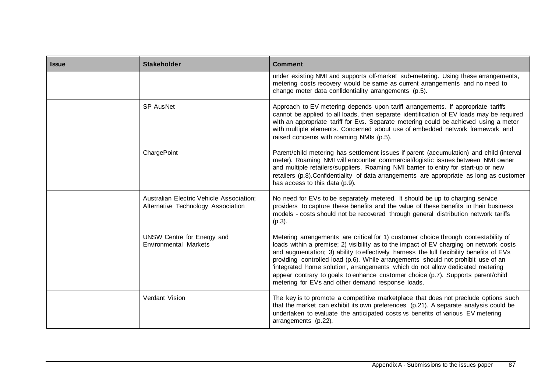| <b>Issue</b> | <b>Stakeholder</b>                                                             | <b>Comment</b>                                                                                                                                                                                                                                                                                                                                                                                                                                                                                                                                                                            |
|--------------|--------------------------------------------------------------------------------|-------------------------------------------------------------------------------------------------------------------------------------------------------------------------------------------------------------------------------------------------------------------------------------------------------------------------------------------------------------------------------------------------------------------------------------------------------------------------------------------------------------------------------------------------------------------------------------------|
|              |                                                                                | under existing NMI and supports off-market sub-metering. Using these arrangements,<br>metering costs recovery would be same as current arrangements and no need to<br>change meter data confidentiality arrangements (p.5).                                                                                                                                                                                                                                                                                                                                                               |
|              | <b>SP AusNet</b>                                                               | Approach to EV metering depends upon tariff arrangements. If appropriate tariffs<br>cannot be applied to all loads, then separate identification of EV loads may be required<br>with an appropriate tariff for Evs. Separate metering could be achieved using a meter<br>with multiple elements. Concerned about use of embedded network framework and<br>raised concerns with roaming NMIs (p.5).                                                                                                                                                                                        |
|              | ChargePoint                                                                    | Parent/child metering has settlement issues if parent (accumulation) and child (interval<br>meter). Roaming NMI will encounter commercial/logistic issues between NMI owner<br>and multiple retailers/suppliers. Roaming NMI barrier to entry for start-up or new<br>retailers (p.8). Confidentiality of data arrangements are appropriate as long as customer<br>has access to this data (p.9).                                                                                                                                                                                          |
|              | Australian Electric Vehicle Association;<br>Alternative Technology Association | No need for EVs to be separately metered. It should be up to charging service<br>providers to capture these benefits and the value of these benefits in their business<br>models - costs should not be recovered through general distribution network tariffs<br>$(p.3)$ .                                                                                                                                                                                                                                                                                                                |
|              | UNSW Centre for Energy and<br><b>Environmental Markets</b>                     | Metering arrangements are critical for 1) customer choice through contestability of<br>loads within a premise; 2) visibility as to the impact of EV charging on network costs<br>and augmentation; 3) ability to effectively harness the full flexibility benefits of EVs<br>providing controlled load (p.6). While arrangements should not prohibit use of an<br>'integrated home solution', arrangements which do not allow dedicated metering<br>appear contrary to goals to enhance customer choice (p.7). Supports parent/child<br>metering for EVs and other demand response loads. |
|              | Verdant Vision                                                                 | The key is to promote a competitive marketplace that does not preclude options such<br>that the market can exhibit its own preferences (p.21). A separate analysis could be<br>undertaken to evaluate the anticipated costs vs benefits of various EV metering<br>arrangements (p.22).                                                                                                                                                                                                                                                                                                    |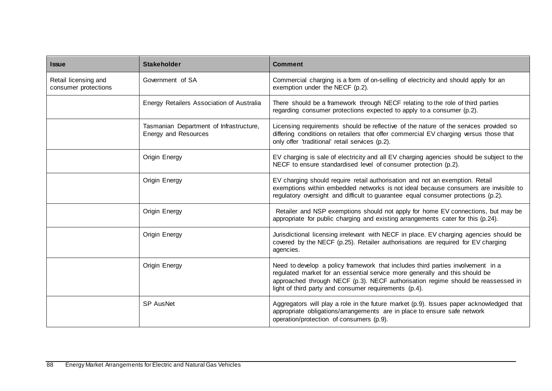| <b>Issue</b>                                 | <b>Stakeholder</b>                                              | <b>Comment</b>                                                                                                                                                                                                                                                                                              |
|----------------------------------------------|-----------------------------------------------------------------|-------------------------------------------------------------------------------------------------------------------------------------------------------------------------------------------------------------------------------------------------------------------------------------------------------------|
| Retail licensing and<br>consumer protections | Government of SA                                                | Commercial charging is a form of on-selling of electricity and should apply for an<br>exemption under the NECF (p.2).                                                                                                                                                                                       |
|                                              | Energy Retailers Association of Australia                       | There should be a framework through NECF relating to the role of third parties<br>regarding consumer protections expected to apply to a consumer (p.2).                                                                                                                                                     |
|                                              | Tasmanian Department of Infrastructure,<br>Energy and Resources | Licensing requirements should be reflective of the nature of the services provided so<br>differing conditions on retailers that offer commercial EV charging versus those that<br>only offer 'traditional' retail services (p.2).                                                                           |
|                                              | Origin Energy                                                   | EV charging is sale of electricity and all EV charging agencies should be subject to the<br>NECF to ensure standardised level of consumer protection (p.2).                                                                                                                                                 |
|                                              | Origin Energy                                                   | EV charging should require retail authorisation and not an exemption. Retail<br>exemptions within embedded networks is not ideal because consumers are invisible to<br>regulatory oversight and difficult to guarantee equal consumer protections (p.2).                                                    |
|                                              | Origin Energy                                                   | Retailer and NSP exemptions should not apply for home EV connections, but may be<br>appropriate for public charging and existing arrangements cater for this (p.24).                                                                                                                                        |
|                                              | Origin Energy                                                   | Jurisdictional licensing irrelevant with NECF in place. EV charging agencies should be<br>covered by the NECF (p.25). Retailer authorisations are required for EV charging<br>agencies.                                                                                                                     |
|                                              | Origin Energy                                                   | Need to develop a policy framework that includes third parties involvement in a<br>regulated market for an essential service more generally and this should be<br>approached through NECF (p.3). NECF authorisation regime should be reassessed in<br>light of third party and consumer requirements (p.4). |
|                                              | <b>SP AusNet</b>                                                | Aggregators will play a role in the future market (p.9). Issues paper acknowledged that<br>appropriate obligations/arrangements are in place to ensure safe network<br>operation/protection of consumers (p.9).                                                                                             |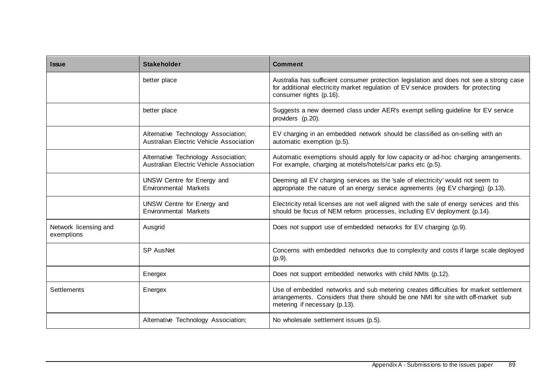| <b>Issue</b>                        | <b>Stakeholder</b>                                                                    | <b>Comment</b>                                                                                                                                                                                             |
|-------------------------------------|---------------------------------------------------------------------------------------|------------------------------------------------------------------------------------------------------------------------------------------------------------------------------------------------------------|
|                                     | better place                                                                          | Australia has sufficient consumer protection legislation and does not see a strong case<br>for additional electricity market regulation of EV service providers for protecting<br>consumer rights (p.16).  |
|                                     | better place                                                                          | Suggests a new deemed class under AER's exempt selling guideline for EV service<br>providers (p.20).                                                                                                       |
|                                     | Alternative Technology Association;<br><b>Australian Electric Vehicle Association</b> | EV charging in an embedded network should be classified as on-selling with an<br>automatic exemption (p.5).                                                                                                |
|                                     | Alternative Technology Association;<br><b>Australian Electric Vehicle Association</b> | Automatic exemptions should apply for low capacity or ad-hoc charging arrangements.<br>For example, charging at motels/hotels/car parks etc (p.5).                                                         |
|                                     | UNSW Centre for Energy and<br><b>Environmental Markets</b>                            | Deeming all EV charging services as the 'sale of electricity' would not seem to<br>appropriate the nature of an energy service agreements (eg EV charging) (p.13).                                         |
|                                     | UNSW Centre for Energy and<br><b>Environmental Markets</b>                            | Electricity retail licenses are not well aligned with the sale of energy services and this<br>should be focus of NEM reform processes, including EV deployment (p.14).                                     |
| Network licensing and<br>exemptions | Ausgrid                                                                               | Does not support use of embedded networks for EV charging (p.9).                                                                                                                                           |
|                                     | <b>SP AusNet</b>                                                                      | Concerns with embedded networks due to complexity and costs if large scale deployed<br>$(p.9)$ .                                                                                                           |
|                                     | Energex                                                                               | Does not support embedded networks with child NMIs (p.12).                                                                                                                                                 |
| <b>Settlements</b>                  | Energex                                                                               | Use of embedded networks and sub metering creates difficulties for market settlement<br>arrangements. Considers that there should be one NMI for site with off-market sub<br>metering if necessary (p.13). |
|                                     | Alternative Technology Association;                                                   | No wholesale settlement issues (p.5).                                                                                                                                                                      |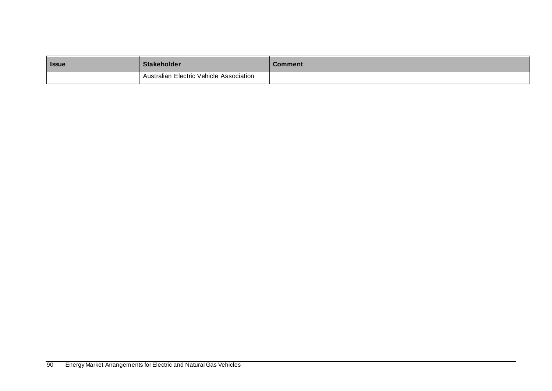| <b>Issue</b> | <b>Stakeholder</b>                      | <b>Comment</b> |
|--------------|-----------------------------------------|----------------|
|              | Australian Electric Vehicle Association |                |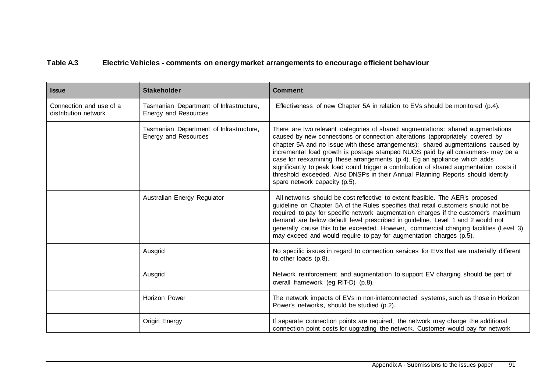## **Table A.3 Electric Vehicles - comments on energy market arrangements to encourage efficient behaviour**

| <b>Issue</b>                                    | <b>Stakeholder</b>                                                     | <b>Comment</b>                                                                                                                                                                                                                                                                                                                                                                                                                                                                                                                                                                                                                      |
|-------------------------------------------------|------------------------------------------------------------------------|-------------------------------------------------------------------------------------------------------------------------------------------------------------------------------------------------------------------------------------------------------------------------------------------------------------------------------------------------------------------------------------------------------------------------------------------------------------------------------------------------------------------------------------------------------------------------------------------------------------------------------------|
| Connection and use of a<br>distribution network | Tasmanian Department of Infrastructure,<br><b>Energy and Resources</b> | Effectiveness of new Chapter 5A in relation to EVs should be monitored (p.4).                                                                                                                                                                                                                                                                                                                                                                                                                                                                                                                                                       |
|                                                 | Tasmanian Department of Infrastructure,<br>Energy and Resources        | There are two relevant categories of shared augmentations: shared augmentations<br>caused by new connections or connection alterations (appropriately covered by<br>chapter 5A and no issue with these arrangements); shared augmentations caused by<br>incremental load growth is postage stamped NUOS paid by all consumers- may be a<br>case for reexamining these arrangements (p.4). Eg an appliance which adds<br>significantly to peak load could trigger a contribution of shared augmentation costs if<br>threshold exceeded. Also DNSPs in their Annual Planning Reports should identify<br>spare network capacity (p.5). |
|                                                 | Australian Energy Regulator                                            | All networks should be cost reflective to extent feasible. The AER's proposed<br>guideline on Chapter 5A of the Rules specifies that retail customers should not be<br>required to pay for specific network augmentation charges if the customer's maximum<br>demand are below default level prescribed in guideline. Level 1 and 2 would not<br>generally cause this to be exceeded. However, commercial charging facilities (Level 3)<br>may exceed and would require to pay for augmentation charges (p.5).                                                                                                                      |
|                                                 | Ausgrid                                                                | No specific issues in regard to connection services for EVs that are materially different<br>to other loads (p.8).                                                                                                                                                                                                                                                                                                                                                                                                                                                                                                                  |
|                                                 | Ausgrid                                                                | Network reinforcement and augmentation to support EV charging should be part of<br>overall framework (eq RIT-D) (p.8).                                                                                                                                                                                                                                                                                                                                                                                                                                                                                                              |
|                                                 | Horizon Power                                                          | The network impacts of EVs in non-interconnected systems, such as those in Horizon<br>Power's networks, should be studied (p.2).                                                                                                                                                                                                                                                                                                                                                                                                                                                                                                    |
|                                                 | Origin Energy                                                          | If separate connection points are required, the network may charge the additional<br>connection point costs for upgrading the network. Customer would pay for network                                                                                                                                                                                                                                                                                                                                                                                                                                                               |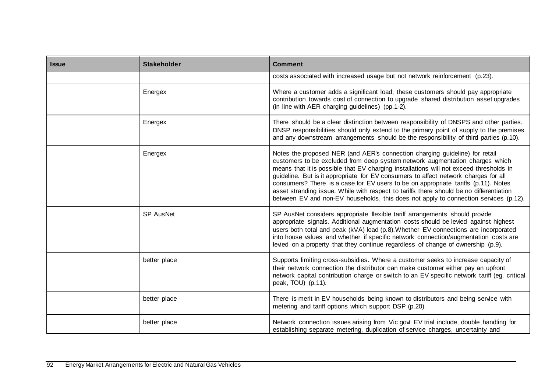| <b>Issue</b> | <b>Stakeholder</b> | <b>Comment</b>                                                                                                                                                                                                                                                                                                                                                                                                                                                                                                                                                                                                        |
|--------------|--------------------|-----------------------------------------------------------------------------------------------------------------------------------------------------------------------------------------------------------------------------------------------------------------------------------------------------------------------------------------------------------------------------------------------------------------------------------------------------------------------------------------------------------------------------------------------------------------------------------------------------------------------|
|              |                    | costs associated with increased usage but not network reinforcement (p.23).                                                                                                                                                                                                                                                                                                                                                                                                                                                                                                                                           |
|              | Energex            | Where a customer adds a significant load, these customers should pay appropriate<br>contribution towards cost of connection to upgrade shared distribution asset upgrades<br>(in line with AER charging guidelines) (pp. 1-2).                                                                                                                                                                                                                                                                                                                                                                                        |
|              | Energex            | There should be a clear distinction between responsibility of DNSPS and other parties.<br>DNSP responsibilities should only extend to the primary point of supply to the premises<br>and any downstream arrangements should be the responsibility of third parties (p.10).                                                                                                                                                                                                                                                                                                                                            |
|              | Energex            | Notes the proposed NER (and AER's connection charging guideline) for retail<br>customers to be excluded from deep system network augmentation charges which<br>means that it is possible that EV charging installations will not exceed thresholds in<br>guideline. But is it appropriate for EV consumers to affect network charges for all<br>consumers? There is a case for EV users to be on appropriate tariffs (p.11). Notes<br>asset stranding issue. While with respect to tariffs there should be no differentiation<br>between EV and non-EV households, this does not apply to connection services (p.12). |
|              | <b>SP AusNet</b>   | SP AusNet considers appropriate flexible tariff arrangements should provide<br>appropriate signals. Additional augmentation costs should be levied against highest<br>users both total and peak (kVA) load (p.8). Whether EV connections are incorporated<br>into house values and whether if specific network connection/augmentation costs are<br>levied on a property that they continue regardless of change of ownership (p.9).                                                                                                                                                                                  |
|              | better place       | Supports limiting cross-subsidies. Where a customer seeks to increase capacity of<br>their network connection the distributor can make customer either pay an upfront<br>network capital contribution charge or switch to an EV specific network tariff (eg. critical<br>peak, TOU) (p.11).                                                                                                                                                                                                                                                                                                                           |
|              | better place       | There is merit in EV households being known to distributors and being service with<br>metering and tariff options which support DSP (p.20).                                                                                                                                                                                                                                                                                                                                                                                                                                                                           |
|              | better place       | Network connection issues arising from Vic govt EV trial include, double handling for<br>establishing separate metering, duplication of service charges, uncertainty and                                                                                                                                                                                                                                                                                                                                                                                                                                              |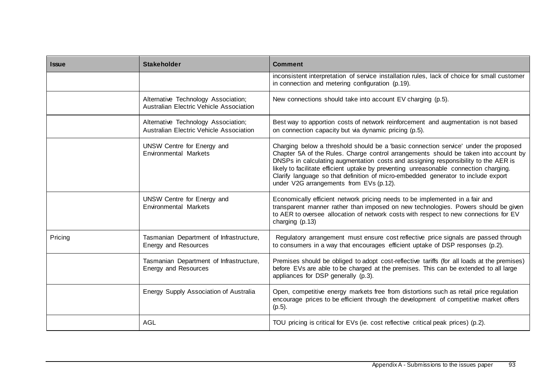| <b>Issue</b> | <b>Stakeholder</b>                                                             | <b>Comment</b>                                                                                                                                                                                                                                                                                                                                                                                                                                                                              |
|--------------|--------------------------------------------------------------------------------|---------------------------------------------------------------------------------------------------------------------------------------------------------------------------------------------------------------------------------------------------------------------------------------------------------------------------------------------------------------------------------------------------------------------------------------------------------------------------------------------|
|              |                                                                                | inconsistent interpretation of service installation rules, lack of choice for small customer<br>in connection and metering configuration (p.19).                                                                                                                                                                                                                                                                                                                                            |
|              | Alternative Technology Association;<br>Australian Electric Vehicle Association | New connections should take into account EV charging (p.5).                                                                                                                                                                                                                                                                                                                                                                                                                                 |
|              | Alternative Technology Association;<br>Australian Electric Vehicle Association | Best way to apportion costs of network reinforcement and augmentation is not based<br>on connection capacity but via dynamic pricing (p.5).                                                                                                                                                                                                                                                                                                                                                 |
|              | UNSW Centre for Energy and<br><b>Environmental Markets</b>                     | Charging below a threshold should be a 'basic connection service' under the proposed<br>Chapter 5A of the Rules. Charge control arrangements should be taken into account by<br>DNSPs in calculating augmentation costs and assigning responsibility to the AER is<br>likely to facilitate efficient uptake by preventing unreasonable connection charging.<br>Clarify language so that definition of micro-embedded generator to include export<br>under V2G arrangements from EVs (p.12). |
|              | UNSW Centre for Energy and<br><b>Environmental Markets</b>                     | Economically efficient network pricing needs to be implemented in a fair and<br>transparent manner rather than imposed on new technologies. Powers should be given<br>to AER to oversee allocation of network costs with respect to new connections for EV<br>charging (p.13)                                                                                                                                                                                                               |
| Pricing      | Tasmanian Department of Infrastructure,<br>Energy and Resources                | Regulatory arrangement must ensure cost reflective price signals are passed through<br>to consumers in a way that encourages efficient uptake of DSP responses (p.2).                                                                                                                                                                                                                                                                                                                       |
|              | Tasmanian Department of Infrastructure,<br>Energy and Resources                | Premises should be obliged to adopt cost-reflective tariffs (for all loads at the premises)<br>before EVs are able to be charged at the premises. This can be extended to all large<br>appliances for DSP generally (p.3).                                                                                                                                                                                                                                                                  |
|              | Energy Supply Association of Australia                                         | Open, competitive energy markets free from distortions such as retail price regulation<br>encourage prices to be efficient through the development of competitive market offers<br>$(p.5)$ .                                                                                                                                                                                                                                                                                                |
|              | <b>AGL</b>                                                                     | TOU pricing is critical for EVs (ie. cost reflective critical peak prices) (p.2).                                                                                                                                                                                                                                                                                                                                                                                                           |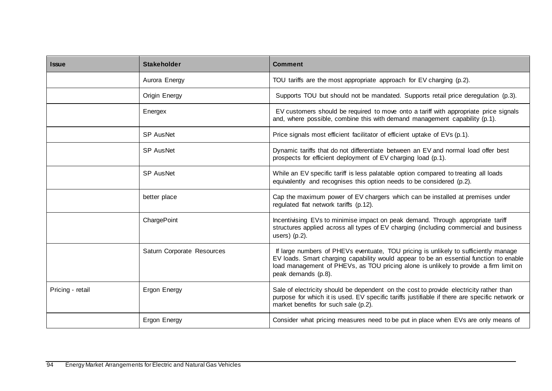| <b>Issue</b>     | <b>Stakeholder</b>         | <b>Comment</b>                                                                                                                                                                                                                                                                                |
|------------------|----------------------------|-----------------------------------------------------------------------------------------------------------------------------------------------------------------------------------------------------------------------------------------------------------------------------------------------|
|                  | Aurora Energy              | TOU tariffs are the most appropriate approach for EV charging (p.2).                                                                                                                                                                                                                          |
|                  | Origin Energy              | Supports TOU but should not be mandated. Supports retail price deregulation (p.3).                                                                                                                                                                                                            |
|                  | Energex                    | EV customers should be required to move onto a tariff with appropriate price signals<br>and, where possible, combine this with demand management capability (p.1).                                                                                                                            |
|                  | <b>SP AusNet</b>           | Price signals most efficient facilitator of efficient uptake of EVs (p.1).                                                                                                                                                                                                                    |
|                  | <b>SP AusNet</b>           | Dynamic tariffs that do not differentiate between an EV and normal load offer best<br>prospects for efficient deployment of EV charging load (p.1).                                                                                                                                           |
|                  | <b>SP AusNet</b>           | While an EV specific tariff is less palatable option compared to treating all loads<br>equivalently and recognises this option needs to be considered (p.2).                                                                                                                                  |
|                  | better place               | Cap the maximum power of EV chargers which can be installed at premises under<br>regulated flat network tariffs (p.12).                                                                                                                                                                       |
|                  | ChargePoint                | Incentivising EVs to minimise impact on peak demand. Through appropriate tariff<br>structures applied across all types of EV charging (including commercial and business<br>users) $(p.2)$ .                                                                                                  |
|                  | Saturn Corporate Resources | If large numbers of PHEVs eventuate, TOU pricing is unlikely to sufficiently manage<br>EV loads. Smart charging capability would appear to be an essential function to enable<br>load management of PHEVs, as TOU pricing alone is unlikely to provide a firm limit on<br>peak demands (p.8). |
| Pricing - retail | Ergon Energy               | Sale of electricity should be dependent on the cost to provide electricity rather than<br>purpose for which it is used. EV specific tariffs justifiable if there are specific network or<br>market benefits for such sale (p.2).                                                              |
|                  | Ergon Energy               | Consider what pricing measures need to be put in place when EVs are only means of                                                                                                                                                                                                             |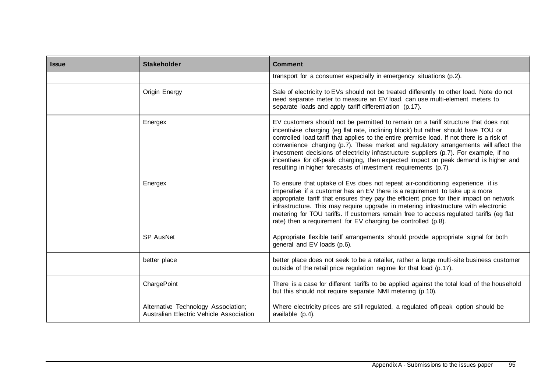| <b>Issue</b> | <b>Stakeholder</b>                                                             | <b>Comment</b>                                                                                                                                                                                                                                                                                                                                                                                                                                                                                                                                                                                                    |
|--------------|--------------------------------------------------------------------------------|-------------------------------------------------------------------------------------------------------------------------------------------------------------------------------------------------------------------------------------------------------------------------------------------------------------------------------------------------------------------------------------------------------------------------------------------------------------------------------------------------------------------------------------------------------------------------------------------------------------------|
|              |                                                                                | transport for a consumer especially in emergency situations (p.2).                                                                                                                                                                                                                                                                                                                                                                                                                                                                                                                                                |
|              | Origin Energy                                                                  | Sale of electricity to EVs should not be treated differently to other load. Note do not<br>need separate meter to measure an EV load, can use multi-element meters to<br>separate loads and apply tariff differentiation (p.17).                                                                                                                                                                                                                                                                                                                                                                                  |
|              | Energex                                                                        | EV customers should not be permitted to remain on a tariff structure that does not<br>incentivise charging (eg flat rate, inclining block) but rather should have TOU or<br>controlled load tariff that applies to the entire premise load. If not there is a risk of<br>convenience charging (p.7). These market and regulatory arrangements will affect the<br>investment decisions of electricity infrastructure suppliers (p.7). For example, if no<br>incentives for off-peak charging, then expected impact on peak demand is higher and<br>resulting in higher forecasts of investment requirements (p.7). |
|              | Energex                                                                        | To ensure that uptake of Evs does not repeat air-conditioning experience, it is<br>imperative if a customer has an EV there is a requirement to take up a more<br>appropriate tariff that ensures they pay the efficient price for their impact on network<br>infrastructure. This may require upgrade in metering infrastructure with electronic<br>metering for TOU tariffs. If customers remain free to access regulated tariffs (eg flat<br>rate) then a requirement for EV charging be controlled (p.8).                                                                                                     |
|              | <b>SP AusNet</b>                                                               | Appropriate flexible tariff arrangements should provide appropriate signal for both<br>general and EV loads (p.6).                                                                                                                                                                                                                                                                                                                                                                                                                                                                                                |
|              | better place                                                                   | better place does not seek to be a retailer, rather a large multi-site business customer<br>outside of the retail price regulation regime for that load (p.17).                                                                                                                                                                                                                                                                                                                                                                                                                                                   |
|              | ChargePoint                                                                    | There is a case for different tariffs to be applied against the total load of the household<br>but this should not require separate NMI metering (p.10).                                                                                                                                                                                                                                                                                                                                                                                                                                                          |
|              | Alternative Technology Association;<br>Australian Electric Vehicle Association | Where electricity prices are still regulated, a regulated off-peak option should be<br>available (p.4).                                                                                                                                                                                                                                                                                                                                                                                                                                                                                                           |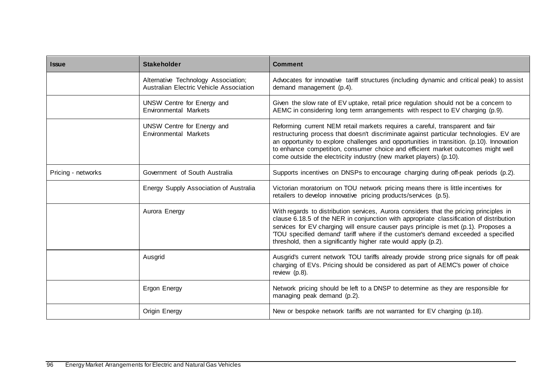| <b>Issue</b>       | <b>Stakeholder</b>                                                                    | <b>Comment</b>                                                                                                                                                                                                                                                                                                                                                                                                                  |
|--------------------|---------------------------------------------------------------------------------------|---------------------------------------------------------------------------------------------------------------------------------------------------------------------------------------------------------------------------------------------------------------------------------------------------------------------------------------------------------------------------------------------------------------------------------|
|                    | Alternative Technology Association;<br><b>Australian Electric Vehicle Association</b> | Advocates for innovative tariff structures (including dynamic and critical peak) to assist<br>demand management (p.4).                                                                                                                                                                                                                                                                                                          |
|                    | UNSW Centre for Energy and<br>Environmental Markets                                   | Given the slow rate of EV uptake, retail price regulation should not be a concern to<br>AEMC in considering long term arrangements with respect to EV charging (p.9).                                                                                                                                                                                                                                                           |
|                    | UNSW Centre for Energy and<br><b>Environmental Markets</b>                            | Reforming current NEM retail markets requires a careful, transparent and fair<br>restructuring process that doesn't discriminate against particular technologies. EV are<br>an opportunity to explore challenges and opportunities in transition. (p.10). Innovation<br>to enhance competition, consumer choice and efficient market outcomes might well<br>come outside the electricity industry (new market players) (p.10).  |
| Pricing - networks | Government of South Australia                                                         | Supports incentives on DNSPs to encourage charging during off-peak periods (p.2).                                                                                                                                                                                                                                                                                                                                               |
|                    | Energy Supply Association of Australia                                                | Victorian moratorium on TOU network pricing means there is little incentives for<br>retailers to develop innovative pricing products/services (p.5).                                                                                                                                                                                                                                                                            |
|                    | Aurora Energy                                                                         | With regards to distribution services, Aurora considers that the pricing principles in<br>clause 6.18.5 of the NER in conjunction with appropriate classification of distribution<br>services for EV charging will ensure causer pays principle is met (p.1). Proposes a<br>'TOU specified demand' tariff where if the customer's demand exceeded a specified<br>threshold, then a significantly higher rate would apply (p.2). |
|                    | Ausgrid                                                                               | Ausgrid's current network TOU tariffs already provide strong price signals for off peak<br>charging of EVs. Pricing should be considered as part of AEMC's power of choice<br>review (p.8).                                                                                                                                                                                                                                     |
|                    | Ergon Energy                                                                          | Network pricing should be left to a DNSP to determine as they are responsible for<br>managing peak demand (p.2).                                                                                                                                                                                                                                                                                                                |
|                    | Origin Energy                                                                         | New or bespoke network tariffs are not warranted for EV charging (p.18).                                                                                                                                                                                                                                                                                                                                                        |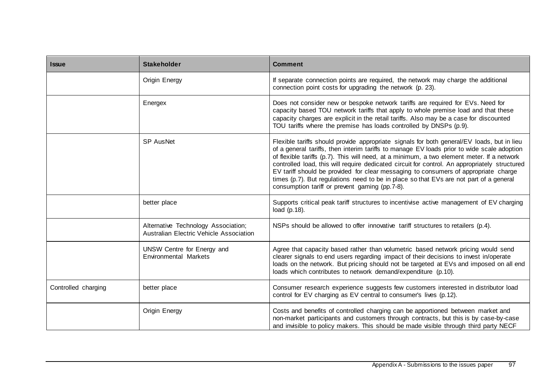| <b>Issue</b>        | <b>Stakeholder</b>                                                             | <b>Comment</b>                                                                                                                                                                                                                                                                                                                                                                                                                                                                                                                                                                                                             |
|---------------------|--------------------------------------------------------------------------------|----------------------------------------------------------------------------------------------------------------------------------------------------------------------------------------------------------------------------------------------------------------------------------------------------------------------------------------------------------------------------------------------------------------------------------------------------------------------------------------------------------------------------------------------------------------------------------------------------------------------------|
|                     | Origin Energy                                                                  | If separate connection points are required, the network may charge the additional<br>connection point costs for upgrading the network (p. 23).                                                                                                                                                                                                                                                                                                                                                                                                                                                                             |
|                     | Energex                                                                        | Does not consider new or bespoke network tariffs are required for EVs. Need for<br>capacity based TOU network tariffs that apply to whole premise load and that these<br>capacity charges are explicit in the retail tariffs. Also may be a case for discounted<br>TOU tariffs where the premise has loads controlled by DNSPs (p.9).                                                                                                                                                                                                                                                                                      |
|                     | SP AusNet                                                                      | Flexible tariffs should provide appropriate signals for both general/EV loads, but in lieu<br>of a general tariffs, then interim tariffs to manage EV loads prior to wide scale adoption<br>of flexible tariffs (p.7). This will need, at a minimum, a two element meter. If a network<br>controlled load, this will require dedicated circuit for control. An appropriately structured<br>EV tariff should be provided for clear messaging to consumers of appropriate charge<br>times (p.7). But regulations need to be in place so that EVs are not part of a general<br>consumption tariff or prevent gaming (pp.7-8). |
|                     | better place                                                                   | Supports critical peak tariff structures to incentivise active management of EV charging<br>load $(p.18)$ .                                                                                                                                                                                                                                                                                                                                                                                                                                                                                                                |
|                     | Alternative Technology Association;<br>Australian Electric Vehicle Association | NSPs should be allowed to offer innovative tariff structures to retailers (p.4).                                                                                                                                                                                                                                                                                                                                                                                                                                                                                                                                           |
|                     | UNSW Centre for Energy and<br><b>Environmental Markets</b>                     | Agree that capacity based rather than volumetric based network pricing would send<br>clearer signals to end users regarding impact of their decisions to invest in/operate<br>loads on the network. But pricing should not be targeted at EVs and imposed on all end<br>loads which contributes to network demand/expenditure (p.10).                                                                                                                                                                                                                                                                                      |
| Controlled charging | better place                                                                   | Consumer research experience suggests few customers interested in distributor load<br>control for EV charging as EV central to consumer's lives (p.12).                                                                                                                                                                                                                                                                                                                                                                                                                                                                    |
|                     | Origin Energy                                                                  | Costs and benefits of controlled charging can be apportioned between market and<br>non-market participants and customers through contracts, but this is by case-by-case<br>and invisible to policy makers. This should be made visible through third party NECF                                                                                                                                                                                                                                                                                                                                                            |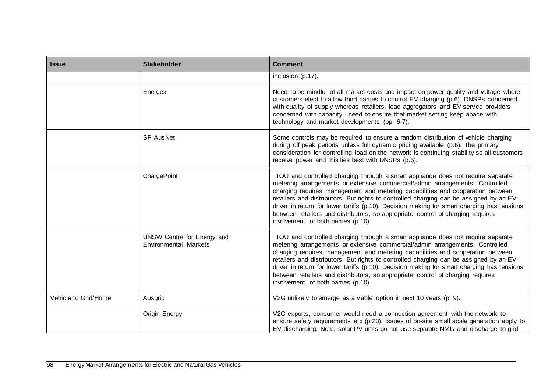| <b>Issue</b>         | <b>Stakeholder</b>                                         | <b>Comment</b>                                                                                                                                                                                                                                                                                                                                                                                                                                                                                                                                                      |
|----------------------|------------------------------------------------------------|---------------------------------------------------------------------------------------------------------------------------------------------------------------------------------------------------------------------------------------------------------------------------------------------------------------------------------------------------------------------------------------------------------------------------------------------------------------------------------------------------------------------------------------------------------------------|
|                      |                                                            | inclusion (p.17).                                                                                                                                                                                                                                                                                                                                                                                                                                                                                                                                                   |
|                      | Energex                                                    | Need to be mindful of all market costs and impact on power quality and voltage where<br>customers elect to allow third parties to control EV charging (p.6). DNSPs concerned<br>with quality of supply whereas retailers, load aggregators and EV service providers<br>concerned with capacity - need to ensure that market setting keep apace with<br>technology and market developments (pp. 6-7).                                                                                                                                                                |
|                      | <b>SP AusNet</b>                                           | Some controls may be required to ensure a random distribution of vehicle charging<br>during off peak periods unless full dynamic pricing available (p.6). The primary<br>consideration for controlling load on the network is continuing stability so all customers<br>receive power and this lies best with DNSPs (p.6).                                                                                                                                                                                                                                           |
|                      | ChargePoint                                                | TOU and controlled charging through a smart appliance does not require separate<br>metering arrangements or extensive commercial/admin arrangements. Controlled<br>charging requires management and metering capabilities and cooperation between<br>retailers and distributors. But rights to controlled charging can be assigned by an EV<br>driver in return for lower tariffs (p.10). Decision making for smart charging has tensions<br>between retailers and distributors, so appropriate control of charging requires<br>involvement of both parties (p.10). |
|                      | UNSW Centre for Energy and<br><b>Environmental Markets</b> | TOU and controlled charging through a smart appliance does not require separate<br>metering arrangements or extensive commercial/admin arrangements. Controlled<br>charging requires management and metering capabilities and cooperation between<br>retailers and distributors. But rights to controlled charging can be assigned by an EV<br>driver in return for lower tariffs (p.10). Decision making for smart charging has tensions<br>between retailers and distributors, so appropriate control of charging requires<br>involvement of both parties (p.10). |
| Vehicle to Grid/Home | Ausgrid                                                    | V2G unlikely to emerge as a viable option in next 10 years (p. 9).                                                                                                                                                                                                                                                                                                                                                                                                                                                                                                  |
|                      | Origin Energy                                              | V2G exports, consumer would need a connection agreement with the network to<br>ensure safety requirements etc (p.23). Issues of on-site small scale generation apply to<br>EV discharging. Note, solar PV units do not use separate NMIs and discharge to grid                                                                                                                                                                                                                                                                                                      |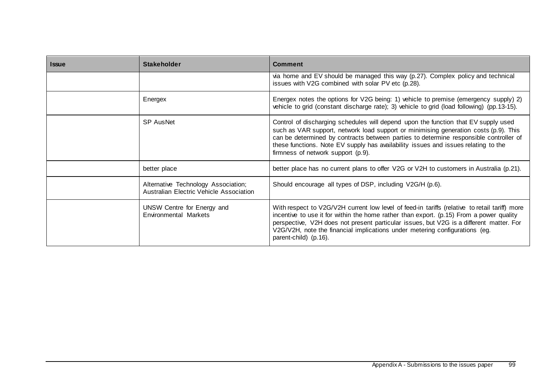| <b>Issue</b> | <b>Stakeholder</b>                                                             | <b>Comment</b>                                                                                                                                                                                                                                                                                                                                                                                  |
|--------------|--------------------------------------------------------------------------------|-------------------------------------------------------------------------------------------------------------------------------------------------------------------------------------------------------------------------------------------------------------------------------------------------------------------------------------------------------------------------------------------------|
|              |                                                                                | via home and EV should be managed this way (p.27). Complex policy and technical<br>issues with V2G combined with solar PV etc (p.28).                                                                                                                                                                                                                                                           |
|              | Energex                                                                        | Energex notes the options for V2G being: 1) vehicle to premise (emergency supply) 2)<br>vehicle to grid (constant discharge rate); 3) vehicle to grid (load following) (pp.13-15).                                                                                                                                                                                                              |
|              | <b>SP AusNet</b>                                                               | Control of discharging schedules will depend upon the function that EV supply used<br>such as VAR support, network load support or minimising generation costs (p.9). This<br>can be determined by contracts between parties to determine responsible controller of<br>these functions. Note EV supply has availability issues and issues relating to the<br>firmness of network support (p.9). |
|              | better place                                                                   | better place has no current plans to offer V2G or V2H to customers in Australia (p.21).                                                                                                                                                                                                                                                                                                         |
|              | Alternative Technology Association;<br>Australian Electric Vehicle Association | Should encourage all types of DSP, including V2G/H (p.6).                                                                                                                                                                                                                                                                                                                                       |
|              | UNSW Centre for Energy and<br>Environmental Markets                            | With respect to V2G/V2H current low level of feed-in tariffs (relative to retail tariff) more<br>incentive to use it for within the home rather than export. (p.15) From a power quality<br>perspective, V2H does not present particular issues, but V2G is a different matter. For<br>V2G/V2H, note the financial implications under metering configurations (eg.<br>parent-child) (p.16).     |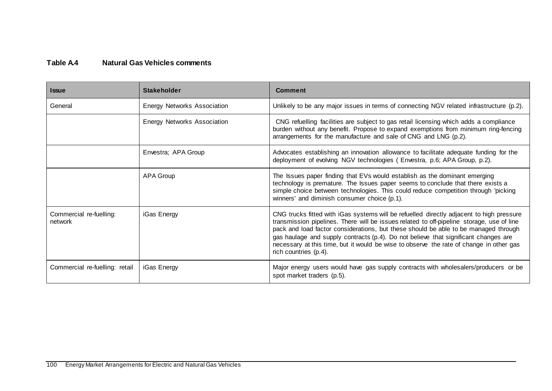## **Table A.4 Natural Gas Vehicles comments**

| <b>Issue</b>                       | <b>Stakeholder</b>                 | <b>Comment</b>                                                                                                                                                                                                                                                                                                                                                                                                                                                                          |
|------------------------------------|------------------------------------|-----------------------------------------------------------------------------------------------------------------------------------------------------------------------------------------------------------------------------------------------------------------------------------------------------------------------------------------------------------------------------------------------------------------------------------------------------------------------------------------|
| General                            | <b>Energy Networks Association</b> | Unlikely to be any major issues in terms of connecting NGV related infrastructure (p.2).                                                                                                                                                                                                                                                                                                                                                                                                |
|                                    | <b>Energy Networks Association</b> | CNG refuelling facilities are subject to gas retail licensing which adds a compliance<br>burden without any benefit. Propose to expand exemptions from minimum ring-fencing<br>arrangements for the manufacture and sale of CNG and LNG (p.2).                                                                                                                                                                                                                                          |
|                                    | Envestra; APA Group                | Advocates establishing an innovation allowance to facilitate adequate funding for the<br>deployment of evolving NGV technologies (Envestra, p.6; APA Group, p.2).                                                                                                                                                                                                                                                                                                                       |
|                                    | <b>APA Group</b>                   | The Issues paper finding that EVs would establish as the dominant emerging<br>technology is premature. The Issues paper seems to conclude that there exists a<br>simple choice between technologies. This could reduce competition through 'picking<br>winners' and diminish consumer choice (p.1).                                                                                                                                                                                     |
| Commercial re-fuelling:<br>network | iGas Energy                        | CNG trucks fitted with iGas systems will be refuelled directly adjacent to high pressure<br>transmission pipelines. There will be issues related to off-pipeline storage, use of line<br>pack and load factor considerations, but these should be able to be managed through<br>gas haulage and supply contracts (p.4). Do not believe that significant changes are<br>necessary at this time, but it would be wise to observe the rate of change in other gas<br>rich countries (p.4). |
| Commercial re-fuelling: retail     | iGas Energy                        | Major energy users would have gas supply contracts with wholesalers/producers or be<br>spot market traders (p.5).                                                                                                                                                                                                                                                                                                                                                                       |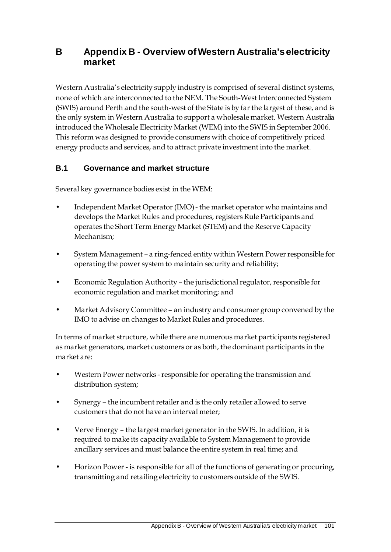# **B Appendix B - Overview of Western Australia's electricity market**

Western Australia's electricity supply industry is comprised of several distinct systems, none of which are interconnected to the NEM. The South-West Interconnected System (SWIS) around Perth and the south-west of the State is by far the largest of these, and is the only system in Western Australia to support a wholesale market. Western Australia introduced the Wholesale Electricity Market (WEM) into the SWIS in September 2006. This reform was designed to provide consumers with choice of competitively priced energy products and services, and to attract private investment into the market.

## **B.1 Governance and market structure**

Several key governance bodies exist in the WEM:

- Independent Market Operator (IMO) the market operator who maintains and develops the Market Rules and procedures, registers Rule Participants and operates the Short Term Energy Market (STEM) and the Reserve Capacity Mechanism;
- System Management a ring-fenced entity within Western Power responsible for operating the power system to maintain security and reliability;
- Economic Regulation Authority the jurisdictional regulator, responsible for economic regulation and market monitoring; and
- Market Advisory Committee an industry and consumer group convened by the IMO to advise on changes to Market Rules and procedures.

In terms of market structure, while there are numerous market participants registered as market generators, market customers or as both, the dominant participants in the market are:

- Western Power networks responsible for operating the transmission and distribution system;
- Synergy the incumbent retailer and is the only retailer allowed to serve customers that do not have an interval meter;
- Verve Energy the largest market generator in the SWIS. In addition, it is required to make its capacity available to System Management to provide ancillary services and must balance the entire system in real time; and
- Horizon Power is responsible for all of the functions of generating or procuring, transmitting and retailing electricity to customers outside of the SWIS.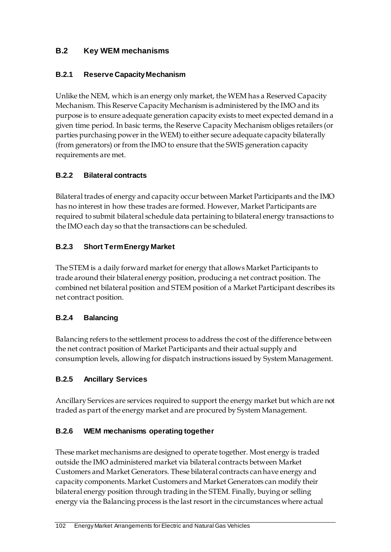### **B.2 Key WEM mechanisms**

#### **B.2.1 Reserve Capacity Mechanism**

Unlike the NEM, which is an energy only market, the WEM has a Reserved Capacity Mechanism. This Reserve Capacity Mechanism is administered by the IMO and its purpose is to ensure adequate generation capacity exists to meet expected demand in a given time period. In basic terms, the Reserve Capacity Mechanism obliges retailers (or parties purchasing power in the WEM) to either secure adequate capacity bilaterally (from generators) or from the IMO to ensure that the SWIS generation capacity requirements are met.

#### **B.2.2 Bilateral contracts**

Bilateral trades of energy and capacity occur between Market Participants and the IMO has no interest in how these trades are formed. However, Market Participants are required to submit bilateral schedule data pertaining to bilateral energy transactions to the IMO each day so that the transactions can be scheduled.

### **B.2.3 Short Term Energy Market**

The STEM is a daily forward market for energy that allows Market Participants to trade around their bilateral energy position, producing a net contract position. The combined net bilateral position and STEM position of a Market Participant describes its net contract position.

### **B.2.4 Balancing**

Balancing refers to the settlement process to address the cost of the difference between the net contract position of Market Participants and their actual supply and consumption levels, allowing for dispatch instructions issued by System Management.

### **B.2.5 Ancillary Services**

Ancillary Services are services required to support the energy market but which are not traded as part of the energy market and are procured by System Management.

### **B.2.6 WEM mechanisms operating together**

These market mechanisms are designed to operate together. Most energy is traded outside the IMO administered market via bilateral contracts between Market Customers and Market Generators. These bilateral contracts can have energy and capacity components. Market Customers and Market Generators can modify their bilateral energy position through trading in the STEM. Finally, buying or selling energy via the Balancing process is the last resort in the circumstances where actual